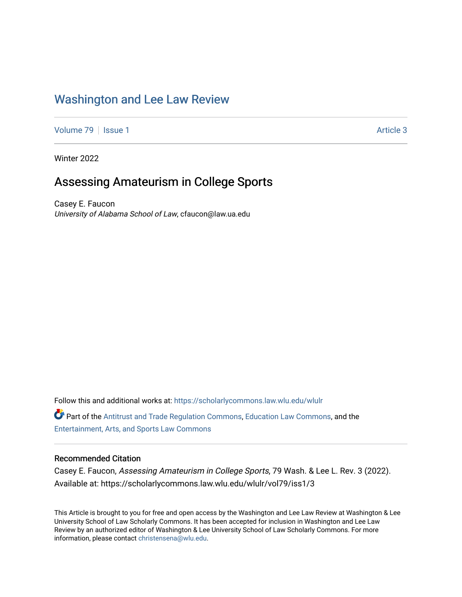# [Washington and Lee Law Review](https://scholarlycommons.law.wlu.edu/wlulr)

[Volume 79](https://scholarlycommons.law.wlu.edu/wlulr/vol79) | [Issue 1](https://scholarlycommons.law.wlu.edu/wlulr/vol79/iss1) Article 3

Winter 2022

# Assessing Amateurism in College Sports

Casey E. Faucon University of Alabama School of Law, cfaucon@law.ua.edu

Follow this and additional works at: [https://scholarlycommons.law.wlu.edu/wlulr](https://scholarlycommons.law.wlu.edu/wlulr?utm_source=scholarlycommons.law.wlu.edu%2Fwlulr%2Fvol79%2Fiss1%2F3&utm_medium=PDF&utm_campaign=PDFCoverPages)  Part of the [Antitrust and Trade Regulation Commons,](http://network.bepress.com/hgg/discipline/911?utm_source=scholarlycommons.law.wlu.edu%2Fwlulr%2Fvol79%2Fiss1%2F3&utm_medium=PDF&utm_campaign=PDFCoverPages) [Education Law Commons,](http://network.bepress.com/hgg/discipline/596?utm_source=scholarlycommons.law.wlu.edu%2Fwlulr%2Fvol79%2Fiss1%2F3&utm_medium=PDF&utm_campaign=PDFCoverPages) and the [Entertainment, Arts, and Sports Law Commons](http://network.bepress.com/hgg/discipline/893?utm_source=scholarlycommons.law.wlu.edu%2Fwlulr%2Fvol79%2Fiss1%2F3&utm_medium=PDF&utm_campaign=PDFCoverPages)

## Recommended Citation

Casey E. Faucon, Assessing Amateurism in College Sports, 79 Wash. & Lee L. Rev. 3 (2022). Available at: https://scholarlycommons.law.wlu.edu/wlulr/vol79/iss1/3

This Article is brought to you for free and open access by the Washington and Lee Law Review at Washington & Lee University School of Law Scholarly Commons. It has been accepted for inclusion in Washington and Lee Law Review by an authorized editor of Washington & Lee University School of Law Scholarly Commons. For more information, please contact [christensena@wlu.edu](mailto:christensena@wlu.edu).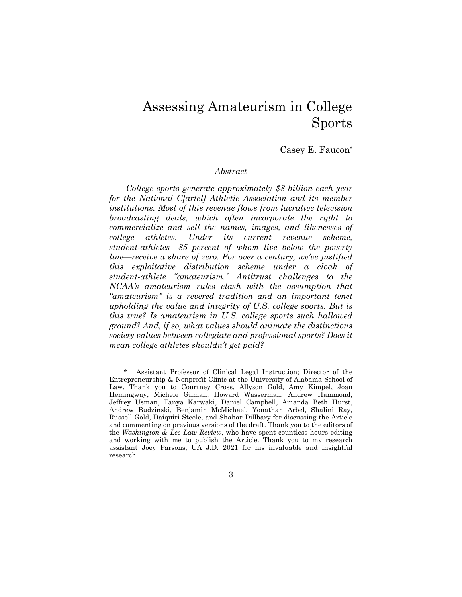# Assessing Amateurism in College Sports

#### Casey E. Faucon\*

#### *Abstract*

*College sports generate approximately \$8 billion each year for the National C[artel] Athletic Association and its member institutions. Most of this revenue flows from lucrative television broadcasting deals, which often incorporate the right to commercialize and sell the names, images, and likenesses of college athletes. Under its current revenue scheme, student-athletes—85 percent of whom live below the poverty line—receive a share of zero. For over a century, we've justified this exploitative distribution scheme under a cloak of student-athlete "amateurism." Antitrust challenges to the NCAA's amateurism rules clash with the assumption that "amateurism" is a revered tradition and an important tenet upholding the value and integrity of U.S. college sports. But is this true? Is amateurism in U.S. college sports such hallowed ground? And, if so, what values should animate the distinctions society values between collegiate and professional sports? Does it mean college athletes shouldn't get paid?* 

3

<sup>\*</sup> Assistant Professor of Clinical Legal Instruction; Director of the Entrepreneurship & Nonprofit Clinic at the University of Alabama School of Law. Thank you to Courtney Cross, Allyson Gold, Amy Kimpel, Joan Hemingway, Michele Gilman, Howard Wasserman, Andrew Hammond, Jeffrey Usman, Tanya Karwaki, Daniel Campbell, Amanda Beth Hurst, Andrew Budzinski, Benjamin McMichael, Yonathan Arbel, Shalini Ray, Russell Gold, Daiquiri Steele, and Shahar Dillbary for discussing the Article and commenting on previous versions of the draft. Thank you to the editors of the *Washington & Lee Law Review*, who have spent countless hours editing and working with me to publish the Article. Thank you to my research assistant Joey Parsons, UA J.D. 2021 for his invaluable and insightful research.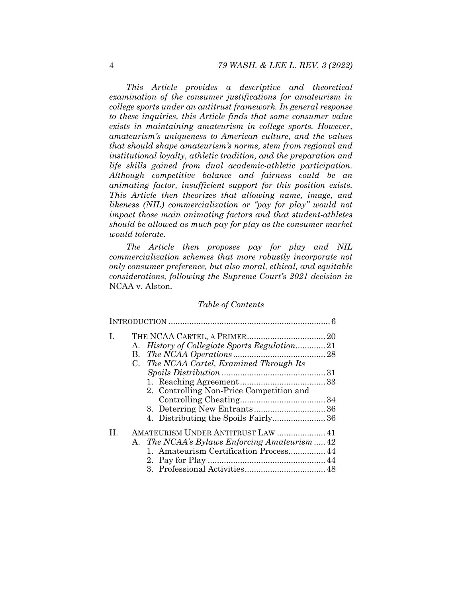*This Article provides a descriptive and theoretical examination of the consumer justifications for amateurism in college sports under an antitrust framework. In general response to these inquiries, this Article finds that some consumer value exists in maintaining amateurism in college sports. However, amateurism's uniqueness to American culture, and the values that should shape amateurism's norms, stem from regional and institutional loyalty, athletic tradition, and the preparation and life skills gained from dual academic-athletic participation. Although competitive balance and fairness could be an animating factor, insufficient support for this position exists. This Article then theorizes that allowing name, image, and likeness (NIL) commercialization or "pay for play" would not impact those main animating factors and that student-athletes should be allowed as much pay for play as the consumer market would tolerate.* 

*The Article then proposes pay for play and NIL commercialization schemes that more robustly incorporate not only consumer preference, but also moral, ethical, and equitable considerations, following the Supreme Court's 2021 decision in*  NCAA v. Alston*.* 

#### *Table of Contents*

| T.                                                     |  |
|--------------------------------------------------------|--|
| <i>History of Collegiate Sports Regulation21</i><br>A. |  |
| В.                                                     |  |
| C. The NCAA Cartel, Examined Through Its               |  |
|                                                        |  |
|                                                        |  |
| 2. Controlling Non-Price Competition and               |  |
|                                                        |  |
|                                                        |  |
|                                                        |  |
| AMATEURISM UNDER ANTITRUST LAW  41<br>H.               |  |
| A. The NCAA's Bylaws Enforcing Amateurism  42          |  |
| 1. Amateurism Certification Process 44                 |  |
|                                                        |  |
|                                                        |  |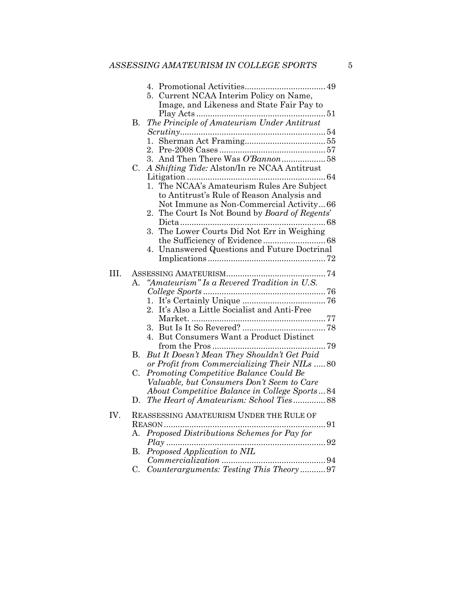|     |         | 5. Current NCAA Interim Policy on Name,                                                 |
|-----|---------|-----------------------------------------------------------------------------------------|
|     |         | Image, and Likeness and State Fair Pay to                                               |
|     |         |                                                                                         |
|     | В.      | The Principle of Amateurism Under Antitrust                                             |
|     |         |                                                                                         |
|     |         | 1.                                                                                      |
|     |         |                                                                                         |
|     | C.      | A Shifting Tide: Alston/In re NCAA Antitrust                                            |
|     |         |                                                                                         |
|     |         | The NCAA's Amateurism Rules Are Subject<br>1.                                           |
|     |         | to Antitrust's Rule of Reason Analysis and                                              |
|     |         | Not Immune as Non-Commercial Activity66                                                 |
|     |         | The Court Is Not Bound by Board of Regents'<br>2.                                       |
|     |         |                                                                                         |
|     |         | The Lower Courts Did Not Err in Weighing<br>3.                                          |
|     |         |                                                                                         |
|     |         | Unanswered Questions and Future Doctrinal<br>4.                                         |
|     |         |                                                                                         |
| Ш.  |         |                                                                                         |
|     | $A_{-}$ | "Amateurism" Is a Revered Tradition in U.S.                                             |
|     |         |                                                                                         |
|     |         | 1.                                                                                      |
|     |         | It's Also a Little Socialist and Anti-Free<br>$2_{-}$                                   |
|     |         |                                                                                         |
|     |         | 3.                                                                                      |
|     |         | 4. But Consumers Want a Product Distinct                                                |
|     |         |                                                                                         |
|     | В.      | But It Doesn't Mean They Shouldn't Get Paid                                             |
|     |         | or Profit from Commercializing Their NILs  80<br>Promoting Competitive Balance Could Be |
|     | C.      | Valuable, but Consumers Don't Seem to Care                                              |
|     |         | About Competitive Balance in College Sports84                                           |
|     | D.      | The Heart of Amateurism: School Ties88                                                  |
|     |         |                                                                                         |
| IV. |         | REASSESSING AMATEURISM UNDER THE RULE OF                                                |
|     |         |                                                                                         |
|     | A.      | Proposed Distributions Schemes for Pay for                                              |
|     |         | Proposed Application to NIL                                                             |
|     | В.      |                                                                                         |
|     | C.      | Counterarguments: Testing This Theory97                                                 |
|     |         |                                                                                         |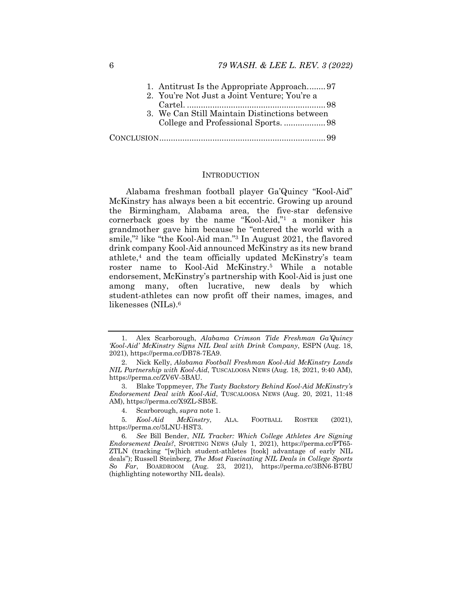| 1. Antitrust Is the Appropriate Approach97    |  |
|-----------------------------------------------|--|
| 2. You're Not Just a Joint Venture; You're a  |  |
|                                               |  |
| 3. We Can Still Maintain Distinctions between |  |
|                                               |  |
|                                               |  |

#### **INTRODUCTION**

Alabama freshman football player Ga'Quincy "Kool-Aid" McKinstry has always been a bit eccentric. Growing up around the Birmingham, Alabama area, the five-star defensive cornerback goes by the name "Kool-Aid,"1 a moniker his grandmother gave him because he "entered the world with a smile,"2 like "the Kool-Aid man."3 In August 2021, the flavored drink company Kool-Aid announced McKinstry as its new brand athlete,4 and the team officially updated McKinstry's team roster name to Kool-Aid McKinstry.5 While a notable endorsement, McKinstry's partnership with Kool-Aid is just one among many, often lucrative, new deals by which student-athletes can now profit off their names, images, and likenesses (NILs).6

 <sup>1.</sup> Alex Scarborough, *Alabama Crimson Tide Freshman Ga'Quincy 'Kool-Aid' McKinstry Signs NIL Deal with Drink Company*, ESPN (Aug. 18, 2021), https://perma.cc/DB78-7EA9.

 <sup>2.</sup> Nick Kelly, *Alabama Football Freshman Kool-Aid McKinstry Lands NIL Partnership with Kool-Aid*, TUSCALOOSA NEWS (Aug. 18, 2021, 9:40 AM), https://perma.cc/ZV6V-5BAU.

 <sup>3.</sup> Blake Toppmeyer, *The Tasty Backstory Behind Kool-Aid McKinstry's Endorsement Deal with Kool-Aid*, TUSCALOOSA NEWS (Aug. 20, 2021, 11:48 AM), https://perma.cc/X9ZL-SB5E.

 <sup>4.</sup> Scarborough, *supra* note 1.

<sup>5</sup>*. Kool-Aid McKinstry*, ALA. FOOTBALL ROSTER (2021), https://perma.cc/5LNU-HST3.

<sup>6</sup>*. See* Bill Bender, *NIL Tracker: Which College Athletes Are Signing Endorsement Deals?*, SPORTING NEWS (July 1, 2021), https://perma.cc/PT65- ZTLN (tracking "[w]hich student-athletes [took] advantage of early NIL deals"); Russell Steinberg, *The Most Fascinating NIL Deals in College Sports So Far*, BOARDROOM (Aug. 23, 2021), https://perma.cc/3BN6-B7BU (highlighting noteworthy NIL deals).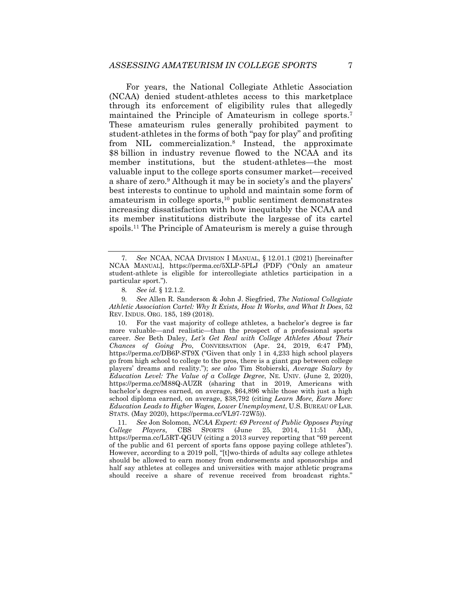For years, the National Collegiate Athletic Association (NCAA) denied student-athletes access to this marketplace through its enforcement of eligibility rules that allegedly maintained the Principle of Amateurism in college sports.7 These amateurism rules generally prohibited payment to student-athletes in the forms of both "pay for play" and profiting from NIL commercialization.8 Instead, the approximate \$8 billion in industry revenue flowed to the NCAA and its member institutions, but the student-athletes—the most valuable input to the college sports consumer market—received a share of zero.9 Although it may be in society's and the players' best interests to continue to uphold and maintain some form of amateurism in college sports, $10$  public sentiment demonstrates increasing dissatisfaction with how inequitably the NCAA and its member institutions distribute the largesse of its cartel spoils.11 The Principle of Amateurism is merely a guise through

9*. See* Allen R. Sanderson & John J. Siegfried, *The National Collegiate Athletic Association Cartel: Why It Exists, How It Works, and What It Does*, 52 REV. INDUS. ORG. 185, 189 (2018).

 10. For the vast majority of college athletes, a bachelor's degree is far more valuable—and realistic—than the prospect of a professional sports career. *See* Beth Daley, *Let's Get Real with College Athletes About Their Chances of Going Pro*, CONVERSATION (Apr. 24, 2019, 6:47 PM), https://perma.cc/DB6P-ST9X ("Given that only 1 in 4,233 high school players go from high school to college to the pros, there is a giant gap between college players' dreams and reality."); *see also* Tim Stobierski, *Average Salary by Education Level: The Value of a College Degree*, NE. UNIV. (June 2, 2020), https://perma.cc/M88Q-AUZR (sharing that in 2019, Americans with bachelor's degrees earned, on average, \$64,896 while those with just a high school diploma earned, on average, \$38,792 (citing *Learn More, Earn More: Education Leads to Higher Wages, Lower Unemployment*, U.S. BUREAU OF LAB. STATS. (May 2020), https://perma.cc/VL97-72W5)).

11*. See* Jon Solomon, *NCAA Expert: 69 Percent of Public Opposes Paying College Players*, CBS SPORTS (June 25, 2014, 11:51 AM), https://perma.cc/L5RT-QGUV (citing a 2013 survey reporting that "69 percent of the public and 61 percent of sports fans oppose paying college athletes"). However, according to a 2019 poll, "[t]wo-thirds of adults say college athletes should be allowed to earn money from endorsements and sponsorships and half say athletes at colleges and universities with major athletic programs should receive a share of revenue received from broadcast rights."

<sup>7</sup>*. See* NCAA, NCAA DIVISION I MANUAL, § 12.01.1 (2021) [hereinafter NCAA MANUAL], https://perma.cc/5XLP-5PLJ (PDF) ("Only an amateur student-athlete is eligible for intercollegiate athletics participation in a particular sport.").

<sup>8</sup>*. See id.* § 12.1.2.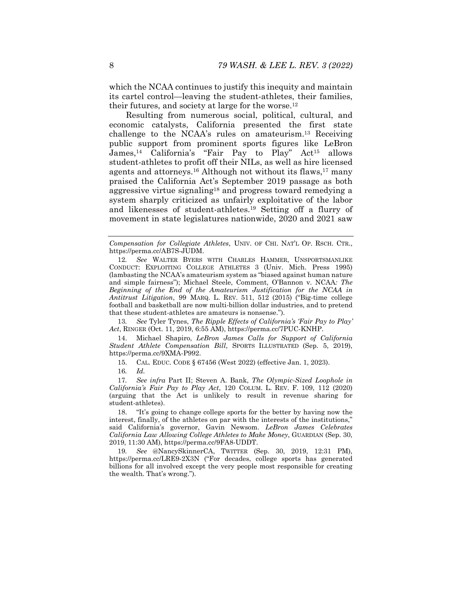which the NCAA continues to justify this inequity and maintain its cartel control—leaving the student-athletes, their families, their futures, and society at large for the worse.12

Resulting from numerous social, political, cultural, and economic catalysts, California presented the first state challenge to the NCAA's rules on amateurism.13 Receiving public support from prominent sports figures like LeBron James,14 California's "Fair Pay to Play" Act15 allows student-athletes to profit off their NILs, as well as hire licensed agents and attorneys.<sup>16</sup> Although not without its flaws,<sup>17</sup> many praised the California Act's September 2019 passage as both aggressive virtue signaling18 and progress toward remedying a system sharply criticized as unfairly exploitative of the labor and likenesses of student-athletes.19 Setting off a flurry of movement in state legislatures nationwide, 2020 and 2021 saw

*Compensation for Collegiate Athletes*, UNIV. OF CHI. NAT'L OP. RSCH. CTR., https://perma.cc/AB7S-JUDM.

12*. See* WALTER BYERS WITH CHARLES HAMMER, UNSPORTSMANLIKE CONDUCT: EXPLOITING COLLEGE ATHLETES 3 (Univ. Mich. Press 1995) (lambasting the NCAA's amateurism system as "biased against human nature and simple fairness"); Michael Steele, Comment, O'Bannon v. NCAA*: The Beginning of the End of the Amateurism Justification for the NCAA in Antitrust Litigation*, 99 MARQ. L. REV. 511, 512 (2015) ("Big-time college football and basketball are now multi-billion dollar industries, and to pretend that these student-athletes are amateurs is nonsense.").

13*. See* Tyler Tynes, *The Ripple Effects of California's 'Fair Pay to Play' Act*, RINGER (Oct. 11, 2019, 6:55 AM), https://perma.cc/7PUC-KNHP.

 14. Michael Shapiro, *LeBron James Calls for Support of California Student Athlete Compensation Bill*, SPORTS ILLUSTRATED (Sep. 5, 2019), https://perma.cc/9XMA-P992.

15. CAL. EDUC. CODE § 67456 (West 2022) (effective Jan. 1, 2023).

16*. Id.*

17*. See infra* Part II; Steven A. Bank, *The Olympic-Sized Loophole in California's Fair Pay to Play Act*, 120 COLUM. L. REV. F. 109, 112 (2020) (arguing that the Act is unlikely to result in revenue sharing for student-athletes).

 18. "It's going to change college sports for the better by having now the interest, finally, of the athletes on par with the interests of the institutions," said California's governor, Gavin Newsom. *LeBron James Celebrates California Law Allowing College Athletes to Make Money*, GUARDIAN (Sep. 30, 2019, 11:30 AM), https://perma.cc/9FA8-UDDT.

19*. See* @NancySkinnerCA, TWITTER (Sep. 30, 2019, 12:31 PM), https://perma.cc/LRE9-2X3N ("For decades, college sports has generated billions for all involved except the very people most responsible for creating the wealth. That's wrong.").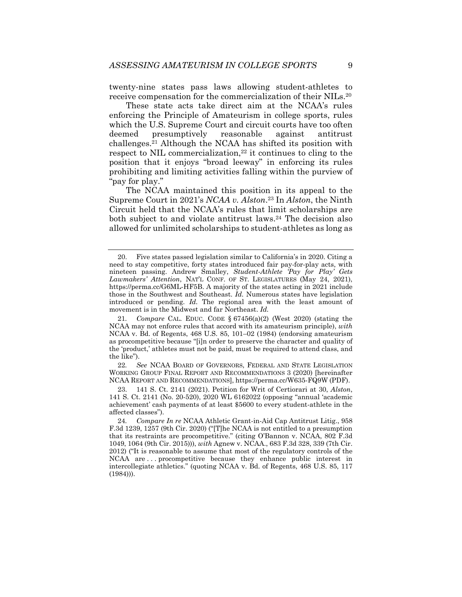twenty-nine states pass laws allowing student-athletes to receive compensation for the commercialization of their NILs.20

These state acts take direct aim at the NCAA's rules enforcing the Principle of Amateurism in college sports, rules which the U.S. Supreme Court and circuit courts have too often deemed presumptively reasonable against antitrust challenges.21 Although the NCAA has shifted its position with respect to NIL commercialization, $22$  it continues to cling to the position that it enjoys "broad leeway" in enforcing its rules prohibiting and limiting activities falling within the purview of "pay for play."

The NCAA maintained this position in its appeal to the Supreme Court in 2021's *NCAA v. Alston*.23 In *Alston*, the Ninth Circuit held that the NCAA's rules that limit scholarships are both subject to and violate antitrust laws.<sup>24</sup> The decision also allowed for unlimited scholarships to student-athletes as long as

22*. See* NCAA BOARD OF GOVERNORS, FEDERAL AND STATE LEGISLATION WORKING GROUP FINAL REPORT AND RECOMMENDATIONS 3 (2020) [hereinafter NCAA REPORT AND RECOMMENDATIONS], https://perma.cc/W635-FQ9W (PDF).

 <sup>20.</sup> Five states passed legislation similar to California's in 2020. Citing a need to stay competitive, forty states introduced fair pay-for-play acts, with nineteen passing. Andrew Smalley, *Student-Athlete 'Pay for Play' Gets Lawmakers' Attention*, NAT'L CONF. OF ST. LEGISLATURES (May 24, 2021), https://perma.cc/G6ML-HF5B. A majority of the states acting in 2021 include those in the Southwest and Southeast. *Id.* Numerous states have legislation introduced or pending. *Id.* The regional area with the least amount of movement is in the Midwest and far Northeast. *Id.*

<sup>21</sup>*. Compare* CAL. EDUC. CODE § 67456(a)(2) (West 2020) (stating the NCAA may not enforce rules that accord with its amateurism principle), *with*  NCAA v. Bd. of Regents, 468 U.S. 85, 101–02 (1984) (endorsing amateurism as procompetitive because "[i]n order to preserve the character and quality of the 'product,' athletes must not be paid, must be required to attend class, and the like").

 <sup>23. 141</sup> S. Ct. 2141 (2021). Petition for Writ of Certiorari at 30, *Alston*, 141 S. Ct. 2141 (No. 20-520), 2020 WL 6162022 (opposing "annual 'academic achievement' cash payments of at least \$5600 to every student-athlete in the affected classes").

<sup>24</sup>*. Compare In re* NCAA Athletic Grant-in-Aid Cap Antitrust Litig., 958 F.3d 1239, 1257 (9th Cir. 2020) ("[T]he NCAA is not entitled to a presumption that its restraints are procompetitive." (citing O'Bannon v. NCAA, 802 F.3d 1049, 1064 (9th Cir. 2015))), *with* Agnew v. NCAA., 683 F.3d 328, 339 (7th Cir. 2012) ("It is reasonable to assume that most of the regulatory controls of the NCAA are . . . procompetitive because they enhance public interest in intercollegiate athletics." (quoting NCAA v. Bd. of Regents, 468 U.S. 85, 117 (1984))).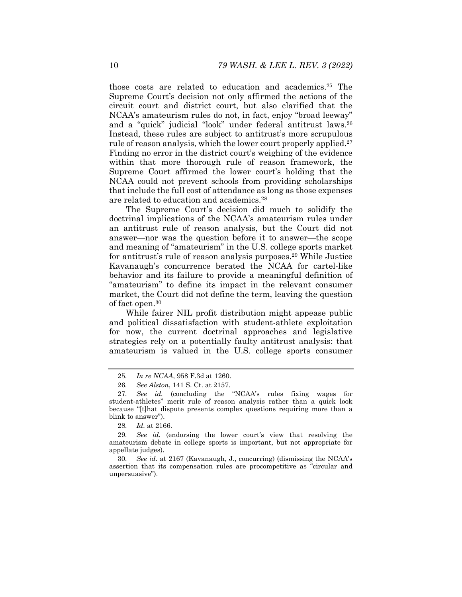those costs are related to education and academics.25 The Supreme Court's decision not only affirmed the actions of the circuit court and district court, but also clarified that the NCAA's amateurism rules do not, in fact, enjoy "broad leeway" and a "quick" judicial "look" under federal antitrust laws.26 Instead, these rules are subject to antitrust's more scrupulous rule of reason analysis, which the lower court properly applied.<sup>27</sup> Finding no error in the district court's weighing of the evidence within that more thorough rule of reason framework, the Supreme Court affirmed the lower court's holding that the NCAA could not prevent schools from providing scholarships that include the full cost of attendance as long as those expenses are related to education and academics.28

The Supreme Court's decision did much to solidify the doctrinal implications of the NCAA's amateurism rules under an antitrust rule of reason analysis, but the Court did not answer—nor was the question before it to answer—the scope and meaning of "amateurism" in the U.S. college sports market for antitrust's rule of reason analysis purposes.<sup>29</sup> While Justice Kavanaugh's concurrence berated the NCAA for cartel-like behavior and its failure to provide a meaningful definition of "amateurism" to define its impact in the relevant consumer market, the Court did not define the term, leaving the question of fact open.30

While fairer NIL profit distribution might appease public and political dissatisfaction with student-athlete exploitation for now, the current doctrinal approaches and legislative strategies rely on a potentially faulty antitrust analysis: that amateurism is valued in the U.S. college sports consumer

<sup>25</sup>*. In re NCAA*, 958 F.3d at 1260.

<sup>26</sup>*. See Alston*, 141 S. Ct. at 2157.

<sup>27</sup>*. See id.* (concluding the "NCAA's rules fixing wages for student-athletes" merit rule of reason analysis rather than a quick look because "[t]hat dispute presents complex questions requiring more than a blink to answer").

<sup>28</sup>*. Id.* at 2166.

<sup>29</sup>*. See id.* (endorsing the lower court's view that resolving the amateurism debate in college sports is important, but not appropriate for appellate judges).

<sup>30</sup>*. See id.* at 2167 (Kavanaugh, J., concurring) (dismissing the NCAA's assertion that its compensation rules are procompetitive as "circular and unpersuasive").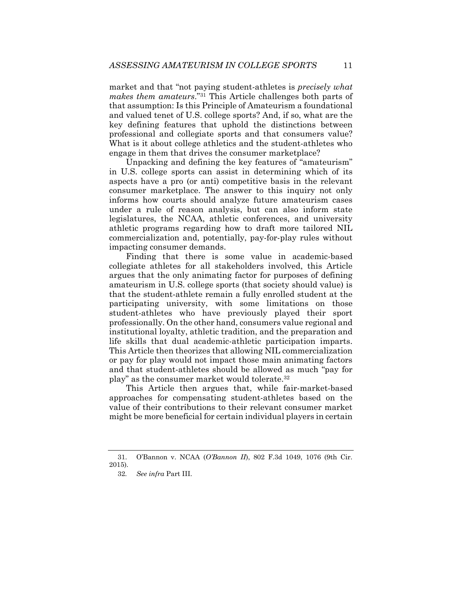market and that "not paying student-athletes is *precisely what makes them amateurs*."31 This Article challenges both parts of that assumption: Is this Principle of Amateurism a foundational and valued tenet of U.S. college sports? And, if so, what are the key defining features that uphold the distinctions between professional and collegiate sports and that consumers value? What is it about college athletics and the student-athletes who engage in them that drives the consumer marketplace?

Unpacking and defining the key features of "amateurism" in U.S. college sports can assist in determining which of its aspects have a pro (or anti) competitive basis in the relevant consumer marketplace. The answer to this inquiry not only informs how courts should analyze future amateurism cases under a rule of reason analysis, but can also inform state legislatures, the NCAA, athletic conferences, and university athletic programs regarding how to draft more tailored NIL commercialization and, potentially, pay-for-play rules without impacting consumer demands.

Finding that there is some value in academic-based collegiate athletes for all stakeholders involved, this Article argues that the only animating factor for purposes of defining amateurism in U.S. college sports (that society should value) is that the student-athlete remain a fully enrolled student at the participating university, with some limitations on those student-athletes who have previously played their sport professionally. On the other hand, consumers value regional and institutional loyalty, athletic tradition, and the preparation and life skills that dual academic-athletic participation imparts. This Article then theorizes that allowing NIL commercialization or pay for play would not impact those main animating factors and that student-athletes should be allowed as much "pay for play" as the consumer market would tolerate.32

This Article then argues that, while fair-market-based approaches for compensating student-athletes based on the value of their contributions to their relevant consumer market might be more beneficial for certain individual players in certain

 <sup>31.</sup> O'Bannon v. NCAA (*O'Bannon II*), 802 F.3d 1049, 1076 (9th Cir. 2015).

<sup>32</sup>*. See infra* Part III.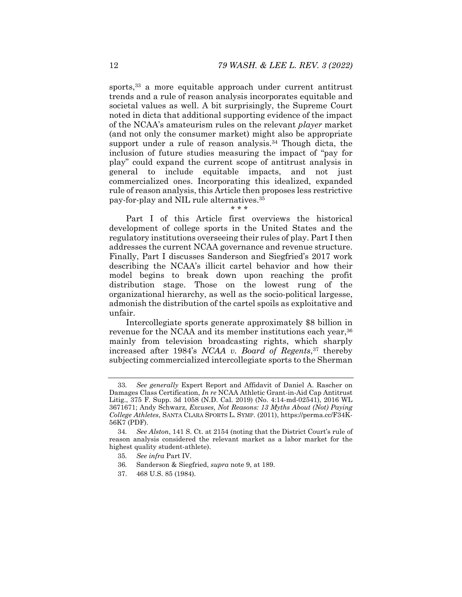sports,<sup>33</sup> a more equitable approach under current antitrust trends and a rule of reason analysis incorporates equitable and societal values as well. A bit surprisingly, the Supreme Court noted in dicta that additional supporting evidence of the impact of the NCAA's amateurism rules on the relevant *player* market (and not only the consumer market) might also be appropriate support under a rule of reason analysis.<sup>34</sup> Though dicta, the inclusion of future studies measuring the impact of "pay for play" could expand the current scope of antitrust analysis in general to include equitable impacts, and not just commercialized ones. Incorporating this idealized, expanded rule of reason analysis, this Article then proposes less restrictive pay-for-play and NIL rule alternatives.35

Part I of this Article first overviews the historical development of college sports in the United States and the regulatory institutions overseeing their rules of play. Part I then addresses the current NCAA governance and revenue structure. Finally, Part I discusses Sanderson and Siegfried's 2017 work describing the NCAA's illicit cartel behavior and how their model begins to break down upon reaching the profit distribution stage. Those on the lowest rung of the organizational hierarchy, as well as the socio-political largesse, admonish the distribution of the cartel spoils as exploitative and unfair.

\* \* \*

Intercollegiate sports generate approximately \$8 billion in revenue for the NCAA and its member institutions each year,<sup>36</sup> mainly from television broadcasting rights, which sharply increased after 1984's *NCAA v. Board of Regents*,37 thereby subjecting commercialized intercollegiate sports to the Sherman

- 36*.* Sanderson & Siegfried, *supra* note 9, at 189.
- 37. 468 U.S. 85 (1984).

<sup>33</sup>*. See generally* Expert Report and Affidavit of Daniel A. Rascher on Damages Class Certification, *In re* NCAA Athletic Grant-in-Aid Cap Antitrust Litig., 375 F. Supp. 3d 1058 (N.D. Cal. 2019) (No. 4:14-md-02541), 2016 WL 3671671; Andy Schwarz, *Excuses, Not Reasons: 13 Myths About (Not) Paying College Athletes*, SANTA CLARA SPORTS L. SYMP. (2011), https://perma.cc/F34K-56K7 (PDF).

<sup>34</sup>*. See Alston*, 141 S. Ct. at 2154 (noting that the District Court's rule of reason analysis considered the relevant market as a labor market for the highest quality student-athlete).

<sup>35</sup>*. See infra* Part IV.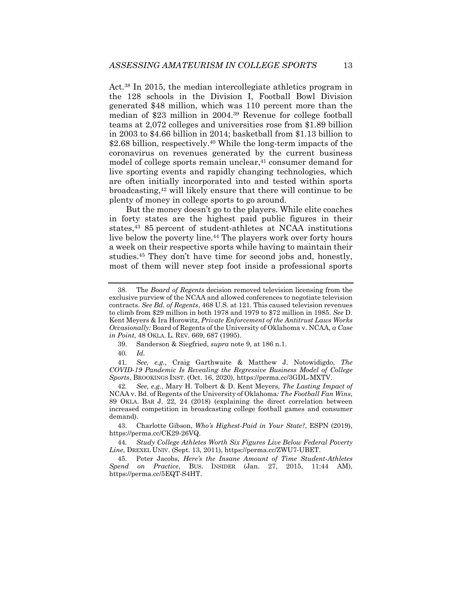Act.38 In 2015, the median intercollegiate athletics program in the 128 schools in the Division I, Football Bowl Division generated \$48 million, which was 110 percent more than the median of \$23 million in 2004.39 Revenue for college football teams at 2,072 colleges and universities rose from \$1.89 billion in 2003 to \$4.66 billion in 2014; basketball from \$1.13 billion to \$2.68 billion, respectively.<sup>40</sup> While the long-term impacts of the coronavirus on revenues generated by the current business model of college sports remain unclear,<sup>41</sup> consumer demand for live sporting events and rapidly changing technologies, which are often initially incorporated into and tested within sports broadcasting,<sup>42</sup> will likely ensure that there will continue to be plenty of money in college sports to go around.

But the money doesn't go to the players. While elite coaches in forty states are the highest paid public figures in their states,43 85 percent of student-athletes at NCAA institutions live below the poverty line.44 The players work over forty hours a week on their respective sports while having to maintain their studies.45 They don't have time for second jobs and, honestly, most of them will never step foot inside a professional sports

40*. Id.*

41*. See, e.g.*, Craig Garthwaite & Matthew J. Notowidigdo, *The COVID-19 Pandemic Is Revealing the Regressive Business Model of College Sports*, BROOKINGS INST. (Oct. 16, 2020), https://perma.cc/3GDL-MXTV.

42*. See, e.g.*, Mary H. Tolbert & D. Kent Meyers, *The Lasting Impact of*  NCAA v. Bd. of Regents of the University of Oklahoma*: The Football Fan Wins*, 89 OKLA. BAR J. 22, 24 (2018) (explaining the direct correlation between increased competition in broadcasting college football games and consumer demand).

 43. Charlotte Gibson, *Who's Highest-Paid in Your State?*, ESPN (2019), https://perma.cc/CK29-26VQ.

44*. Study College Athletes Worth Six Figures Live Below Federal Poverty Line*, DREXEL UNIV. (Sept. 13, 2011), https://perma.cc/ZWU7-UBET.

 45. Peter Jacobs, *Here's the Insane Amount of Time Student-Athletes Spend on Practice*, BUS. INSIDER (Jan. 27, 2015, 11:44 AM), https://perma.cc/5EQT-S4HT.

 <sup>38.</sup> The *Board of Regents* decision removed television licensing from the exclusive purview of the NCAA and allowed conferences to negotiate television contracts. *See Bd. of Regents*, 468 U.S. at 121. This caused television revenues to climb from \$29 million in both 1978 and 1979 to \$72 million in 1985. *See* D. Kent Meyers & Ira Horowitz, *Private Enforcement of the Antitrust Laws Works Occasionally:* Board of Regents of the University of Oklahoma v. NCAA*, a Case in Point*, 48 OKLA. L. REV. 669, 687 (1995).

 <sup>39.</sup> Sanderson & Siegfried, *supra* note 9, at 186 n.1.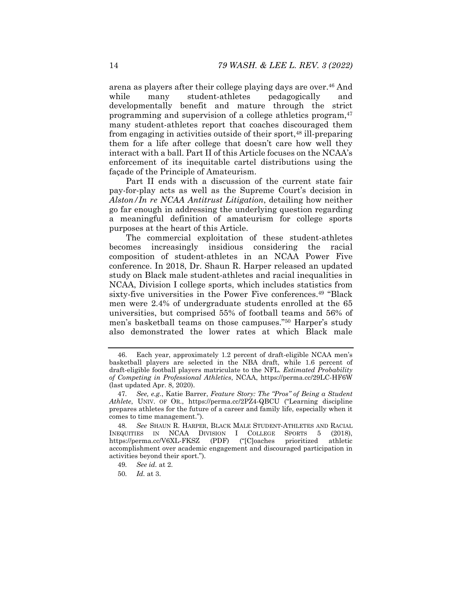arena as players after their college playing days are over.46 And while many student-athletes pedagogically and developmentally benefit and mature through the strict programming and supervision of a college athletics program,<sup>47</sup> many student-athletes report that coaches discouraged them from engaging in activities outside of their sport,<sup>48</sup> ill-preparing them for a life after college that doesn't care how well they interact with a ball. Part II of this Article focuses on the NCAA's enforcement of its inequitable cartel distributions using the façade of the Principle of Amateurism.

Part II ends with a discussion of the current state fair pay-for-play acts as well as the Supreme Court's decision in *Alston/In re NCAA Antitrust Litigation*, detailing how neither go far enough in addressing the underlying question regarding a meaningful definition of amateurism for college sports purposes at the heart of this Article.

The commercial exploitation of these student-athletes becomes increasingly insidious considering the racial composition of student-athletes in an NCAA Power Five conference. In 2018, Dr. Shaun R. Harper released an updated study on Black male student-athletes and racial inequalities in NCAA, Division I college sports, which includes statistics from sixty-five universities in the Power Five conferences.<sup>49</sup> "Black men were 2.4% of undergraduate students enrolled at the 65 universities, but comprised 55% of football teams and 56% of men's basketball teams on those campuses."50 Harper's study also demonstrated the lower rates at which Black male

- 49*. See id.* at 2.
- 50*. Id.* at 3.

 <sup>46.</sup> Each year, approximately 1.2 percent of draft-eligible NCAA men's basketball players are selected in the NBA draft, while 1.6 percent of draft-eligible football players matriculate to the NFL. *Estimated Probability of Competing in Professional Athletics*, NCAA, https://perma.cc/29LC-HF6W (last updated Apr. 8, 2020).

<sup>47</sup>*. See, e.g.*, Katie Barrer, *Feature Story: The "Pros" of Being a Student Athlete*, UNIV. OF OR., https://perma.cc/2PZ4-QBCU ("Learning discipline prepares athletes for the future of a career and family life, especially when it comes to time management.").

<sup>48</sup>*. See* SHAUN R. HARPER, BLACK MALE STUDENT-ATHLETES AND RACIAL INEQUITIES IN NCAA DIVISION I COLLEGE SPORTS 5 (2018), https://perma.cc/V6XL-FKSZ (PDF) ("[C]oaches prioritized athletic accomplishment over academic engagement and discouraged participation in activities beyond their sport.").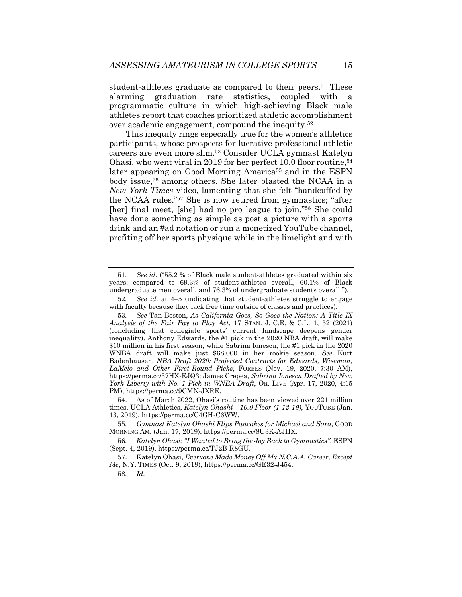student-athletes graduate as compared to their peers.<sup>51</sup> These alarming graduation rate statistics, coupled with a programmatic culture in which high-achieving Black male athletes report that coaches prioritized athletic accomplishment over academic engagement, compound the inequity.52

This inequity rings especially true for the women's athletics participants, whose prospects for lucrative professional athletic careers are even more slim.53 Consider UCLA gymnast Katelyn Ohasi, who went viral in 2019 for her perfect 10.0 floor routine,54 later appearing on Good Morning America<sup>55</sup> and in the ESPN body issue,56 among others. She later blasted the NCAA in a *New York Times* video, lamenting that she felt "handcuffed by the NCAA rules."57 She is now retired from gymnastics; "after [her] final meet, [she] had no pro league to join."58 She could have done something as simple as post a picture with a sports drink and an #ad notation or run a monetized YouTube channel, profiting off her sports physique while in the limelight and with

 54. As of March 2022, Ohasi's routine has been viewed over 221 million times. UCLA Athletics, *Katelyn Ohashi—10.0 Floor (1-12-19)*, YOUTUBE (Jan. 13, 2019), https://perma.cc/C4GH-C6WW.

58*. Id.* 

<sup>51</sup>*. See id.* ("55.2 % of Black male student-athletes graduated within six years, compared to 69.3% of student-athletes overall, 60.1% of Black undergraduate men overall, and 76.3% of undergraduate students overall.").

<sup>52</sup>*. See id.* at 4–5 (indicating that student-athletes struggle to engage with faculty because they lack free time outside of classes and practices).

<sup>53</sup>*. See* Tan Boston, *As California Goes, So Goes the Nation: A Title IX Analysis of the Fair Pay to Play Act*, 17 STAN. J. C.R. & C.L. 1, 52 (2021) (concluding that collegiate sports' current landscape deepens gender inequality). Anthony Edwards, the #1 pick in the 2020 NBA draft, will make \$10 million in his first season, while Sabrina Ionescu, the #1 pick in the 2020 WNBA draft will make just \$68,000 in her rookie season. *See* Kurt Badenhausen, *NBA Draft 2020: Projected Contracts for Edwards, Wiseman, LaMelo and Other First-Round Picks*, FORBES (Nov. 19, 2020, 7:30 AM), https://perma.cc/37HX-EJQ3; James Crepea, *Sabrina Ionescu Drafted by New York Liberty with No. 1 Pick in WNBA Draft*, OR. LIVE (Apr. 17, 2020, 4:15 PM), https://perma.cc/9CMN-JXRE.

<sup>55</sup>*. Gymnast Katelyn Ohashi Flips Pancakes for Michael and Sara*, GOOD MORNING AM. (Jan. 17, 2019), https://perma.cc/8U3K-AJHX.

<sup>56</sup>*. Katelyn Ohasi: "I Wanted to Bring the Joy Back to Gymnastics"*, ESPN (Sept. 4, 2019), https://perma.cc/TJ2B-R8GU.

 <sup>57.</sup> Katelyn Ohasi, *Everyone Made Money Off My N.C.A.A. Career, Except Me*, N.Y. TIMES (Oct. 9, 2019), https://perma.cc/GE32-J454.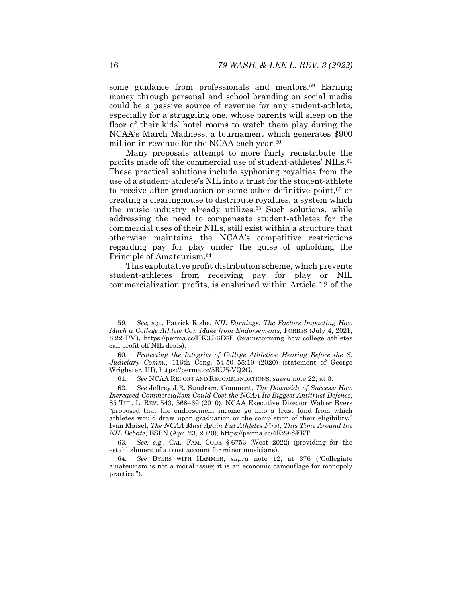some guidance from professionals and mentors.<sup>59</sup> Earning money through personal and school branding on social media could be a passive source of revenue for any student-athlete, especially for a struggling one, whose parents will sleep on the floor of their kids' hotel rooms to watch them play during the NCAA's March Madness, a tournament which generates \$900 million in revenue for the NCAA each year.<sup>60</sup>

Many proposals attempt to more fairly redistribute the profits made off the commercial use of student-athletes' NILs.<sup>61</sup> These practical solutions include syphoning royalties from the use of a student-athlete's NIL into a trust for the student-athlete to receive after graduation or some other definitive point,<sup>62</sup> or creating a clearinghouse to distribute royalties, a system which the music industry already utilizes.63 Such solutions, while addressing the need to compensate student-athletes for the commercial uses of their NILs, still exist within a structure that otherwise maintains the NCAA's competitive restrictions regarding pay for play under the guise of upholding the Principle of Amateurism.64

This exploitative profit distribution scheme, which prevents student-athletes from receiving pay for play or NIL commercialization profits, is enshrined within Article 12 of the

63*. See, e.g.*, CAL. FAM. CODE § 6753 (West 2022) (providing for the establishment of a trust account for minor musicians).

<sup>59</sup>*. See, e.g.*, Patrick Rishe, *NIL Earnings: The Factors Impacting How Much a College Athlete Can Make from Endorsements*, FORBES (July 4, 2021, 8:22 PM), https://perma.cc/HK3J-6E6E (brainstorming how college athletes can profit off NIL deals).

<sup>60</sup>*. Protecting the Integrity of College Athletics: Hearing Before the S. Judiciary Comm.*, 116th Cong. 54:50–55:10 (2020) (statement of George Wrighster, III), https://perma.cc/5RU5-VQ2G.

<sup>61</sup>*. See* NCAA REPORT AND RECOMMENDATIONS, *supra* note 22, at 3.

<sup>62</sup>*. See* Jeffrey J.R. Sundram, Comment, *The Downside of Success: How Increased Commercialism Could Cost the NCAA Its Biggest Antitrust Defense*, 85 TUL. L. REV. 543, 568–69 (2010). NCAA Executive Director Walter Byers "proposed that the endorsement income go into a trust fund from which athletes would draw upon graduation or the completion of their eligibility." Ivan Maisel, *The NCAA Must Again Put Athletes First, This Time Around the NIL Debate*, ESPN (Apr. 23, 2020), https://perma.cc/4K29-SFKT.

<sup>64</sup>*. See* BYERS WITH HAMMER, *supra* note 12, at 376 ("Collegiate amateurism is not a moral issue; it is an economic camouflage for monopoly practice.").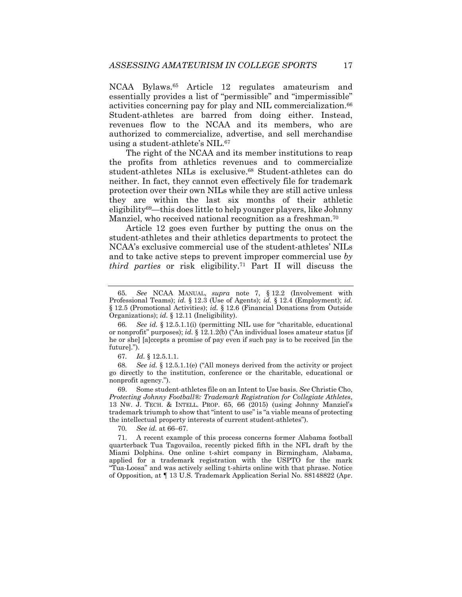NCAA Bylaws.65 Article 12 regulates amateurism and essentially provides a list of "permissible" and "impermissible" activities concerning pay for play and NIL commercialization.<sup>66</sup> Student-athletes are barred from doing either. Instead, revenues flow to the NCAA and its members, who are authorized to commercialize, advertise, and sell merchandise using a student-athlete's NIL.67

The right of the NCAA and its member institutions to reap the profits from athletics revenues and to commercialize student-athletes NILs is exclusive.68 Student-athletes can do neither. In fact, they cannot even effectively file for trademark protection over their own NILs while they are still active unless they are within the last six months of their athletic eligibility69—this does little to help younger players, like Johnny Manziel, who received national recognition as a freshman.<sup>70</sup>

Article 12 goes even further by putting the onus on the student-athletes and their athletics departments to protect the NCAA's exclusive commercial use of the student-athletes' NILs and to take active steps to prevent improper commercial use *by third parties* or risk eligibility.71 Part II will discuss the

70*. See id.* at 66–67.

<sup>65</sup>*. See* NCAA MANUAL, *supra* note 7, § 12.2 (Involvement with Professional Teams); *id.* § 12.3 (Use of Agents); *id.* § 12.4 (Employment); *id.*  § 12.5 (Promotional Activities); *id.* § 12.6 (Financial Donations from Outside Organizations); *id.* § 12.11 (Ineligibility).

<sup>66</sup>*. See id.* § 12.5.1.1(i) (permitting NIL use for "charitable, educational or nonprofit" purposes); *id.* § 12.1.2(b) ("An individual loses amateur status [if he or she] [a]ccepts a promise of pay even if such pay is to be received [in the future].").

<sup>67</sup>*. Id.* § 12.5.1.1.

<sup>68</sup>*. See id.* § 12.5.1.1(e) ("All moneys derived from the activity or project go directly to the institution, conference or the charitable, educational or nonprofit agency.").

 <sup>69.</sup> Some student-athletes file on an Intent to Use basis. *See* Christie Cho, *Protecting Johnny Football®: Trademark Registration for Collegiate Athletes*, 13 NW. J. TECH. & INTELL. PROP. 65, 66 (2015) (using Johnny Manziel's trademark triumph to show that "intent to use" is "a viable means of protecting the intellectual property interests of current student-athletes").

 <sup>71.</sup> A recent example of this process concerns former Alabama football quarterback Tua Tagovailoa, recently picked fifth in the NFL draft by the Miami Dolphins. One online t-shirt company in Birmingham, Alabama, applied for a trademark registration with the USPTO for the mark "Tua-Loosa" and was actively selling t-shirts online with that phrase. Notice of Opposition, at ¶ 13 U.S. Trademark Application Serial No. 88148822 (Apr.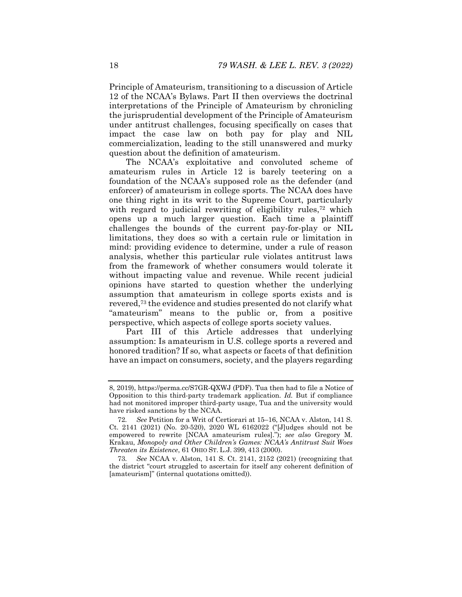Principle of Amateurism, transitioning to a discussion of Article 12 of the NCAA's Bylaws. Part II then overviews the doctrinal interpretations of the Principle of Amateurism by chronicling the jurisprudential development of the Principle of Amateurism under antitrust challenges, focusing specifically on cases that impact the case law on both pay for play and NIL commercialization, leading to the still unanswered and murky question about the definition of amateurism.

The NCAA's exploitative and convoluted scheme of amateurism rules in Article 12 is barely teetering on a foundation of the NCAA's supposed role as the defender (and enforcer) of amateurism in college sports. The NCAA does have one thing right in its writ to the Supreme Court, particularly with regard to judicial rewriting of eligibility rules,<sup>72</sup> which opens up a much larger question. Each time a plaintiff challenges the bounds of the current pay-for-play or NIL limitations, they does so with a certain rule or limitation in mind: providing evidence to determine, under a rule of reason analysis, whether this particular rule violates antitrust laws from the framework of whether consumers would tolerate it without impacting value and revenue. While recent judicial opinions have started to question whether the underlying assumption that amateurism in college sports exists and is revered,73 the evidence and studies presented do not clarify what "amateurism" means to the public or, from a positive perspective, which aspects of college sports society values.

Part III of this Article addresses that underlying assumption: Is amateurism in U.S. college sports a revered and honored tradition? If so, what aspects or facets of that definition have an impact on consumers, society, and the players regarding

<sup>8, 2019),</sup> https://perma.cc/S7GR-QXWJ (PDF). Tua then had to file a Notice of Opposition to this third-party trademark application. *Id.* But if compliance had not monitored improper third-party usage, Tua and the university would have risked sanctions by the NCAA.

<sup>72</sup>*. See* Petition for a Writ of Certiorari at 15–16, NCAA v. Alston, 141 S. Ct. 2141 (2021) (No. 20-520), 2020 WL 6162022 ("[J]udges should not be empowered to rewrite [NCAA amateurism rules]."); *see also* Gregory M. Krakau, *Monopoly and Other Children's Games: NCAA's Antitrust Suit Woes Threaten its Existence*, 61 OHIO ST. L.J. 399, 413 (2000).

<sup>73</sup>*. See* NCAA v. Alston, 141 S. Ct. 2141, 2152 (2021) (recognizing that the district "court struggled to ascertain for itself any coherent definition of [amateurism]" (internal quotations omitted)).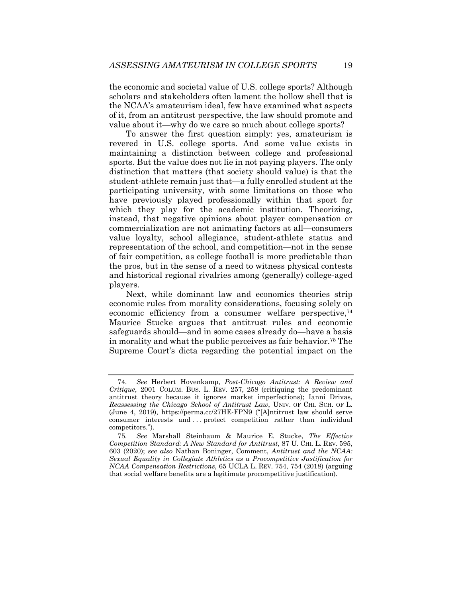the economic and societal value of U.S. college sports? Although scholars and stakeholders often lament the hollow shell that is the NCAA's amateurism ideal, few have examined what aspects of it, from an antitrust perspective, the law should promote and value about it—why do we care so much about college sports?

To answer the first question simply: yes, amateurism is revered in U.S. college sports. And some value exists in maintaining a distinction between college and professional sports. But the value does not lie in not paying players. The only distinction that matters (that society should value) is that the student-athlete remain just that—a fully enrolled student at the participating university, with some limitations on those who have previously played professionally within that sport for which they play for the academic institution. Theorizing, instead, that negative opinions about player compensation or commercialization are not animating factors at all—consumers value loyalty, school allegiance, student-athlete status and representation of the school, and competition—not in the sense of fair competition, as college football is more predictable than the pros, but in the sense of a need to witness physical contests and historical regional rivalries among (generally) college-aged players.

Next, while dominant law and economics theories strip economic rules from morality considerations, focusing solely on economic efficiency from a consumer welfare perspective,<sup>74</sup> Maurice Stucke argues that antitrust rules and economic safeguards should—and in some cases already do—have a basis in morality and what the public perceives as fair behavior.75 The Supreme Court's dicta regarding the potential impact on the

<sup>74</sup>*. See* Herbert Hovenkamp, *Post-Chicago Antitrust: A Review and Critique*, 2001 COLUM. BUS. L. REV. 257, 258 (critiquing the predominant antitrust theory because it ignores market imperfections); Ianni Drivas, *Reassessing the Chicago School of Antitrust Law*, UNIV. OF CHI. SCH. OF L. (June 4, 2019), https://perma.cc/27HE-FPN9 ("[A]ntitrust law should serve consumer interests and . . . protect competition rather than individual competitors.").

<sup>75</sup>*. See* Marshall Steinbaum & Maurice E. Stucke, *The Effective Competition Standard: A New Standard for Antitrust*, 87 U. CHI. L. REV. 595, 603 (2020); *see also* Nathan Boninger, Comment, *Antitrust and the NCAA: Sexual Equality in Collegiate Athletics as a Procompetitive Justification for NCAA Compensation Restrictions*, 65 UCLA L. REV. 754, 754 (2018) (arguing that social welfare benefits are a legitimate procompetitive justification).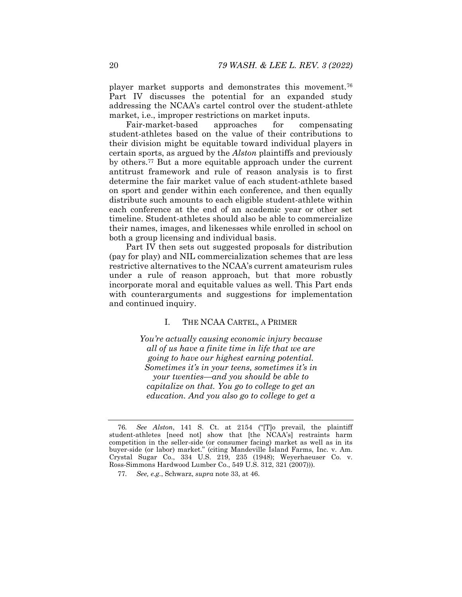player market supports and demonstrates this movement.76 Part IV discusses the potential for an expanded study addressing the NCAA's cartel control over the student-athlete market, i.e., improper restrictions on market inputs.

Fair-market-based approaches for compensating student-athletes based on the value of their contributions to their division might be equitable toward individual players in certain sports, as argued by the *Alston* plaintiffs and previously by others.77 But a more equitable approach under the current antitrust framework and rule of reason analysis is to first determine the fair market value of each student-athlete based on sport and gender within each conference, and then equally distribute such amounts to each eligible student-athlete within each conference at the end of an academic year or other set timeline. Student-athletes should also be able to commercialize their names, images, and likenesses while enrolled in school on both a group licensing and individual basis.

Part IV then sets out suggested proposals for distribution (pay for play) and NIL commercialization schemes that are less restrictive alternatives to the NCAA's current amateurism rules under a rule of reason approach, but that more robustly incorporate moral and equitable values as well. This Part ends with counterarguments and suggestions for implementation and continued inquiry.

#### I. THE NCAA CARTEL, A PRIMER

*You're actually causing economic injury because all of us have a finite time in life that we are going to have our highest earning potential. Sometimes it's in your teens, sometimes it's in your twenties—and you should be able to capitalize on that. You go to college to get an education. And you also go to college to get a* 

<sup>76</sup>*. See Alston*, 141 S. Ct. at 2154 ("[T]o prevail, the plaintiff student-athletes [need not] show that [the NCAA's] restraints harm competition in the seller-side (or consumer facing) market as well as in its buyer-side (or labor) market." (citing Mandeville Island Farms, Inc. v. Am. Crystal Sugar Co., 334 U.S. 219, 235 (1948); Weyerhaeuser Co. v. Ross-Simmons Hardwood Lumber Co., 549 U.S. 312, 321 (2007))).

<sup>77</sup>*. See, e.g.*, Schwarz, *supra* note 33, at 46.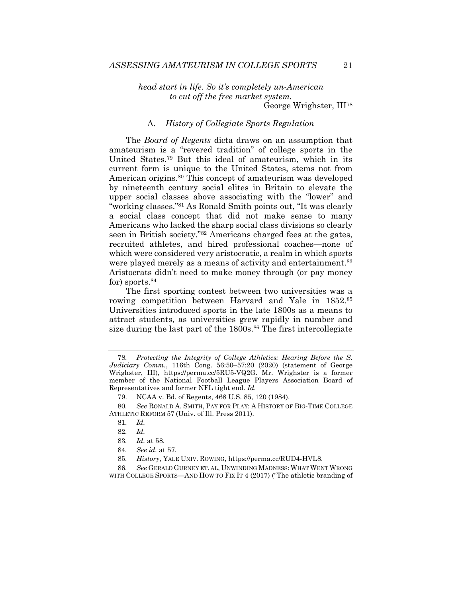*head start in life. So it's completely un-American to cut off the free market system.* 

George Wrighster, III78

#### A. *History of Collegiate Sports Regulation*

The *Board of Regents* dicta draws on an assumption that amateurism is a "revered tradition" of college sports in the United States.79 But this ideal of amateurism, which in its current form is unique to the United States, stems not from American origins.80 This concept of amateurism was developed by nineteenth century social elites in Britain to elevate the upper social classes above associating with the "lower" and "working classes."81 As Ronald Smith points out, "It was clearly a social class concept that did not make sense to many Americans who lacked the sharp social class divisions so clearly seen in British society."82 Americans charged fees at the gates, recruited athletes, and hired professional coaches—none of which were considered very aristocratic, a realm in which sports were played merely as a means of activity and entertainment.<sup>83</sup> Aristocrats didn't need to make money through (or pay money for) sports.<sup>84</sup>

The first sporting contest between two universities was a rowing competition between Harvard and Yale in 1852.<sup>85</sup> Universities introduced sports in the late 1800s as a means to attract students, as universities grew rapidly in number and size during the last part of the 1800s.<sup>86</sup> The first intercollegiate

79. NCAA v. Bd. of Regents, 468 U.S. 85, 120 (1984).

80*. See* RONALD A. SMITH, PAY FOR PLAY: A HISTORY OF BIG-TIME COLLEGE ATHLETIC REFORM 57 (Univ. of Ill. Press 2011).

86*. See* GERALD GURNEY ET. AL, UNWINDING MADNESS: WHAT WENT WRONG WITH COLLEGE SPORTS—AND HOW TO FIX IT 4 (2017) ("The athletic branding of

<sup>78</sup>*. Protecting the Integrity of College Athletics: Hearing Before the S. Judiciary Comm.*, 116th Cong. 56:50–57:20 (2020) (statement of George Wrighster, III), https://perma.cc/5RU5-VQ2G. Mr. Wrighster is a former member of the National Football League Players Association Board of Representatives and former NFL tight end. *Id.*

<sup>81</sup>*. Id.*

<sup>82</sup>*. Id.*

<sup>83</sup>*. Id.* at 58.

<sup>84</sup>*. See id.* at 57.

<sup>85</sup>*. History*, YALE UNIV. ROWING, https://perma.cc/RUD4-HVL8.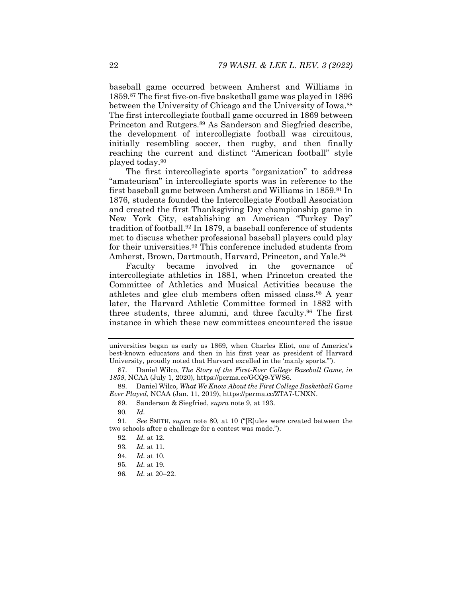baseball game occurred between Amherst and Williams in 1859.87 The first five-on-five basketball game was played in 1896 between the University of Chicago and the University of Iowa.<sup>88</sup> The first intercollegiate football game occurred in 1869 between Princeton and Rutgers.89 As Sanderson and Siegfried describe, the development of intercollegiate football was circuitous, initially resembling soccer, then rugby, and then finally reaching the current and distinct "American football" style played today.90

The first intercollegiate sports "organization" to address "amateurism" in intercollegiate sports was in reference to the first baseball game between Amherst and Williams in 1859.91 In 1876, students founded the Intercollegiate Football Association and created the first Thanksgiving Day championship game in New York City, establishing an American "Turkey Day" tradition of football.92 In 1879, a baseball conference of students met to discuss whether professional baseball players could play for their universities.<sup>93</sup> This conference included students from Amherst, Brown, Dartmouth, Harvard, Princeton, and Yale.<sup>94</sup>

Faculty became involved in the governance of intercollegiate athletics in 1881, when Princeton created the Committee of Athletics and Musical Activities because the athletes and glee club members often missed class.95 A year later, the Harvard Athletic Committee formed in 1882 with three students, three alumni, and three faculty.96 The first instance in which these new committees encountered the issue

universities began as early as 1869, when Charles Eliot, one of America's best-known educators and then in his first year as president of Harvard University, proudly noted that Harvard excelled in the 'manly sports.'").

 <sup>87.</sup> Daniel Wilco, *The Story of the First-Ever College Baseball Game, in 1859*, NCAA (July 1, 2020), https://perma.cc/GCQ9-YWS6.

 <sup>88.</sup> Daniel Wilco, *What We Know About the First College Basketball Game Ever Played*, NCAA (Jan. 11, 2019), https://perma.cc/ZTA7-UNXN.

 <sup>89.</sup> Sanderson & Siegfried, *supra* note 9, at 193.

<sup>90</sup>*. Id.*

<sup>91</sup>*. See* SMITH, *supra* note 80, at 10 ("[R]ules were created between the two schools after a challenge for a contest was made.").

<sup>92</sup>*. Id.* at 12.

<sup>93</sup>*. Id.* at 11.

<sup>94</sup>*. Id.* at 10.

<sup>95</sup>*. Id.* at 19.

<sup>96</sup>*. Id.* at 20–22.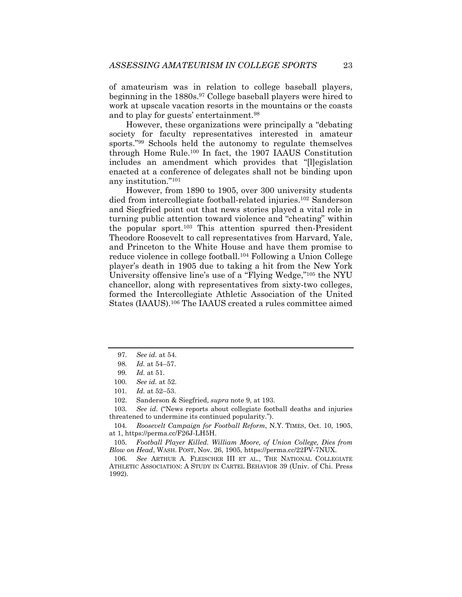of amateurism was in relation to college baseball players, beginning in the 1880s.97 College baseball players were hired to work at upscale vacation resorts in the mountains or the coasts and to play for guests' entertainment.98

However, these organizations were principally a "debating society for faculty representatives interested in amateur sports."99 Schools held the autonomy to regulate themselves through Home Rule.100 In fact, the 1907 IAAUS Constitution includes an amendment which provides that "[l]egislation enacted at a conference of delegates shall not be binding upon any institution."101

However, from 1890 to 1905, over 300 university students died from intercollegiate football-related injuries.102 Sanderson and Siegfried point out that news stories played a vital role in turning public attention toward violence and "cheating" within the popular sport.103 This attention spurred then-President Theodore Roosevelt to call representatives from Harvard, Yale, and Princeton to the White House and have them promise to reduce violence in college football.104 Following a Union College player's death in 1905 due to taking a hit from the New York University offensive line's use of a "Flying Wedge,"105 the NYU chancellor, along with representatives from sixty-two colleges, formed the Intercollegiate Athletic Association of the United States (IAAUS).106 The IAAUS created a rules committee aimed

103*. See id.* ("News reports about collegiate football deaths and injuries threatened to undermine its continued popularity.").

104*. Roosevelt Campaign for Football Reform*, N.Y. TIMES, Oct. 10, 1905, at 1, https://perma.cc/F26J-LH5H.

105*. Football Player Killed. William Moore, of Union College, Dies from Blow on Head*, WASH. POST, Nov. 26, 1905, https://perma.cc/22PV-7NUX.

106*. See* ARTHUR A. FLEISCHER III ET AL., THE NATIONAL COLLEGIATE ATHLETIC ASSOCIATION: A STUDY IN CARTEL BEHAVIOR 39 (Univ. of Chi. Press 1992).

<sup>97</sup>*. See id.* at 54.

<sup>98</sup>*. Id.* at 54–57.

<sup>99</sup>*. Id.* at 51.

<sup>100</sup>*. See id.* at 52.

<sup>101</sup>*. Id.* at 52–53.

 <sup>102.</sup> Sanderson & Siegfried, *supra* note 9, at 193.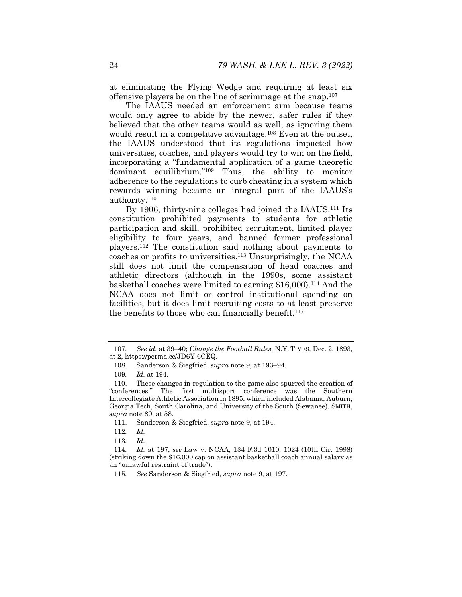at eliminating the Flying Wedge and requiring at least six offensive players be on the line of scrimmage at the snap.107

The IAAUS needed an enforcement arm because teams would only agree to abide by the newer, safer rules if they believed that the other teams would as well, as ignoring them would result in a competitive advantage.<sup>108</sup> Even at the outset, the IAAUS understood that its regulations impacted how universities, coaches, and players would try to win on the field, incorporating a "fundamental application of a game theoretic dominant equilibrium."109 Thus, the ability to monitor adherence to the regulations to curb cheating in a system which rewards winning became an integral part of the IAAUS's authority.110

By 1906, thirty-nine colleges had joined the IAAUS.<sup>111</sup> Its constitution prohibited payments to students for athletic participation and skill, prohibited recruitment, limited player eligibility to four years, and banned former professional players.112 The constitution said nothing about payments to coaches or profits to universities.113 Unsurprisingly, the NCAA still does not limit the compensation of head coaches and athletic directors (although in the 1990s, some assistant basketball coaches were limited to earning \$16,000).114 And the NCAA does not limit or control institutional spending on facilities, but it does limit recruiting costs to at least preserve the benefits to those who can financially benefit.115

<sup>107</sup>*. See id.* at 39–40; *Change the Football Rules*, N.Y. TIMES, Dec. 2, 1893, at 2, https://perma.cc/JD6Y-6CEQ.

 <sup>108.</sup> Sanderson & Siegfried, *supra* note 9, at 193–94.

<sup>109</sup>*. Id.* at 194.

 <sup>110.</sup> These changes in regulation to the game also spurred the creation of "conferences." The first multisport conference was the Southern Intercollegiate Athletic Association in 1895, which included Alabama, Auburn, Georgia Tech, South Carolina, and University of the South (Sewanee). SMITH, *supra* note 80, at 58.

 <sup>111.</sup> Sanderson & Siegfried, *supra* note 9, at 194.

<sup>112</sup>*. Id.*

<sup>113</sup>*. Id.*

<sup>114</sup>*. Id.* at 197; *see* Law v. NCAA, 134 F.3d 1010, 1024 (10th Cir. 1998) (striking down the \$16,000 cap on assistant basketball coach annual salary as an "unlawful restraint of trade").

<sup>115</sup>*. See* Sanderson & Siegfried, *supra* note 9, at 197.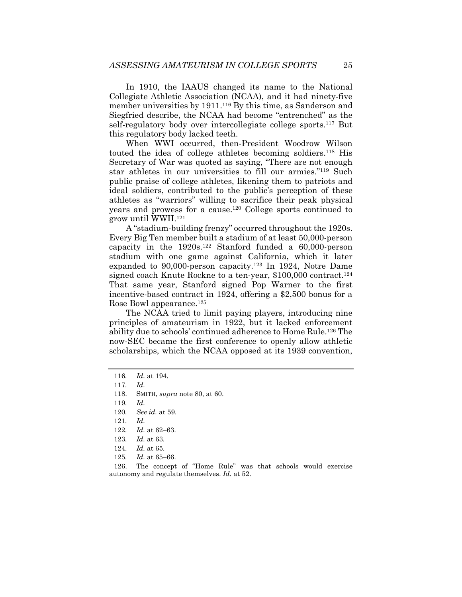In 1910, the IAAUS changed its name to the National Collegiate Athletic Association (NCAA), and it had ninety-five member universities by 1911.<sup>116</sup> By this time, as Sanderson and Siegfried describe, the NCAA had become "entrenched" as the self-regulatory body over intercollegiate college sports.<sup>117</sup> But this regulatory body lacked teeth.

When WWI occurred, then-President Woodrow Wilson touted the idea of college athletes becoming soldiers.118 His Secretary of War was quoted as saying, "There are not enough star athletes in our universities to fill our armies."119 Such public praise of college athletes, likening them to patriots and ideal soldiers, contributed to the public's perception of these athletes as "warriors" willing to sacrifice their peak physical years and prowess for a cause.120 College sports continued to grow until WWII.121

A "stadium-building frenzy" occurred throughout the 1920s. Every Big Ten member built a stadium of at least 50,000-person capacity in the  $1920s$ .<sup>122</sup> Stanford funded a  $60,000$ -person stadium with one game against California, which it later expanded to 90,000-person capacity.123 In 1924, Notre Dame signed coach Knute Rockne to a ten-year, \$100,000 contract.<sup>124</sup> That same year, Stanford signed Pop Warner to the first incentive-based contract in 1924, offering a \$2,500 bonus for a Rose Bowl appearance.125

The NCAA tried to limit paying players, introducing nine principles of amateurism in 1922, but it lacked enforcement ability due to schools' continued adherence to Home Rule.126 The now-SEC became the first conference to openly allow athletic scholarships, which the NCAA opposed at its 1939 convention,

122*. Id.* at 62–63.

 126. The concept of "Home Rule" was that schools would exercise autonomy and regulate themselves. *Id.* at 52.

<sup>116</sup>*. Id.* at 194.

<sup>117</sup>*. Id.*

 <sup>118.</sup> SMITH, *supra* note 80, at 60.

<sup>119</sup>*. Id.*

<sup>120</sup>*. See id.* at 59.

<sup>121</sup>*. Id.*

<sup>123</sup>*. Id.* at 63.

<sup>124</sup>*. Id.* at 65.

<sup>125</sup>*. Id.* at 65–66.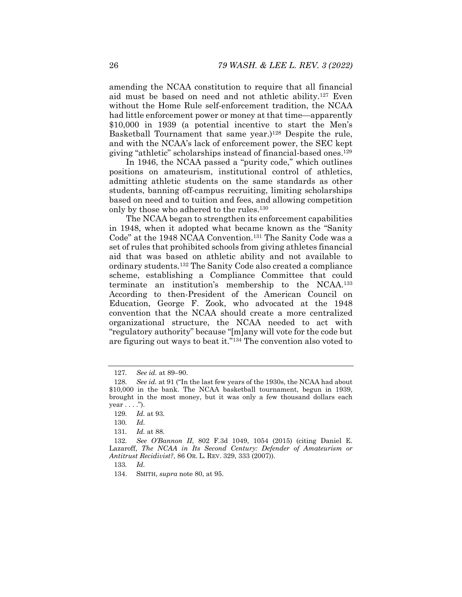amending the NCAA constitution to require that all financial aid must be based on need and not athletic ability.127 Even without the Home Rule self-enforcement tradition, the NCAA had little enforcement power or money at that time—apparently \$10,000 in 1939 (a potential incentive to start the Men's Basketball Tournament that same year.)<sup>128</sup> Despite the rule, and with the NCAA's lack of enforcement power, the SEC kept giving "athletic" scholarships instead of financial-based ones.129

In 1946, the NCAA passed a "purity code," which outlines positions on amateurism, institutional control of athletics, admitting athletic students on the same standards as other students, banning off-campus recruiting, limiting scholarships based on need and to tuition and fees, and allowing competition only by those who adhered to the rules.130

The NCAA began to strengthen its enforcement capabilities in 1948, when it adopted what became known as the "Sanity Code" at the 1948 NCAA Convention.131 The Sanity Code was a set of rules that prohibited schools from giving athletes financial aid that was based on athletic ability and not available to ordinary students.132 The Sanity Code also created a compliance scheme, establishing a Compliance Committee that could terminate an institution's membership to the NCAA.133 According to then-President of the American Council on Education, George F. Zook, who advocated at the 1948 convention that the NCAA should create a more centralized organizational structure, the NCAA needed to act with "regulatory authority" because "[m]any will vote for the code but are figuring out ways to beat it."134 The convention also voted to

<sup>127</sup>*. See id.* at 89–90.

<sup>128</sup>*. See id.* at 91 ("In the last few years of the 1930s, the NCAA had about \$10,000 in the bank. The NCAA basketball tournament, begun in 1939, brought in the most money, but it was only a few thousand dollars each  $year \dots$ ").

<sup>129</sup>*. Id.* at 93.

<sup>130</sup>*. Id.*

<sup>131</sup>*. Id.* at 88.

<sup>132</sup>*. See O'Bannon II*, 802 F.3d 1049, 1054 (2015) (citing Daniel E. Lazaroff, *The NCAA in Its Second Century: Defender of Amateurism or Antitrust Recidivist?*, 86 OR. L. REV. 329, 333 (2007)).

<sup>133</sup>*. Id.*

 <sup>134.</sup> SMITH, *supra* note 80, at 95.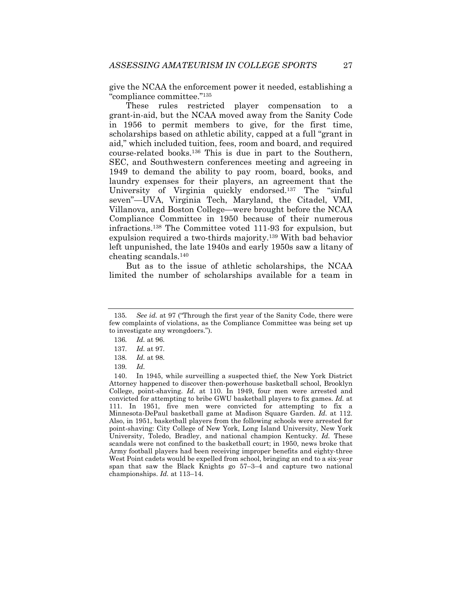give the NCAA the enforcement power it needed, establishing a "compliance committee."135

These rules restricted player compensation to a grant-in-aid, but the NCAA moved away from the Sanity Code in 1956 to permit members to give, for the first time, scholarships based on athletic ability, capped at a full "grant in aid," which included tuition, fees, room and board, and required course-related books.136 This is due in part to the Southern, SEC, and Southwestern conferences meeting and agreeing in 1949 to demand the ability to pay room, board, books, and laundry expenses for their players, an agreement that the University of Virginia quickly endorsed.137 The "sinful seven"—UVA, Virginia Tech, Maryland, the Citadel, VMI, Villanova, and Boston College—were brought before the NCAA Compliance Committee in 1950 because of their numerous infractions.138 The Committee voted 111-93 for expulsion, but expulsion required a two-thirds majority.139 With bad behavior left unpunished, the late 1940s and early 1950s saw a litany of cheating scandals.140

But as to the issue of athletic scholarships, the NCAA limited the number of scholarships available for a team in

<sup>135</sup>*. See id.* at 97 ("Through the first year of the Sanity Code, there were few complaints of violations, as the Compliance Committee was being set up to investigate any wrongdoers.").

<sup>136</sup>*. Id.* at 96.

<sup>137</sup>*. Id.* at 97.

<sup>138</sup>*. Id.* at 98.

<sup>139</sup>*. Id.*

 <sup>140.</sup> In 1945, while surveilling a suspected thief, the New York District Attorney happened to discover then-powerhouse basketball school, Brooklyn College, point-shaving. *Id.* at 110. In 1949, four men were arrested and convicted for attempting to bribe GWU basketball players to fix games. *Id.* at 111. In 1951, five men were convicted for attempting to fix a Minnesota-DePaul basketball game at Madison Square Garden. *Id.* at 112. Also, in 1951, basketball players from the following schools were arrested for point-shaving: City College of New York, Long Island University, New York University, Toledo, Bradley, and national champion Kentucky. *Id.* These scandals were not confined to the basketball court; in 1950, news broke that Army football players had been receiving improper benefits and eighty-three West Point cadets would be expelled from school, bringing an end to a six-year span that saw the Black Knights go 57–3–4 and capture two national championships. *Id.* at 113–14.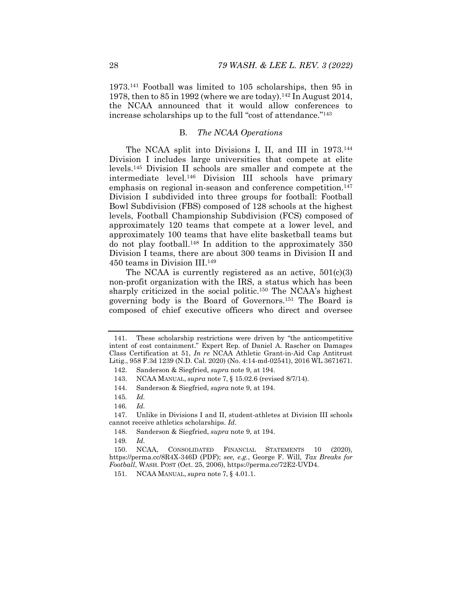1973.141 Football was limited to 105 scholarships, then 95 in 1978, then to  $85$  in 1992 (where we are today).<sup>142</sup> In August 2014, the NCAA announced that it would allow conferences to increase scholarships up to the full "cost of attendance."143

#### B. *The NCAA Operations*

The NCAA split into Divisions I, II, and III in 1973.<sup>144</sup> Division I includes large universities that compete at elite levels.145 Division II schools are smaller and compete at the intermediate level.146 Division III schools have primary emphasis on regional in-season and conference competition.<sup>147</sup> Division I subdivided into three groups for football: Football Bowl Subdivision (FBS) composed of 128 schools at the highest levels, Football Championship Subdivision (FCS) composed of approximately 120 teams that compete at a lower level, and approximately 100 teams that have elite basketball teams but do not play football.148 In addition to the approximately 350 Division I teams, there are about 300 teams in Division II and 450 teams in Division III.149

The NCAA is currently registered as an active,  $501(c)(3)$ non-profit organization with the IRS, a status which has been sharply criticized in the social politic.<sup>150</sup> The NCAA's highest governing body is the Board of Governors.151 The Board is composed of chief executive officers who direct and oversee

 <sup>141.</sup> These scholarship restrictions were driven by "the anticompetitive intent of cost containment." Expert Rep. of Daniel A. Rascher on Damages Class Certification at 51, *In re* NCAA Athletic Grant-in-Aid Cap Antitrust Litig., 958 F.3d 1239 (N.D. Cal. 2020) (No. 4:14-md-02541), 2016 WL 3671671.

 <sup>142.</sup> Sanderson & Siegfried, *supra* note 9, at 194.

 <sup>143.</sup> NCAA MANUAL, *supra* note 7, § 15.02.6 (revised 8/7/14).

 <sup>144.</sup> Sanderson & Siegfried, *supra* note 9, at 194.

<sup>145</sup>*. Id.*

<sup>146</sup>*. Id.*

 <sup>147.</sup> Unlike in Divisions I and II, student-athletes at Division III schools cannot receive athletics scholarships. *Id*.

 <sup>148.</sup> Sanderson & Siegfried, *supra* note 9, at 194.

<sup>149</sup>*. Id.*

 <sup>150.</sup> NCAA, CONSOLIDATED FINANCIAL STATEMENTS 10 (2020), https://perma.cc/8R4X-346D (PDF); *see, e.g.*, George F. Will, *Tax Breaks for Football*, WASH. POST (Oct. 25, 2006), https://perma.cc/72E2-UVD4.

 <sup>151.</sup> NCAA MANUAL, *supra* note 7, § 4.01.1.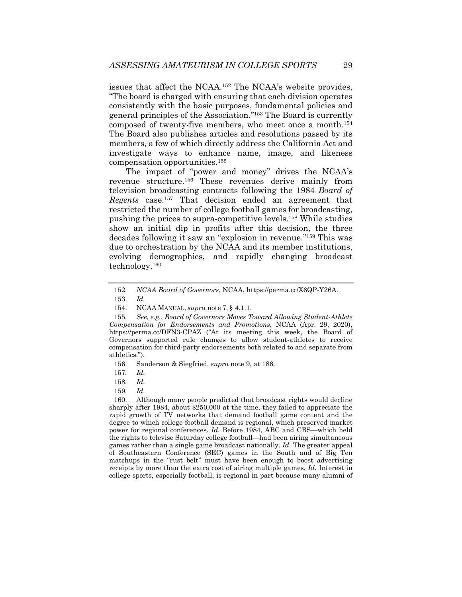issues that affect the NCAA.152 The NCAA's website provides, "The board is charged with ensuring that each division operates consistently with the basic purposes, fundamental policies and general principles of the Association."153 The Board is currently composed of twenty-five members, who meet once a month.154 The Board also publishes articles and resolutions passed by its members, a few of which directly address the California Act and investigate ways to enhance name, image, and likeness compensation opportunities.155

The impact of "power and money" drives the NCAA's revenue structure.156 These revenues derive mainly from television broadcasting contracts following the 1984 *Board of Regents* case.157 That decision ended an agreement that restricted the number of college football games for broadcasting, pushing the prices to supra-competitive levels.158 While studies show an initial dip in profits after this decision, the three decades following it saw an "explosion in revenue."159 This was due to orchestration by the NCAA and its member institutions, evolving demographics, and rapidly changing broadcast technology.160

156. Sanderson & Siegfried, *supra* note 9, at 186.

159*. Id.*

 160. Although many people predicted that broadcast rights would decline sharply after 1984, about \$250,000 at the time, they failed to appreciate the rapid growth of TV networks that demand football game content and the degree to which college football demand is regional, which preserved market power for regional conferences. *Id.* Before 1984, ABC and CBS—which held the rights to televise Saturday college football—had been airing simultaneous games rather than a single game broadcast nationally. *Id.* The greater appeal of Southeastern Conference (SEC) games in the South and of Big Ten matchups in the "rust belt" must have been enough to boost advertising receipts by more than the extra cost of airing multiple games. *Id.* Interest in college sports, especially football, is regional in part because many alumni of

<sup>152</sup>*. NCAA Board of Governors*, NCAA, https://perma.cc/X6QP-Y26A.

 <sup>153.</sup> *Id.* 

 <sup>154.</sup> NCAA MANUAL, *supra* note 7, § 4.1.1.

<sup>155</sup>*. See, e.g.*, *Board of Governors Moves Toward Allowing Student-Athlete Compensation for Endorsements and Promotions*, NCAA (Apr. 29, 2020), https://perma.cc/DFN3-CPAZ ("At its meeting this week, the Board of Governors supported rule changes to allow student-athletes to receive compensation for third-party endorsements both related to and separate from athletics.").

<sup>157</sup>*. Id.*

<sup>158</sup>*. Id.*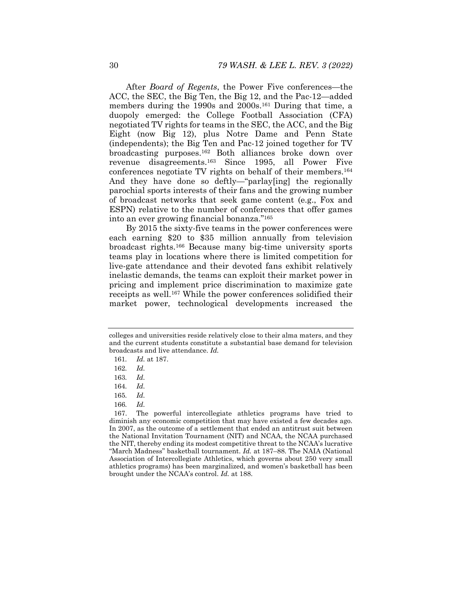After *Board of Regents*, the Power Five conferences—the ACC, the SEC, the Big Ten, the Big 12, and the Pac-12—added members during the 1990s and 2000s.<sup>161</sup> During that time, a duopoly emerged: the College Football Association (CFA) negotiated TV rights for teams in the SEC, the ACC, and the Big Eight (now Big 12), plus Notre Dame and Penn State (independents); the Big Ten and Pac-12 joined together for TV broadcasting purposes.162 Both alliances broke down over revenue disagreements.163 Since 1995, all Power Five conferences negotiate TV rights on behalf of their members.164 And they have done so deftly—"parlay[ing] the regionally parochial sports interests of their fans and the growing number of broadcast networks that seek game content (e.g., Fox and ESPN) relative to the number of conferences that offer games into an ever growing financial bonanza."165

By 2015 the sixty-five teams in the power conferences were each earning \$20 to \$35 million annually from television broadcast rights.166 Because many big-time university sports teams play in locations where there is limited competition for live-gate attendance and their devoted fans exhibit relatively inelastic demands, the teams can exploit their market power in pricing and implement price discrimination to maximize gate receipts as well.167 While the power conferences solidified their market power, technological developments increased the

166*. Id.*

colleges and universities reside relatively close to their alma maters, and they and the current students constitute a substantial base demand for television broadcasts and live attendance. *Id.*

<sup>161</sup>*. Id.* at 187.

<sup>162</sup>*. Id.*

<sup>163</sup>*. Id.*

<sup>164</sup>*. Id.* 

<sup>165</sup>*. Id.*

 <sup>167.</sup> The powerful intercollegiate athletics programs have tried to diminish any economic competition that may have existed a few decades ago. In 2007, as the outcome of a settlement that ended an antitrust suit between the National Invitation Tournament (NIT) and NCAA, the NCAA purchased the NIT, thereby ending its modest competitive threat to the NCAA's lucrative ''March Madness'' basketball tournament. *Id.* at 187–88. The NAIA (National Association of Intercollegiate Athletics, which governs about 250 very small athletics programs) has been marginalized, and women's basketball has been brought under the NCAA's control. *Id.* at 188.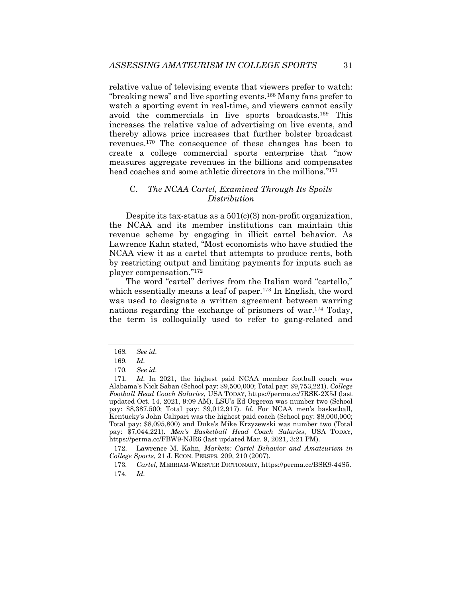relative value of televising events that viewers prefer to watch: ''breaking news'' and live sporting events.168 Many fans prefer to watch a sporting event in real-time, and viewers cannot easily avoid the commercials in live sports broadcasts.169 This increases the relative value of advertising on live events, and thereby allows price increases that further bolster broadcast revenues.170 The consequence of these changes has been to create a college commercial sports enterprise that "now measures aggregate revenues in the billions and compensates head coaches and some athletic directors in the millions."<sup>171</sup>

### C. *The NCAA Cartel, Examined Through Its Spoils Distribution*

Despite its tax-status as a 501(c)(3) non-profit organization, the NCAA and its member institutions can maintain this revenue scheme by engaging in illicit cartel behavior. As Lawrence Kahn stated, "Most economists who have studied the NCAA view it as a cartel that attempts to produce rents, both by restricting output and limiting payments for inputs such as player compensation."172

The word "cartel" derives from the Italian word "cartello," which essentially means a leaf of paper.<sup>173</sup> In English, the word was used to designate a written agreement between warring nations regarding the exchange of prisoners of war.174 Today, the term is colloquially used to refer to gang-related and

 172. Lawrence M. Kahn, *Markets: Cartel Behavior and Amateurism in College Sports*, 21 J. ECON. PERSPS. 209, 210 (2007).

<sup>168</sup>*. See id.*

<sup>169</sup>*. Id.*

<sup>170</sup>*. See id.* 

<sup>171</sup>*. Id.* In 2021, the highest paid NCAA member football coach was Alabama's Nick Saban (School pay: \$9,500,000; Total pay: \$9,753,221). *College Football Head Coach Salaries*, USA TODAY, https://perma.cc/7RSK-2X5J (last updated Oct. 14, 2021, 9:09 AM). LSU's Ed Orgeron was number two (School pay: \$8,387,500; Total pay: \$9,012,917). *Id.* For NCAA men's basketball, Kentucky's John Calipari was the highest paid coach (School pay: \$8,000,000; Total pay: \$8,095,800) and Duke's Mike Krzyzewski was number two (Total pay: \$7,044,221). *Men's Basketball Head Coach Salaries*, USA TODAY, https://perma.cc/FBW9-NJR6 (last updated Mar. 9, 2021, 3:21 PM).

<sup>173</sup>*. Cartel*, MERRIAM-WEBSTER DICTIONARY, https://perma.cc/BSK9-44S5. 174*. Id.*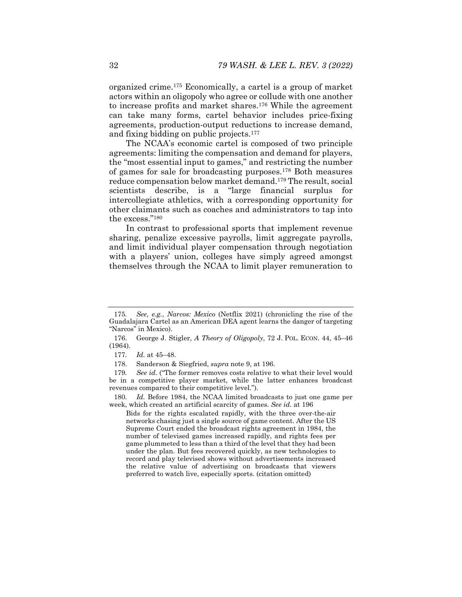organized crime.175 Economically, a cartel is a group of market actors within an oligopoly who agree or collude with one another to increase profits and market shares.176 While the agreement can take many forms, cartel behavior includes price-fixing agreements, production-output reductions to increase demand, and fixing bidding on public projects.177

The NCAA's economic cartel is composed of two principle agreements: limiting the compensation and demand for players, the "most essential input to games," and restricting the number of games for sale for broadcasting purposes.178 Both measures reduce compensation below market demand.179 The result, social scientists describe, is a "large financial surplus for intercollegiate athletics, with a corresponding opportunity for other claimants such as coaches and administrators to tap into the excess."180

In contrast to professional sports that implement revenue sharing, penalize excessive payrolls, limit aggregate payrolls, and limit individual player compensation through negotiation with a players' union, colleges have simply agreed amongst themselves through the NCAA to limit player remuneration to

Bids for the rights escalated rapidly, with the three over-the-air networks chasing just a single source of game content. After the US Supreme Court ended the broadcast rights agreement in 1984, the number of televised games increased rapidly, and rights fees per game plummeted to less than a third of the level that they had been under the plan. But fees recovered quickly, as new technologies to record and play televised shows without advertisements increased the relative value of advertising on broadcasts that viewers preferred to watch live, especially sports. (citation omitted)

<sup>175</sup>*. See, e.g.*, *Narcos: Mexico* (Netflix 2021) (chronicling the rise of the Guadalajara Cartel as an American DEA agent learns the danger of targeting "Narcos" in Mexico).

 <sup>176.</sup> George J. Stigler, *A Theory of Oligopoly*, 72 J. POL. ECON. 44, 45–46 (1964).

<sup>177</sup>*. Id.* at 45–48.

 <sup>178.</sup> Sanderson & Siegfried, *supra* note 9, at 196.

<sup>179</sup>*. See id.* ("The former removes costs relative to what their level would be in a competitive player market, while the latter enhances broadcast revenues compared to their competitive level.").

<sup>180</sup>*. Id.* Before 1984, the NCAA limited broadcasts to just one game per week, which created an artificial scarcity of games. *See id.* at 196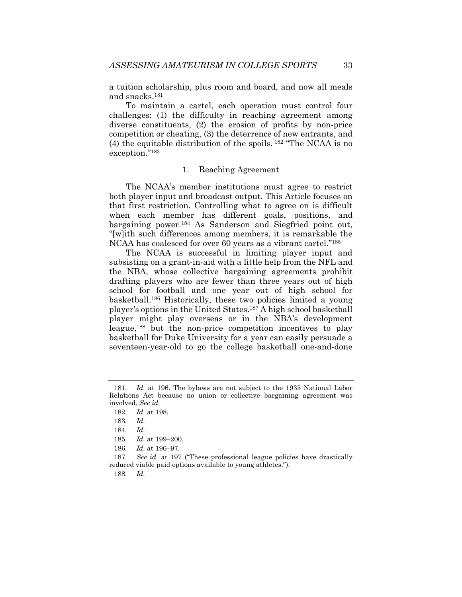a tuition scholarship, plus room and board, and now all meals and snacks.181

To maintain a cartel, each operation must control four challenges: (1) the difficulty in reaching agreement among diverse constituents, (2) the erosion of profits by non-price competition or cheating, (3) the deterrence of new entrants, and (4) the equitable distribution of the spoils. 182 "The NCAA is no exception."183

#### 1. Reaching Agreement

The NCAA's member institutions must agree to restrict both player input and broadcast output. This Article focuses on that first restriction. Controlling what to agree on is difficult when each member has different goals, positions, and bargaining power.184 As Sanderson and Siegfried point out, "[w]ith such differences among members, it is remarkable the NCAA has coalesced for over 60 years as a vibrant cartel."185

The NCAA is successful in limiting player input and subsisting on a grant-in-aid with a little help from the NFL and the NBA, whose collective bargaining agreements prohibit drafting players who are fewer than three years out of high school for football and one year out of high school for basketball.186 Historically, these two policies limited a young player's options in the United States.187 A high school basketball player might play overseas or in the NBA's development league,188 but the non-price competition incentives to play basketball for Duke University for a year can easily persuade a seventeen-year-old to go the college basketball one-and-done

188*. Id.*

<sup>181</sup>*. Id.* at 196. The bylaws are not subject to the 1935 National Labor Relations Act because no union or collective bargaining agreement was involved. *See id.*

<sup>182</sup>*. Id.* at 198.

<sup>183</sup>*. Id.*

<sup>184</sup>*. Id.*

<sup>185</sup>*. Id.* at 199–200.

<sup>186</sup>*. Id.* at 196–97.

<sup>187</sup>*. See id.* at 197 ("These professional league policies have drastically reduced viable paid options available to young athletes.").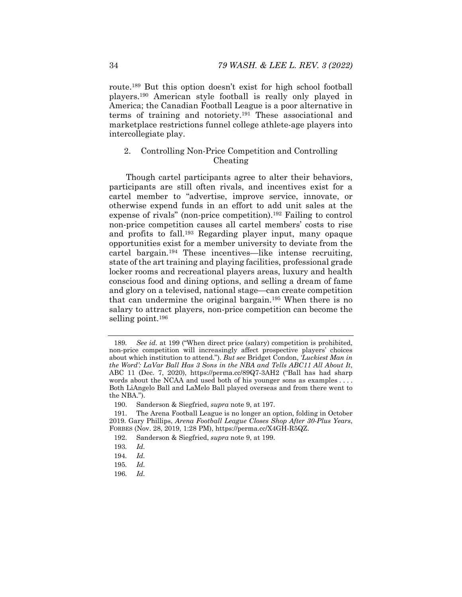route.189 But this option doesn't exist for high school football players.190 American style football is really only played in America; the Canadian Football League is a poor alternative in terms of training and notoriety.191 These associational and marketplace restrictions funnel college athlete-age players into intercollegiate play.

## 2. Controlling Non-Price Competition and Controlling Cheating

Though cartel participants agree to alter their behaviors, participants are still often rivals, and incentives exist for a cartel member to "advertise, improve service, innovate, or otherwise expend funds in an effort to add unit sales at the expense of rivals" (non-price competition).192 Failing to control non-price competition causes all cartel members' costs to rise and profits to fall.193 Regarding player input, many opaque opportunities exist for a member university to deviate from the cartel bargain.194 These incentives—like intense recruiting, state of the art training and playing facilities, professional grade locker rooms and recreational players areas, luxury and health conscious food and dining options, and selling a dream of fame and glory on a televised, national stage—can create competition that can undermine the original bargain.195 When there is no salary to attract players, non-price competition can become the selling point.<sup>196</sup>

196*. Id.*

<sup>189</sup>*. See id.* at 199 ("When direct price (salary) competition is prohibited, non-price competition will increasingly affect prospective players' choices about which institution to attend."). *But see* Bridget Condon, *'Luckiest Man in the Word': LaVar Ball Has 3 Sons in the NBA and Tells ABC11 All About It*, ABC 11 (Dec. 7, 2020), https://perma.cc/89Q7-3AH2 ("Ball has had sharp words about the NCAA and used both of his younger sons as examples . . . . Both LiAngelo Ball and LaMelo Ball played overseas and from there went to the NBA.").

 <sup>190.</sup> Sanderson & Siegfried, *supra* note 9, at 197.

 <sup>191.</sup> The Arena Football League is no longer an option, folding in October 2019. Gary Phillips, *Arena Football League Closes Shop After 30-Plus Years*, FORBES (Nov. 28, 2019, 1:28 PM), https://perma.cc/X4GH-R5QZ.

 <sup>192.</sup> Sanderson & Siegfried, *supra* note 9, at 199.

<sup>193</sup>*. Id.*

<sup>194</sup>*. Id.*

<sup>195</sup>*. Id.*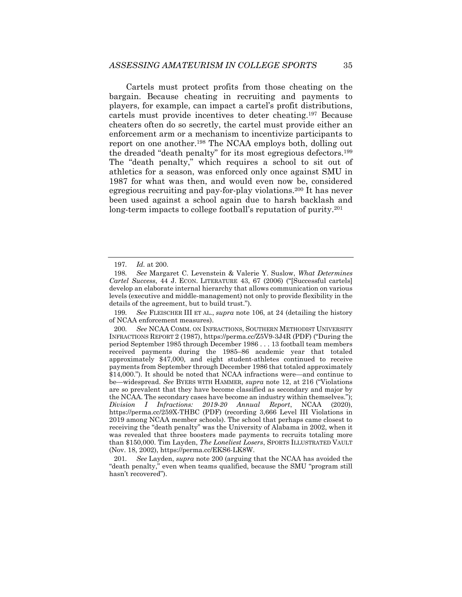Cartels must protect profits from those cheating on the bargain. Because cheating in recruiting and payments to players, for example, can impact a cartel's profit distributions, cartels must provide incentives to deter cheating.197 Because cheaters often do so secretly, the cartel must provide either an enforcement arm or a mechanism to incentivize participants to report on one another.198 The NCAA employs both, dolling out the dreaded "death penalty" for its most egregious defectors.199 The "death penalty," which requires a school to sit out of athletics for a season, was enforced only once against SMU in 1987 for what was then, and would even now be, considered egregious recruiting and pay-for-play violations.200 It has never been used against a school again due to harsh backlash and long-term impacts to college football's reputation of purity.201

<sup>197</sup>*. Id.* at 200.

<sup>198</sup>*. See* Margaret C. Levenstein & Valerie Y. Suslow, *What Determines Cartel Success*, 44 J. ECON. LITERATURE 43, 67 (2006) ("[Successful cartels] develop an elaborate internal hierarchy that allows communication on various levels (executive and middle-management) not only to provide flexibility in the details of the agreement, but to build trust.").

<sup>199</sup>*. See* FLEISCHER III ET AL., *supra* note 106, at 24 (detailing the history of NCAA enforcement measures).

<sup>200</sup>*. See* NCAA COMM. ON INFRACTIONS, SOUTHERN METHODIST UNIVERSITY INFRACTIONS REPORT 2 (1987), https://perma.cc/Z5V9-3J4R (PDF) ("During the period September 1985 through December 1986 . . . 13 football team members received payments during the 1985–86 academic year that totaled approximately \$47,000, and eight student-athletes continued to receive payments from September through December 1986 that totaled approximately \$14,000."). It should be noted that NCAA infractions were—and continue to be—widespread. *See* BYERS WITH HAMMER, *supra* note 12, at 216 ("Violations are so prevalent that they have become classified as secondary and major by the NCAA. The secondary cases have become an industry within themselves."); *Division I Infractions: 2019-20 Annual Report*, NCAA (2020), https://perma.cc/259X-THBC (PDF) (recording 3,666 Level III Violations in 2019 among NCAA member schools). The school that perhaps came closest to receiving the "death penalty" was the University of Alabama in 2002, when it was revealed that three boosters made payments to recruits totaling more than \$150,000. Tim Layden, *The Loneliest Losers*, SPORTS ILLUSTRATED VAULT (Nov. 18, 2002), https://perma.cc/EKS6-LK8W.

<sup>201</sup>*. See* Layden, *supra* note 200 (arguing that the NCAA has avoided the "death penalty," even when teams qualified, because the SMU "program still hasn't recovered").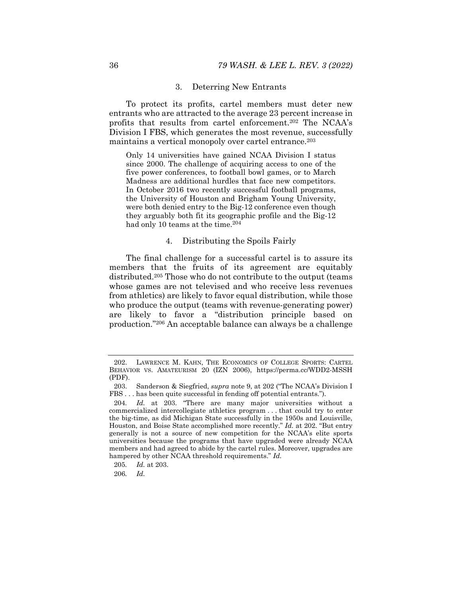#### 3. Deterring New Entrants

To protect its profits, cartel members must deter new entrants who are attracted to the average 23 percent increase in profits that results from cartel enforcement.202 The NCAA's Division I FBS, which generates the most revenue, successfully maintains a vertical monopoly over cartel entrance.<sup>203</sup>

Only 14 universities have gained NCAA Division I status since 2000. The challenge of acquiring access to one of the five power conferences, to football bowl games, or to March Madness are additional hurdles that face new competitors. In October 2016 two recently successful football programs, the University of Houston and Brigham Young University, were both denied entry to the Big-12 conference even though they arguably both fit its geographic profile and the Big-12 had only 10 teams at the time.<sup>204</sup>

#### 4. Distributing the Spoils Fairly

The final challenge for a successful cartel is to assure its members that the fruits of its agreement are equitably distributed.205 Those who do not contribute to the output (teams whose games are not televised and who receive less revenues from athletics) are likely to favor equal distribution, while those who produce the output (teams with revenue-generating power) are likely to favor a "distribution principle based on production."206 An acceptable balance can always be a challenge

 <sup>202.</sup> LAWRENCE M. KAHN, THE ECONOMICS OF COLLEGE SPORTS: CARTEL BEHAVIOR VS. AMATEURISM 20 (IZN 2006), https://perma.cc/WDD2-MSSH (PDF).

 <sup>203.</sup> Sanderson & Siegfried, *supra* note 9, at 202 ("The NCAA's Division I FBS . . . has been quite successful in fending off potential entrants.").

<sup>204</sup>*. Id.* at 203. "There are many major universities without a commercialized intercollegiate athletics program . . . that could try to enter the big-time, as did Michigan State successfully in the 1950s and Louisville, Houston, and Boise State accomplished more recently." *Id.* at 202. "But entry generally is not a source of new competition for the NCAA's elite sports universities because the programs that have upgraded were already NCAA members and had agreed to abide by the cartel rules. Moreover, upgrades are hampered by other NCAA threshold requirements." *Id.* 

<sup>205</sup>*. Id.* at 203.

<sup>206</sup>*. Id.*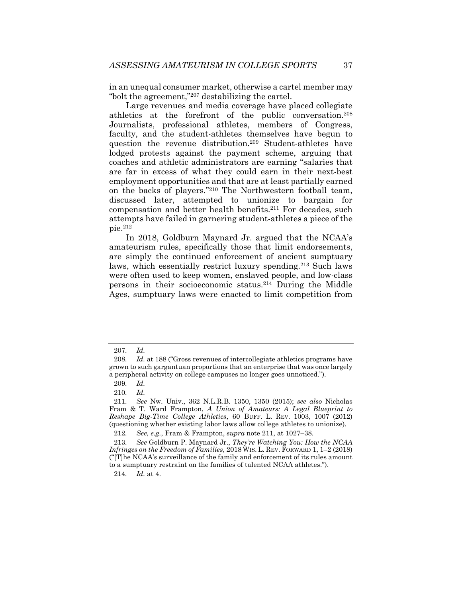in an unequal consumer market, otherwise a cartel member may "bolt the agreement,"207 destabilizing the cartel.

Large revenues and media coverage have placed collegiate athletics at the forefront of the public conversation.208 Journalists, professional athletes, members of Congress, faculty, and the student-athletes themselves have begun to question the revenue distribution.209 Student-athletes have lodged protests against the payment scheme, arguing that coaches and athletic administrators are earning "salaries that are far in excess of what they could earn in their next-best employment opportunities and that are at least partially earned on the backs of players."210 The Northwestern football team, discussed later, attempted to unionize to bargain for compensation and better health benefits.211 For decades, such attempts have failed in garnering student-athletes a piece of the pie.212

In 2018, Goldburn Maynard Jr. argued that the NCAA's amateurism rules, specifically those that limit endorsements, are simply the continued enforcement of ancient sumptuary laws, which essentially restrict luxury spending.213 Such laws were often used to keep women, enslaved people, and low-class persons in their socioeconomic status.214 During the Middle Ages, sumptuary laws were enacted to limit competition from

<sup>207</sup>*. Id.*

<sup>208</sup>*. Id.* at 188 ("Gross revenues of intercollegiate athletics programs have grown to such gargantuan proportions that an enterprise that was once largely a peripheral activity on college campuses no longer goes unnoticed.").

<sup>209</sup>*. Id.*

<sup>210</sup>*. Id.*

<sup>211</sup>*. See* Nw. Univ., 362 N.L.R.B. 1350, 1350 (2015); *see also* Nicholas Fram & T. Ward Frampton, *A Union of Amateurs: A Legal Blueprint to Reshape Big-Time College Athletics*, 60 BUFF. L. REV. 1003, 1007 (2012) (questioning whether existing labor laws allow college athletes to unionize).

<sup>212</sup>*. See, e.g.*, Fram & Frampton, *supra* note 211, at 1027–38.

<sup>213</sup>*. See* Goldburn P. Maynard Jr., *They're Watching You: How the NCAA Infringes on the Freedom of Families*, 2018 WIS. L. REV. FORWARD 1, 1–2 (2018) ("[T]he NCAA's surveillance of the family and enforcement of its rules amount to a sumptuary restraint on the families of talented NCAA athletes.").

<sup>214</sup>*. Id.* at 4.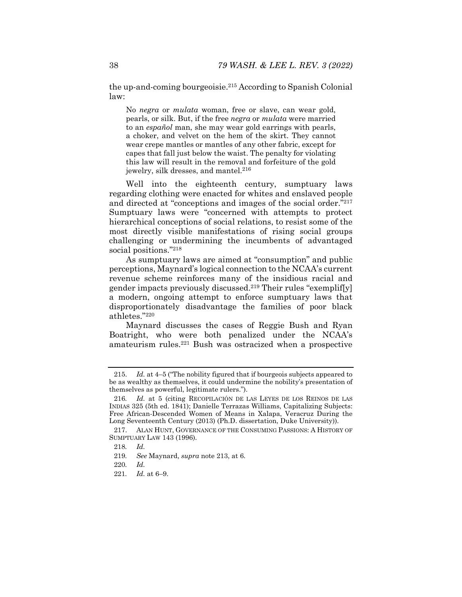the up-and-coming bourgeoisie.215 According to Spanish Colonial law:

No *negra* or *mulata* woman, free or slave, can wear gold, pearls, or silk. But, if the free *negra* or *mulata* were married to an *español* man, she may wear gold earrings with pearls, a choker, and velvet on the hem of the skirt. They cannot wear crepe mantles or mantles of any other fabric, except for capes that fall just below the waist. The penalty for violating this law will result in the removal and forfeiture of the gold jewelry, silk dresses, and mantel.<sup>216</sup>

Well into the eighteenth century, sumptuary laws regarding clothing were enacted for whites and enslaved people and directed at "conceptions and images of the social order."217 Sumptuary laws were "concerned with attempts to protect hierarchical conceptions of social relations, to resist some of the most directly visible manifestations of rising social groups challenging or undermining the incumbents of advantaged social positions."218

As sumptuary laws are aimed at "consumption" and public perceptions, Maynard's logical connection to the NCAA's current revenue scheme reinforces many of the insidious racial and gender impacts previously discussed.219 Their rules "exemplif[y] a modern, ongoing attempt to enforce sumptuary laws that disproportionately disadvantage the families of poor black athletes."220

Maynard discusses the cases of Reggie Bush and Ryan Boatright, who were both penalized under the NCAA's amateurism rules.221 Bush was ostracized when a prospective

 <sup>215.</sup> *Id.* at 4–5 ("The nobility figured that if bourgeois subjects appeared to be as wealthy as themselves, it could undermine the nobility's presentation of themselves as powerful, legitimate rulers.").

<sup>216</sup>*. Id.* at 5 (citing RECOPILACIÓN DE LAS LEYES DE LOS REINOS DE LAS INDIAS 325 (5th ed. 1841); Danielle Terrazas Williams, Capitalizing Subjects: Free African-Descended Women of Means in Xalapa, Veracruz During the Long Seventeenth Century (2013) (Ph.D. dissertation, Duke University)).

 <sup>217.</sup> ALAN HUNT, GOVERNANCE OF THE CONSUMING PASSIONS: A HISTORY OF SUMPTUARY LAW 143 (1996).

<sup>218</sup>*. Id.*

<sup>219</sup>*. See* Maynard, *supra* note 213, at 6.

<sup>220</sup>*. Id.*

<sup>221</sup>*. Id.* at 6–9.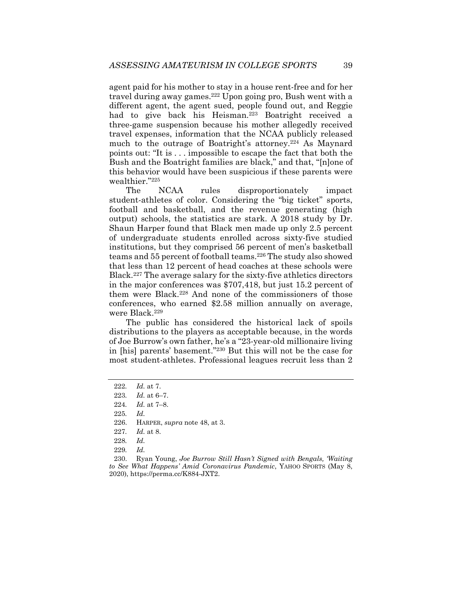agent paid for his mother to stay in a house rent-free and for her travel during away games.222 Upon going pro, Bush went with a different agent, the agent sued, people found out, and Reggie had to give back his Heisman.<sup>223</sup> Boatright received a three-game suspension because his mother allegedly received travel expenses, information that the NCAA publicly released much to the outrage of Boatright's attorney.<sup>224</sup> As Maynard points out: "It is . . . impossible to escape the fact that both the Bush and the Boatright families are black," and that, "[n]one of this behavior would have been suspicious if these parents were wealthier."225

The NCAA rules disproportionately impact student-athletes of color. Considering the "big ticket" sports, football and basketball, and the revenue generating (high output) schools, the statistics are stark. A 2018 study by Dr. Shaun Harper found that Black men made up only 2.5 percent of undergraduate students enrolled across sixty-five studied institutions, but they comprised 56 percent of men's basketball teams and 55 percent of football teams.226 The study also showed that less than 12 percent of head coaches at these schools were Black.227 The average salary for the sixty-five athletics directors in the major conferences was \$707,418, but just 15.2 percent of them were Black.228 And none of the commissioners of those conferences, who earned \$2.58 million annually on average, were Black.<sup>229</sup>

The public has considered the historical lack of spoils distributions to the players as acceptable because, in the words of Joe Burrow's own father, he's a "23-year-old millionaire living in [his] parents' basement."230 But this will not be the case for most student-athletes. Professional leagues recruit less than 2

<sup>222</sup>*. Id.* at 7.

<sup>223</sup>*. Id.* at 6–7.

<sup>224</sup>*. Id.* at 7–8.

<sup>225</sup>*. Id.*

 <sup>226.</sup> HARPER, *supra* note 48, at 3.

<sup>227</sup>*. Id.* at 8.

<sup>228</sup>*. Id.*

<sup>229</sup>*. Id.*

 <sup>230.</sup> Ryan Young, *Joe Burrow Still Hasn't Signed with Bengals, 'Waiting to See What Happens' Amid Coronavirus Pandemic*, YAHOO SPORTS (May 8, 2020), https://perma.cc/K884-JXT2.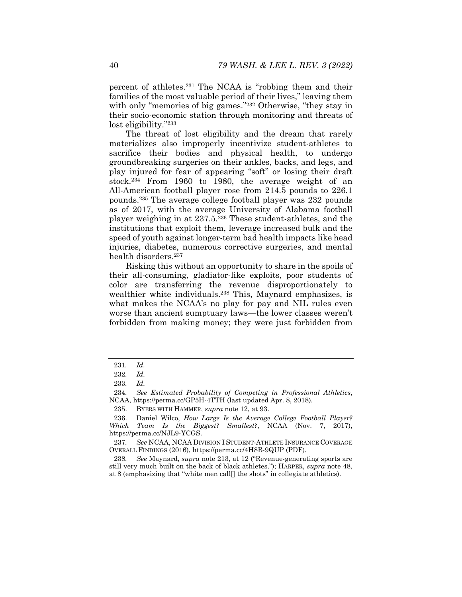percent of athletes.231 The NCAA is "robbing them and their families of the most valuable period of their lives," leaving them with only "memories of big games."<sup>232</sup> Otherwise, "they stay in their socio-economic station through monitoring and threats of lost eligibility."233

The threat of lost eligibility and the dream that rarely materializes also improperly incentivize student-athletes to sacrifice their bodies and physical health, to undergo groundbreaking surgeries on their ankles, backs, and legs, and play injured for fear of appearing "soft" or losing their draft stock.234 From 1960 to 1980, the average weight of an All-American football player rose from 214.5 pounds to 226.1 pounds.235 The average college football player was 232 pounds as of 2017, with the average University of Alabama football player weighing in at 237.5.236 These student-athletes, and the institutions that exploit them, leverage increased bulk and the speed of youth against longer-term bad health impacts like head injuries, diabetes, numerous corrective surgeries, and mental health disorders.<sup>237</sup>

Risking this without an opportunity to share in the spoils of their all-consuming, gladiator-like exploits, poor students of color are transferring the revenue disproportionately to wealthier white individuals.238 This, Maynard emphasizes, is what makes the NCAA's no play for pay and NIL rules even worse than ancient sumptuary laws—the lower classes weren't forbidden from making money; they were just forbidden from

<sup>231</sup>*. Id.*

<sup>232</sup>*. Id.*

<sup>233</sup>*. Id.*

<sup>234</sup>*. See Estimated Probability of Competing in Professional Athletics*, NCAA, https://perma.cc/GP5H-4TTH (last updated Apr. 8, 2018).

 <sup>235.</sup> BYERS WITH HAMMER, *supra* note 12, at 93.

 <sup>236.</sup> Daniel Wilco, *How Large Is the Average College Football Player? Which Team Is the Biggest? Smallest?*, NCAA (Nov. 7, 2017), https://perma.cc/NJL9-YCGS.

<sup>237</sup>*. See* NCAA, NCAA DIVISION I STUDENT-ATHLETE INSURANCE COVERAGE OVERALL FINDINGS (2016), https://perma.cc/4H8B-9QUP (PDF).

<sup>238</sup>*. See* Maynard, *supra* note 213, at 12 ("Revenue-generating sports are still very much built on the back of black athletes."); HARPER, *supra* note 48, at 8 (emphasizing that "white men call[] the shots" in collegiate athletics).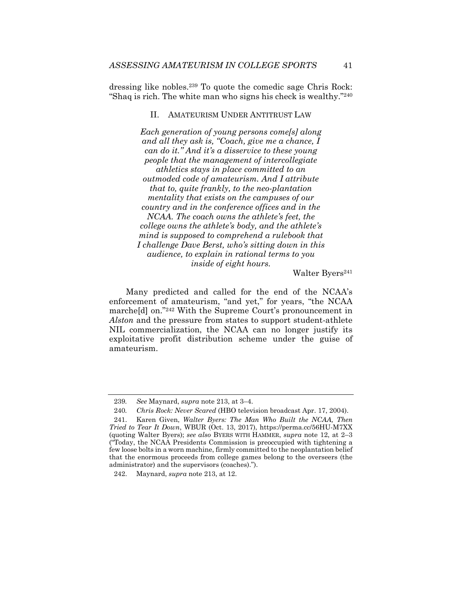dressing like nobles.239 To quote the comedic sage Chris Rock: "Shaq is rich. The white man who signs his check is wealthy."240

## II. AMATEURISM UNDER ANTITRUST LAW

*Each generation of young persons come[s] along and all they ask is, "Coach, give me a chance, I can do it." And it's a disservice to these young people that the management of intercollegiate athletics stays in place committed to an outmoded code of amateurism. And I attribute that to, quite frankly, to the neo-plantation mentality that exists on the campuses of our country and in the conference offices and in the NCAA. The coach owns the athlete's feet, the college owns the athlete's body, and the athlete's mind is supposed to comprehend a rulebook that I challenge Dave Berst, who's sitting down in this audience, to explain in rational terms to you inside of eight hours.* 

Walter Byers<sup>241</sup>

Many predicted and called for the end of the NCAA's enforcement of amateurism, "and yet," for years, "the NCAA marche[d] on."242 With the Supreme Court's pronouncement in *Alston* and the pressure from states to support student-athlete NIL commercialization, the NCAA can no longer justify its exploitative profit distribution scheme under the guise of amateurism.

<sup>239</sup>*. See* Maynard, *supra* note 213, at 3–4.

<sup>240</sup>*. Chris Rock: Never Scared* (HBO television broadcast Apr. 17, 2004).

 <sup>241.</sup> Karen Given, *Walter Byers: The Man Who Built the NCAA, Then Tried to Tear It Down*, WBUR (Oct. 13, 2017), https://perma.cc/56HU-M7XX (quoting Walter Byers); *see also* BYERS WITH HAMMER, *supra* note 12, at 2–3 ("Today, the NCAA Presidents Commission is preoccupied with tightening a few loose bolts in a worn machine, firmly committed to the neoplantation belief that the enormous proceeds from college games belong to the overseers (the administrator) and the supervisors (coaches).").

 <sup>242.</sup> Maynard, *supra* note 213, at 12.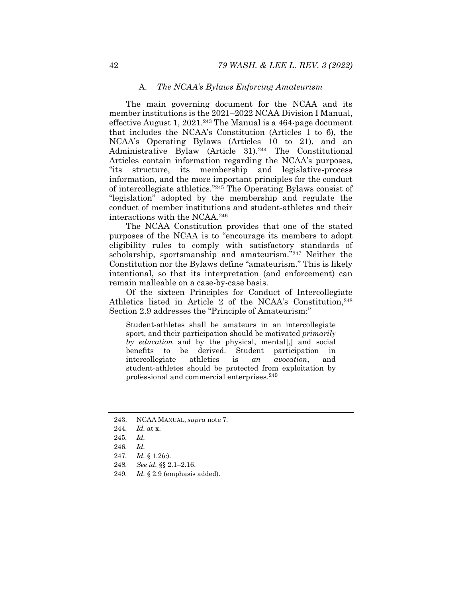#### A. *The NCAA's Bylaws Enforcing Amateurism*

The main governing document for the NCAA and its member institutions is the 2021–2022 NCAA Division I Manual, effective August 1,  $2021<sup>243</sup>$  The Manual is a 464-page document that includes the NCAA's Constitution (Articles 1 to 6), the NCAA's Operating Bylaws (Articles 10 to 21), and an Administrative Bylaw (Article 31).244 The Constitutional Articles contain information regarding the NCAA's purposes, "its structure, its membership and legislative-process information, and the more important principles for the conduct of intercollegiate athletics."245 The Operating Bylaws consist of "legislation" adopted by the membership and regulate the conduct of member institutions and student-athletes and their interactions with the NCAA.246

The NCAA Constitution provides that one of the stated purposes of the NCAA is to "encourage its members to adopt eligibility rules to comply with satisfactory standards of scholarship, sportsmanship and amateurism."247 Neither the Constitution nor the Bylaws define "amateurism." This is likely intentional, so that its interpretation (and enforcement) can remain malleable on a case-by-case basis.

Of the sixteen Principles for Conduct of Intercollegiate Athletics listed in Article 2 of the NCAA's Constitution, 248 Section 2.9 addresses the "Principle of Amateurism:"

Student-athletes shall be amateurs in an intercollegiate sport, and their participation should be motivated *primarily by education* and by the physical, mental[,] and social benefits to be derived. Student participation in intercollegiate athletics is *an avocation*, and student-athletes should be protected from exploitation by professional and commercial enterprises.249

- 247*. Id.* § 1.2(c).
- 248*. See id.* §§ 2.1–2.16.
- 249*. Id.* § 2.9 (emphasis added).

 <sup>243.</sup> NCAA MANUAL, *supra* note 7.

<sup>244</sup>*. Id.* at x.

<sup>245</sup>*. Id.*

<sup>246</sup>*. Id.*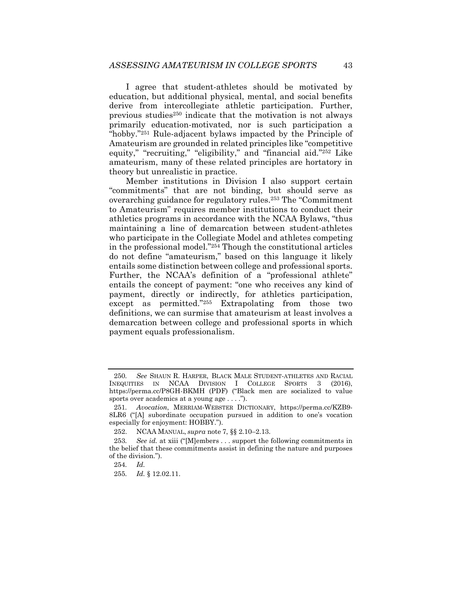I agree that student-athletes should be motivated by education, but additional physical, mental, and social benefits derive from intercollegiate athletic participation. Further, previous studies250 indicate that the motivation is not always primarily education-motivated, nor is such participation a "hobby."251 Rule-adjacent bylaws impacted by the Principle of Amateurism are grounded in related principles like "competitive equity," "recruiting," "eligibility," and "financial aid."<sup>252</sup> Like amateurism, many of these related principles are hortatory in theory but unrealistic in practice.

Member institutions in Division I also support certain "commitments" that are not binding, but should serve as overarching guidance for regulatory rules.253 The "Commitment to Amateurism" requires member institutions to conduct their athletics programs in accordance with the NCAA Bylaws, "thus maintaining a line of demarcation between student-athletes who participate in the Collegiate Model and athletes competing in the professional model."254 Though the constitutional articles do not define "amateurism," based on this language it likely entails some distinction between college and professional sports. Further, the NCAA's definition of a "professional athlete" entails the concept of payment: "one who receives any kind of payment, directly or indirectly, for athletics participation, except as permitted."255 Extrapolating from those two definitions, we can surmise that amateurism at least involves a demarcation between college and professional sports in which payment equals professionalism.

255*. Id.* § 12.02.11.

<sup>250</sup>*. See* SHAUN R. HARPER, BLACK MALE STUDENT-ATHLETES AND RACIAL INEQUITIES IN NCAA DIVISION I COLLEGE SPORTS 3 (2016), https://perma.cc/P8GH-BKMH (PDF) ("Black men are socialized to value sports over academics at a young age . . . .").

<sup>251</sup>*. Avocation*, MERRIAM-WEBSTER DICTIONARY, https://perma.cc/KZB9- 8LR6 ("[A] subordinate occupation pursued in addition to one's vocation especially for enjoyment: HOBBY.").

 <sup>252.</sup> NCAA MANUAL, *supra* note 7, §§ 2.10–2.13.

<sup>253</sup>*. See id.* at xiii ("[M]embers . . . support the following commitments in the belief that these commitments assist in defining the nature and purposes of the division.").

<sup>254</sup>*. Id.*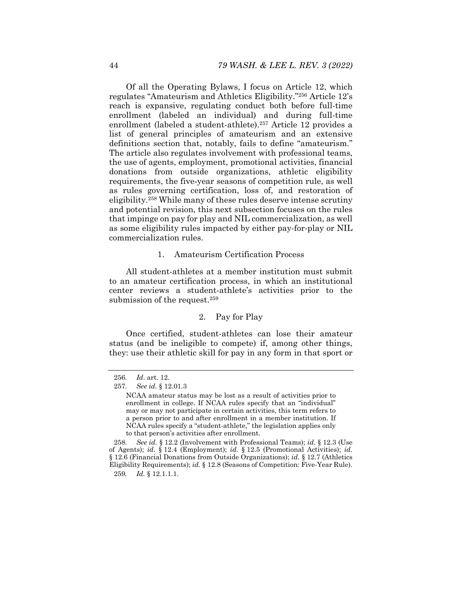Of all the Operating Bylaws, I focus on Article 12, which regulates "Amateurism and Athletics Eligibility."256 Article 12's reach is expansive, regulating conduct both before full-time enrollment (labeled an individual) and during full-time enrollment (labeled a student-athlete).257 Article 12 provides a list of general principles of amateurism and an extensive definitions section that, notably, fails to define "amateurism." The article also regulates involvement with professional teams, the use of agents, employment, promotional activities, financial donations from outside organizations, athletic eligibility requirements, the five‑year seasons of competition rule, as well as rules governing certification, loss of, and restoration of eligibility.258 While many of these rules deserve intense scrutiny and potential revision, this next subsection focuses on the rules that impinge on pay for play and NIL commercialization, as well as some eligibility rules impacted by either pay-for-play or NIL commercialization rules.

## 1. Amateurism Certification Process

All student-athletes at a member institution must submit to an amateur certification process, in which an institutional center reviews a student-athlete's activities prior to the submission of the request.<sup>259</sup>

# 2. Pay for Play

Once certified, student-athletes can lose their amateur status (and be ineligible to compete) if, among other things, they: use their athletic skill for pay in any form in that sport or

<sup>256</sup>*. Id*. art. 12.

<sup>257</sup>*. See id.* § 12.01.3

NCAA amateur status may be lost as a result of activities prior to enrollment in college. If NCAA rules specify that an "individual" may or may not participate in certain activities, this term refers to a person prior to and after enrollment in a member institution. If NCAA rules specify a "student-athlete," the legislation applies only to that person's activities after enrollment.

<sup>258</sup>*. See id.* § 12.2 (Involvement with Professional Teams); *id.* § 12.3 (Use of Agents); *id.* § 12.4 (Employment); *id.* § 12.5 (Promotional Activities); *id.*  § 12.6 (Financial Donations from Outside Organizations); *id.* § 12.7 (Athletics Eligibility Requirements); *id.* § 12.8 (Seasons of Competition: Five-Year Rule). 259*. Id.* § 12.1.1.1.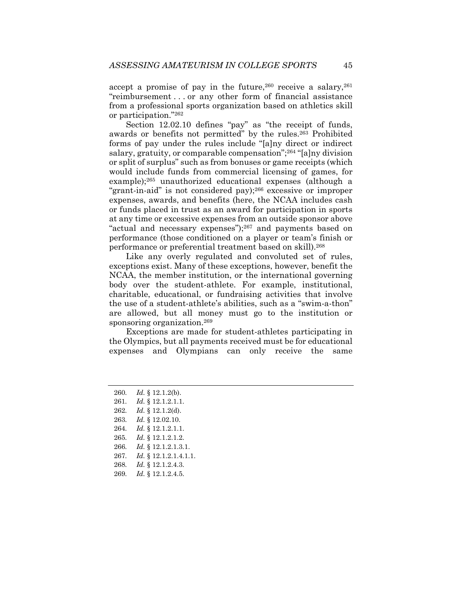accept a promise of pay in the future,  $260$  receive a salary,  $261$ "reimbursement . . . or any other form of financial assistance from a professional sports organization based on athletics skill or participation."262

Section 12.02.10 defines "pay" as "the receipt of funds, awards or benefits not permitted" by the rules.263 Prohibited forms of pay under the rules include "[a]ny direct or indirect salary, gratuity, or comparable compensation";<sup>264</sup> "[a]ny division or split of surplus" such as from bonuses or game receipts (which would include funds from commercial licensing of games, for example);265 unauthorized educational expenses (although a "grant-in-aid" is not considered pay);266 excessive or improper expenses, awards, and benefits (here, the NCAA includes cash or funds placed in trust as an award for participation in sports at any time or excessive expenses from an outside sponsor above "actual and necessary expenses");267 and payments based on performance (those conditioned on a player or team's finish or performance or preferential treatment based on skill).268

Like any overly regulated and convoluted set of rules, exceptions exist. Many of these exceptions, however, benefit the NCAA, the member institution, or the international governing body over the student-athlete. For example, institutional, charitable, educational, or fundraising activities that involve the use of a student-athlete's abilities, such as a "swim-a-thon" are allowed, but all money must go to the institution or sponsoring organization.<sup>269</sup>

Exceptions are made for student-athletes participating in the Olympics, but all payments received must be for educational expenses and Olympians can only receive the same

- 262*. Id.* § 12.1.2(d).
- 263*. Id.* § 12.02.10.
- 264*. Id.* § 12.1.2.1.1.
- 265*. Id.* § 12.1.2.1.2.
- 266*. Id.* § 12.1.2.1.3.1.
- 267*. Id.* § 12.1.2.1.4.1.1.
- 268*. Id.* § 12.1.2.4.3.
- 269*. Id.* § 12.1.2.4.5.

<sup>260</sup>*. Id.* § 12.1.2(b).

<sup>261</sup>*. Id.* § 12.1.2.1.1.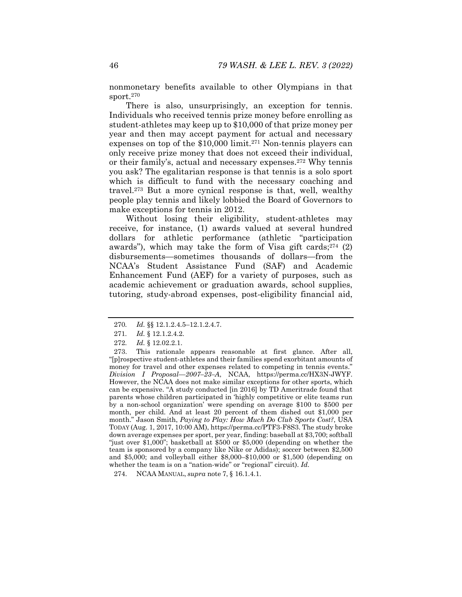nonmonetary benefits available to other Olympians in that sport.270

There is also, unsurprisingly, an exception for tennis. Individuals who received tennis prize money before enrolling as student-athletes may keep up to \$10,000 of that prize money per year and then may accept payment for actual and necessary expenses on top of the \$10,000 limit.<sup>271</sup> Non-tennis players can only receive prize money that does not exceed their individual, or their family's, actual and necessary expenses.272 Why tennis you ask? The egalitarian response is that tennis is a solo sport which is difficult to fund with the necessary coaching and travel.273 But a more cynical response is that, well, wealthy people play tennis and likely lobbied the Board of Governors to make exceptions for tennis in 2012.

Without losing their eligibility, student-athletes may receive, for instance, (1) awards valued at several hundred dollars for athletic performance (athletic "participation awards"), which may take the form of Visa gift cards; $274$  (2) disbursements—sometimes thousands of dollars—from the NCAA's Student Assistance Fund (SAF) and Academic Enhancement Fund (AEF) for a variety of purposes, such as academic achievement or graduation awards, school supplies, tutoring, study-abroad expenses, post-eligibility financial aid,

<sup>270</sup>*. Id.* §§ 12.1.2.4.5–12.1.2.4.7.

<sup>271</sup>*. Id.* § 12.1.2.4.2.

<sup>272</sup>*. Id.* § 12.02.2.1.

 <sup>273.</sup> This rationale appears reasonable at first glance. After all, "[p]rospective student-athletes and their families spend exorbitant amounts of money for travel and other expenses related to competing in tennis events." *Division I Proposal—2007–23–A*, NCAA, https://perma.cc/HX3N-JWYF. However, the NCAA does not make similar exceptions for other sports, which can be expensive. "A study conducted [in 2016] by TD Ameritrade found that parents whose children participated in 'highly competitive or elite teams run by a non-school organization' were spending on average \$100 to \$500 per month, per child. And at least 20 percent of them dished out \$1,000 per month." Jason Smith, *Paying to Play: How Much Do Club Sports Cost?*, USA TODAY (Aug. 1, 2017, 10:00 AM), https://perma.cc/PTF3-F8S3. The study broke down average expenses per sport, per year, finding: baseball at \$3,700; softball "just over \$1,000"; basketball at \$500 or \$5,000 (depending on whether the team is sponsored by a company like Nike or Adidas); soccer between \$2,500 and \$5,000; and volleyball either \$8,000–\$10,000 or \$1,500 (depending on whether the team is on a "nation-wide" or "regional" circuit). *Id.* 

 <sup>274.</sup> NCAA MANUAL, *supra* note 7, § 16.1.4.1.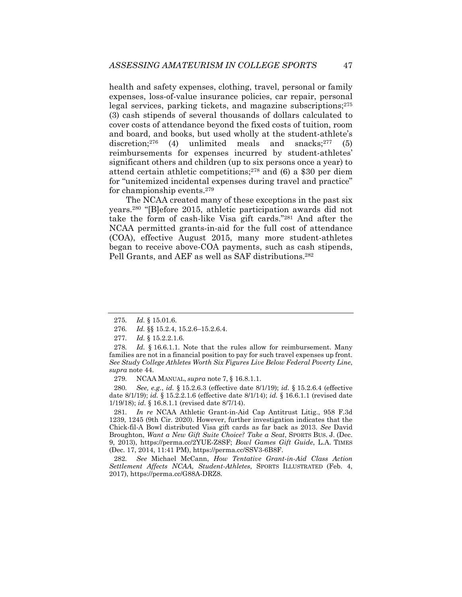health and safety expenses, clothing, travel, personal or family expenses, loss-of-value insurance policies, car repair, personal legal services, parking tickets, and magazine subscriptions;275 (3) cash stipends of several thousands of dollars calculated to cover costs of attendance beyond the fixed costs of tuition, room and board, and books, but used wholly at the student-athlete's discretion;<sup>276</sup> (4) unlimited meals and snacks;<sup>277</sup> (5) reimbursements for expenses incurred by student-athletes' significant others and children (up to six persons once a year) to attend certain athletic competitions;278 and (6) a \$30 per diem for "unitemized incidental expenses during travel and practice" for championship events.279

The NCAA created many of these exceptions in the past six years.280 "[B]efore 2015, athletic participation awards did not take the form of cash-like Visa gift cards."281 And after the NCAA permitted grants-in-aid for the full cost of attendance (COA), effective August 2015, many more student-athletes began to receive above-COA payments, such as cash stipends, Pell Grants, and AEF as well as SAF distributions.282

280*. See, e.g.*, *id.* § 15.2.6.3 (effective date 8/1/19); *id.* § 15.2.6.4 (effective date 8/1/19); *id.* § 15.2.2.1.6 (effective date 8/1/14); *id.* § 16.6.1.1 (revised date 1/19/18); *id.* § 16.8.1.1 (revised date 8/7/14).

281*. In re* NCAA Athletic Grant-in-Aid Cap Antitrust Litig., 958 F.3d 1239, 1245 (9th Cir. 2020). However, further investigation indicates that the Chick-fil-A Bowl distributed Visa gift cards as far back as 2013. *See* David Broughton, *Want a New Gift Suite Choice? Take a Seat*, SPORTS BUS. J. (Dec. 9, 2013), https://perma.cc/2YUE-Z8SF; *Bowl Games Gift Guide*, L.A. TIMES (Dec. 17, 2014, 11:41 PM), https://perma.cc/SSV3-6B8F.

282*. See* Michael McCann, *How Tentative Grant-in-Aid Class Action Settlement Affects NCAA, Student-Athletes*, SPORTS ILLUSTRATED (Feb. 4, 2017), https://perma.cc/G88A-DRZ8.

<sup>275</sup>*. Id.* § 15.01.6.

<sup>276</sup>*. Id.* §§ 15.2.4, 15.2.6–15.2.6.4.

<sup>277</sup>*. Id.* § 15.2.2.1.6.

<sup>278</sup>*. Id.* § 16.6.1.1. Note that the rules allow for reimbursement. Many families are not in a financial position to pay for such travel expenses up front. *See Study College Athletes Worth Six Figures Live Below Federal Poverty Line*, *supra* note 44.

<sup>279</sup>*.* NCAA MANUAL, *supra* note 7, § 16.8.1.1.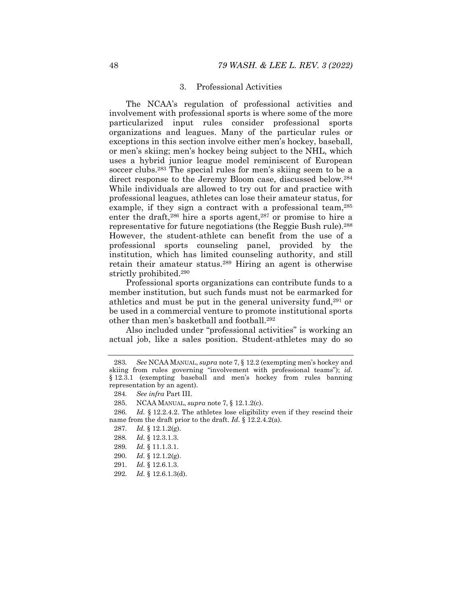#### 3. Professional Activities

The NCAA's regulation of professional activities and involvement with professional sports is where some of the more particularized input rules consider professional sports organizations and leagues. Many of the particular rules or exceptions in this section involve either men's hockey, baseball, or men's skiing; men's hockey being subject to the NHL, which uses a hybrid junior league model reminiscent of European soccer clubs.<sup>283</sup> The special rules for men's skiing seem to be a direct response to the Jeremy Bloom case, discussed below.<sup>284</sup> While individuals are allowed to try out for and practice with professional leagues, athletes can lose their amateur status, for example, if they sign a contract with a professional team,<sup>285</sup> enter the draft,<sup>286</sup> hire a sports agent,<sup>287</sup> or promise to hire a representative for future negotiations (the Reggie Bush rule).<sup>288</sup> However, the student-athlete can benefit from the use of a professional sports counseling panel, provided by the institution, which has limited counseling authority, and still retain their amateur status.289 Hiring an agent is otherwise strictly prohibited.290

Professional sports organizations can contribute funds to a member institution, but such funds must not be earmarked for athletics and must be put in the general university fund,<sup>291</sup> or be used in a commercial venture to promote institutional sports other than men's basketball and football.292

Also included under "professional activities" is working an actual job, like a sales position. Student-athletes may do so

287*. Id.* § 12.1.2(g).

- 289*. Id.* § 11.1.3.1.
- 290*. Id.* § 12.1.2(g).
- 291*. Id.* § 12.6.1.3.
- 292*. Id.* § 12.6.1.3(d).

<sup>283</sup>*. See* NCAA MANUAL, *supra* note 7, § 12.2 (exempting men's hockey and skiing from rules governing "involvement with professional teams"); *id.*  § 12.3.1 (exempting baseball and men's hockey from rules banning representation by an agent).

<sup>284</sup>*. See infra* Part III.

 <sup>285.</sup> NCAA MANUAL, *supra* note 7, § 12.1.2(c).

<sup>286</sup>*. Id.* § 12.2.4.2. The athletes lose eligibility even if they rescind their name from the draft prior to the draft. *Id.* § 12.2.4.2(a).

<sup>288</sup>*. Id.* § 12.3.1.3.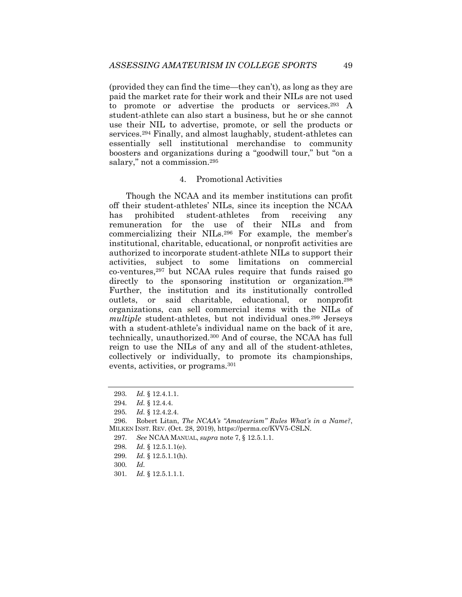(provided they can find the time—they can't), as long as they are paid the market rate for their work and their NILs are not used to promote or advertise the products or services.293 A student-athlete can also start a business, but he or she cannot use their NIL to advertise, promote, or sell the products or services.<sup>294</sup> Finally, and almost laughably, student-athletes can essentially sell institutional merchandise to community boosters and organizations during a "goodwill tour," but "on a salary," not a commission.<sup>295</sup>

# 4. Promotional Activities

Though the NCAA and its member institutions can profit off their student-athletes' NILs, since its inception the NCAA has prohibited student-athletes from receiving any remuneration for the use of their NILs and from commercializing their NILs.296 For example, the member's institutional, charitable, educational, or nonprofit activities are authorized to incorporate student-athlete NILs to support their activities, subject to some limitations on commercial co-ventures,297 but NCAA rules require that funds raised go directly to the sponsoring institution or organization.<sup>298</sup> Further, the institution and its institutionally controlled outlets, or said charitable, educational, or nonprofit organizations, can sell commercial items with the NILs of *multiple* student-athletes, but not individual ones.299 Jerseys with a student-athlete's individual name on the back of it are, technically, unauthorized.300 And of course, the NCAA has full reign to use the NILs of any and all of the student-athletes, collectively or individually, to promote its championships, events, activities, or programs.301

299*. Id.* § 12.5.1.1(h).

301*. Id.* § 12.5.1.1.1.

<sup>293</sup>*. Id.* § 12.4.1.1.

<sup>294</sup>*. Id.* § 12.4.4.

<sup>295</sup>*. Id.* § 12.4.2.4.

 <sup>296.</sup> Robert Litan, *The NCAA's "Amateurism" Rules What's in a Name?*, MILKEN INST. REV. (Oct. 28, 2019), https://perma.cc/KVV5-CSLN.

<sup>297</sup>*. See* NCAA MANUAL, *supra* note 7, § 12.5.1.1.

<sup>298</sup>*. Id.* § 12.5.1.1(e).

<sup>300</sup>*. Id.*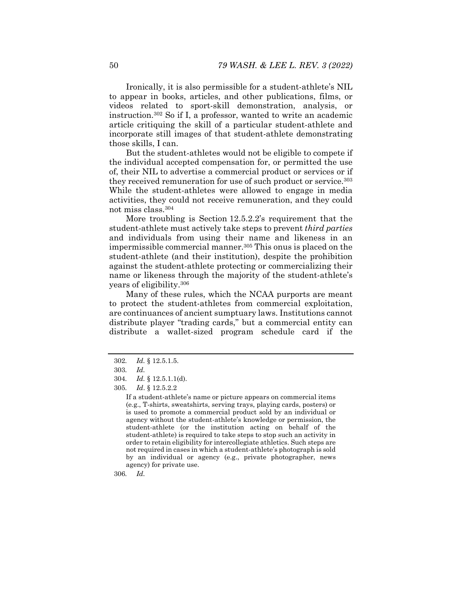Ironically, it is also permissible for a student-athlete's NIL to appear in books, articles, and other publications, films, or videos related to sport-skill demonstration, analysis, or instruction.302 So if I, a professor, wanted to write an academic article critiquing the skill of a particular student-athlete and incorporate still images of that student-athlete demonstrating those skills, I can.

But the student-athletes would not be eligible to compete if the individual accepted compensation for, or permitted the use of, their NIL to advertise a commercial product or services or if they received remuneration for use of such product or service.<sup>303</sup> While the student-athletes were allowed to engage in media activities, they could not receive remuneration, and they could not miss class.304

More troubling is Section 12.5.2.2's requirement that the student-athlete must actively take steps to prevent *third parties* and individuals from using their name and likeness in an impermissible commercial manner.305 This onus is placed on the student-athlete (and their institution), despite the prohibition against the student-athlete protecting or commercializing their name or likeness through the majority of the student-athlete's years of eligibility.306

Many of these rules, which the NCAA purports are meant to protect the student-athletes from commercial exploitation, are continuances of ancient sumptuary laws. Institutions cannot distribute player "trading cards," but a commercial entity can distribute a wallet-sized program schedule card if the

306*. Id.* 

<sup>302</sup>*. Id.* § 12.5.1.5.

<sup>303</sup>*. Id.*

<sup>304</sup>*. Id.* § 12.5.1.1(d).

<sup>305</sup>*. Id*. § 12.5.2.2

If a student-athlete's name or picture appears on commercial items (e.g., T-shirts, sweatshirts, serving trays, playing cards, posters) or is used to promote a commercial product sold by an individual or agency without the student-athlete's knowledge or permission, the student-athlete (or the institution acting on behalf of the student-athlete) is required to take steps to stop such an activity in order to retain eligibility for intercollegiate athletics. Such steps are not required in cases in which a student-athlete's photograph is sold by an individual or agency (e.g., private photographer, news agency) for private use.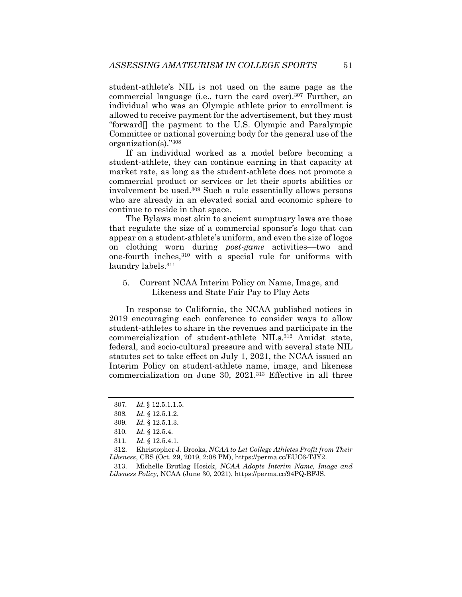student-athlete's NIL is not used on the same page as the commercial language (i.e., turn the card over).307 Further, an individual who was an Olympic athlete prior to enrollment is allowed to receive payment for the advertisement, but they must "forward[] the payment to the U.S. Olympic and Paralympic Committee or national governing body for the general use of the organization(s)."308

If an individual worked as a model before becoming a student-athlete, they can continue earning in that capacity at market rate, as long as the student-athlete does not promote a commercial product or services or let their sports abilities or involvement be used.309 Such a rule essentially allows persons who are already in an elevated social and economic sphere to continue to reside in that space.

The Bylaws most akin to ancient sumptuary laws are those that regulate the size of a commercial sponsor's logo that can appear on a student-athlete's uniform, and even the size of logos on clothing worn during *post-game* activities––two and one-fourth inches,310 with a special rule for uniforms with laundry labels.311

# 5. Current NCAA Interim Policy on Name, Image, and Likeness and State Fair Pay to Play Acts

In response to California, the NCAA published notices in 2019 encouraging each conference to consider ways to allow student-athletes to share in the revenues and participate in the commercialization of student-athlete NILs.312 Amidst state, federal, and socio-cultural pressure and with several state NIL statutes set to take effect on July 1, 2021, the NCAA issued an Interim Policy on student-athlete name, image, and likeness commercialization on June 30, 2021.313 Effective in all three

<sup>307</sup>*. Id.* § 12.5.1.1.5.

<sup>308</sup>*. Id.* § 12.5.1.2.

<sup>309</sup>*. Id.* § 12.5.1.3.

<sup>310</sup>*. Id.* § 12.5.4.

<sup>311</sup>*. Id.* § 12.5.4.1.

 <sup>312.</sup> Khristopher J. Brooks, *NCAA to Let College Athletes Profit from Their Likeness*, CBS (Oct. 29, 2019, 2:08 PM), https://perma.cc/EUC6-TJY2.

 <sup>313.</sup> Michelle Brutlag Hosick, *NCAA Adopts Interim Name, Image and Likeness Policy*, NCAA (June 30, 2021), https://perma.cc/94PQ-BFJS.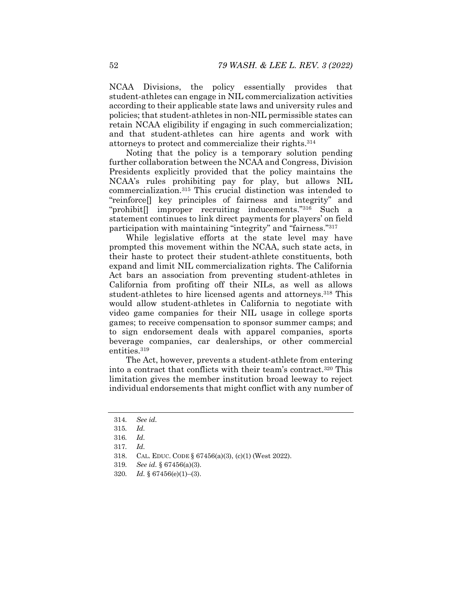NCAA Divisions, the policy essentially provides that student-athletes can engage in NIL commercialization activities according to their applicable state laws and university rules and policies; that student-athletes in non-NIL permissible states can retain NCAA eligibility if engaging in such commercialization; and that student-athletes can hire agents and work with attorneys to protect and commercialize their rights.314

Noting that the policy is a temporary solution pending further collaboration between the NCAA and Congress, Division Presidents explicitly provided that the policy maintains the NCAA's rules prohibiting pay for play, but allows NIL commercialization.315 This crucial distinction was intended to "reinforce[] key principles of fairness and integrity" and "prohibit[] improper recruiting inducements."316 Such a statement continues to link direct payments for players' on field participation with maintaining "integrity" and "fairness."317

While legislative efforts at the state level may have prompted this movement within the NCAA, such state acts, in their haste to protect their student-athlete constituents, both expand and limit NIL commercialization rights. The California Act bars an association from preventing student-athletes in California from profiting off their NILs, as well as allows student-athletes to hire licensed agents and attorneys.<sup>318</sup> This would allow student-athletes in California to negotiate with video game companies for their NIL usage in college sports games; to receive compensation to sponsor summer camps; and to sign endorsement deals with apparel companies, sports beverage companies, car dealerships, or other commercial entities.319

The Act, however, prevents a student-athlete from entering into a contract that conflicts with their team's contract.320 This limitation gives the member institution broad leeway to reject individual endorsements that might conflict with any number of

<sup>314</sup>*. See id.* 

<sup>315</sup>*. Id.*

<sup>316</sup>*. Id.*

<sup>317</sup>*. Id.* 

 <sup>318.</sup> CAL. EDUC. CODE § 67456(a)(3), (c)(1) (West 2022).

<sup>319</sup>*. See id.* § 67456(a)(3).

<sup>320</sup>*. Id.* § 67456(e)(1)–(3).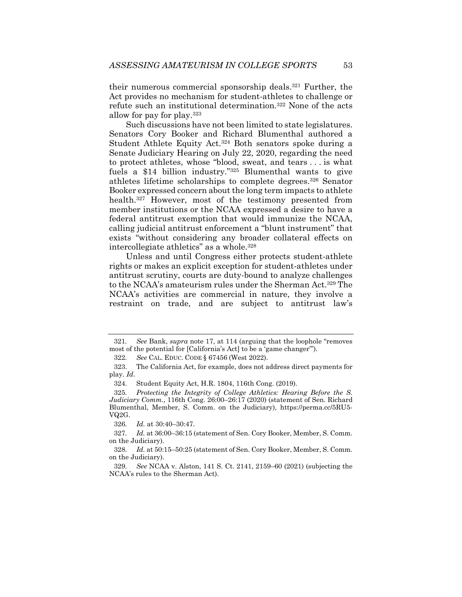their numerous commercial sponsorship deals.321 Further, the Act provides no mechanism for student-athletes to challenge or refute such an institutional determination.322 None of the acts allow for pay for play.323

Such discussions have not been limited to state legislatures. Senators Cory Booker and Richard Blumenthal authored a Student Athlete Equity Act.324 Both senators spoke during a Senate Judiciary Hearing on July 22, 2020, regarding the need to protect athletes, whose "blood, sweat, and tears . . . is what fuels a \$14 billion industry."325 Blumenthal wants to give athletes lifetime scholarships to complete degrees.326 Senator Booker expressed concern about the long term impacts to athlete health.327 However, most of the testimony presented from member institutions or the NCAA expressed a desire to have a federal antitrust exemption that would immunize the NCAA, calling judicial antitrust enforcement a "blunt instrument" that exists "without considering any broader collateral effects on intercollegiate athletics" as a whole.328

Unless and until Congress either protects student-athlete rights or makes an explicit exception for student-athletes under antitrust scrutiny, courts are duty-bound to analyze challenges to the NCAA's amateurism rules under the Sherman Act.329 The NCAA's activities are commercial in nature, they involve a restraint on trade, and are subject to antitrust law's

326*. Id.* at 30:40–30:47.

<sup>321</sup>*. See* Bank, *supra* note 17, at 114 (arguing that the loophole "removes most of the potential for [California's Act] to be a 'game changer'").

<sup>322</sup>*. See* CAL. EDUC. CODE § 67456 (West 2022).

 <sup>323.</sup> The California Act, for example, does not address direct payments for play*. Id*.

 <sup>324.</sup> Student Equity Act, H.R. 1804, 116th Cong. (2019).

<sup>325</sup>*. Protecting the Integrity of College Athletics: Hearing Before the S. Judiciary Comm.*, 116th Cong. 26:00–26:17 (2020) (statement of Sen. Richard Blumenthal, Member, S. Comm. on the Judiciary), https://perma.cc/5RU5- VQ2G.

<sup>327</sup>*. Id.* at 36:00–36:15 (statement of Sen. Cory Booker, Member, S. Comm. on the Judiciary).

<sup>328</sup>*. Id.* at 50:15–50:25 (statement of Sen. Cory Booker, Member, S. Comm. on the Judiciary).

<sup>329</sup>*. See* NCAA v. Alston, 141 S. Ct. 2141, 2159–60 (2021) (subjecting the NCAA's rules to the Sherman Act).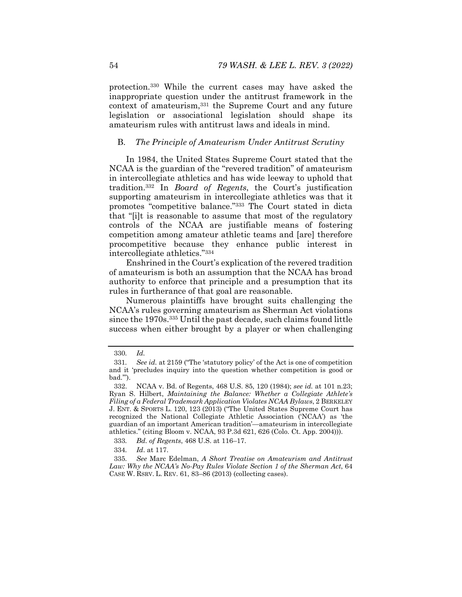protection.330 While the current cases may have asked the inappropriate question under the antitrust framework in the context of amateurism,331 the Supreme Court and any future legislation or associational legislation should shape its amateurism rules with antitrust laws and ideals in mind.

# B. *The Principle of Amateurism Under Antitrust Scrutiny*

In 1984, the United States Supreme Court stated that the NCAA is the guardian of the "revered tradition" of amateurism in intercollegiate athletics and has wide leeway to uphold that tradition.332 In *Board of Regents*, the Court's justification supporting amateurism in intercollegiate athletics was that it promotes "competitive balance."333 The Court stated in dicta that "[i]t is reasonable to assume that most of the regulatory controls of the NCAA are justifiable means of fostering competition among amateur athletic teams and [are] therefore procompetitive because they enhance public interest in intercollegiate athletics."334

Enshrined in the Court's explication of the revered tradition of amateurism is both an assumption that the NCAA has broad authority to enforce that principle and a presumption that its rules in furtherance of that goal are reasonable.

Numerous plaintiffs have brought suits challenging the NCAA's rules governing amateurism as Sherman Act violations since the 1970s.335 Until the past decade, such claims found little success when either brought by a player or when challenging

<sup>330</sup>*. Id.* 

<sup>331</sup>*. See id.* at 2159 ("The 'statutory policy' of the Act is one of competition and it 'precludes inquiry into the question whether competition is good or bad.'").

 <sup>332.</sup> NCAA v. Bd. of Regents, 468 U.S. 85, 120 (1984); *see id.* at 101 n.23; Ryan S. Hilbert, *Maintaining the Balance: Whether a Collegiate Athlete's Filing of a Federal Trademark Application Violates NCAA Bylaws*, 2 BERKELEY J. ENT. & SPORTS L. 120, 123 (2013) ("The United States Supreme Court has recognized the National Collegiate Athletic Association ('NCAA') as 'the guardian of an important American tradition'—amateurism in intercollegiate athletics." (citing Bloom v. NCAA, 93 P.3d 621, 626 (Colo. Ct. App. 2004))).

<sup>333</sup>*. Bd. of Regents*, 468 U.S. at 116–17.

<sup>334</sup>*. Id*. at 117.

<sup>335</sup>*. See* Marc Edelman, *A Short Treatise on Amateurism and Antitrust Law: Why the NCAA's No-Pay Rules Violate Section 1 of the Sherman Act*, 64 CASE W. RSRV. L. REV. 61, 83–86 (2013) (collecting cases).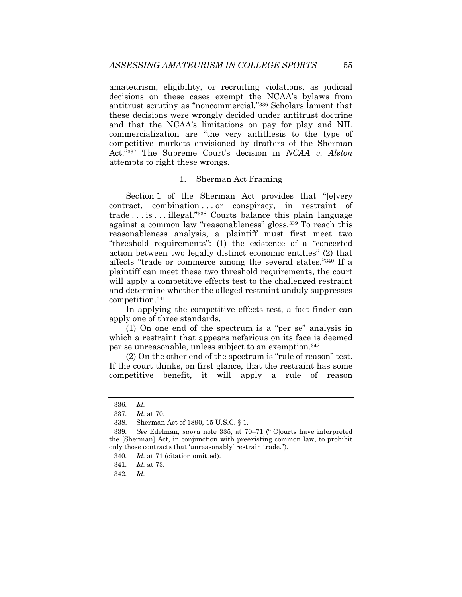amateurism, eligibility, or recruiting violations, as judicial decisions on these cases exempt the NCAA's bylaws from antitrust scrutiny as "noncommercial."336 Scholars lament that these decisions were wrongly decided under antitrust doctrine and that the NCAA's limitations on pay for play and NIL commercialization are "the very antithesis to the type of competitive markets envisioned by drafters of the Sherman Act."337 The Supreme Court's decision in *NCAA v. Alston*  attempts to right these wrongs.

#### 1. Sherman Act Framing

Section 1 of the Sherman Act provides that "[e]very contract, combination . . . or conspiracy, in restraint of trade . . . is . . . illegal."338 Courts balance this plain language against a common law "reasonableness" gloss.339 To reach this reasonableness analysis, a plaintiff must first meet two "threshold requirements": (1) the existence of a "concerted action between two legally distinct economic entities" (2) that affects "trade or commerce among the several states."340 If a plaintiff can meet these two threshold requirements, the court will apply a competitive effects test to the challenged restraint and determine whether the alleged restraint unduly suppresses competition.341

In applying the competitive effects test, a fact finder can apply one of three standards.

(1) On one end of the spectrum is a "per se" analysis in which a restraint that appears nefarious on its face is deemed per se unreasonable, unless subject to an exemption.342

(2) On the other end of the spectrum is "rule of reason" test. If the court thinks, on first glance, that the restraint has some competitive benefit, it will apply a rule of reason

342*. Id.*

<sup>336</sup>*. Id.*

<sup>337</sup>*. Id.* at 70.

 <sup>338.</sup> Sherman Act of 1890, 15 U.S.C. § 1.

<sup>339</sup>*. See* Edelman, *supra* note 335, at 70–71 ("[C]ourts have interpreted the [Sherman] Act, in conjunction with preexisting common law, to prohibit only those contracts that 'unreasonably' restrain trade.").

<sup>340</sup>*. Id.* at 71 (citation omitted).

<sup>341</sup>*. Id.* at 73.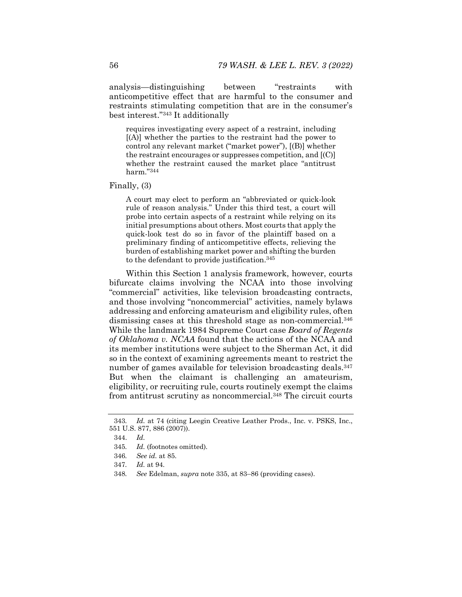analysis—distinguishing between "restraints with anticompetitive effect that are harmful to the consumer and restraints stimulating competition that are in the consumer's best interest."343 It additionally

requires investigating every aspect of a restraint, including [(A)] whether the parties to the restraint had the power to control any relevant market ("market power"), [(B)] whether the restraint encourages or suppresses competition, and [(C)] whether the restraint caused the market place "antitrust harm."344

Finally, (3)

A court may elect to perform an "abbreviated or quick-look rule of reason analysis." Under this third test, a court will probe into certain aspects of a restraint while relying on its initial presumptions about others. Most courts that apply the quick-look test do so in favor of the plaintiff based on a preliminary finding of anticompetitive effects, relieving the burden of establishing market power and shifting the burden to the defendant to provide justification.<sup>345</sup>

Within this Section 1 analysis framework, however, courts bifurcate claims involving the NCAA into those involving "commercial" activities, like television broadcasting contracts, and those involving "noncommercial" activities, namely bylaws addressing and enforcing amateurism and eligibility rules, often dismissing cases at this threshold stage as non-commercial.346 While the landmark 1984 Supreme Court case *Board of Regents of Oklahoma v. NCAA* found that the actions of the NCAA and its member institutions were subject to the Sherman Act, it did so in the context of examining agreements meant to restrict the number of games available for television broadcasting deals.<sup>347</sup> But when the claimant is challenging an amateurism, eligibility, or recruiting rule, courts routinely exempt the claims from antitrust scrutiny as noncommercial.348 The circuit courts

<sup>343</sup>*. Id.* at 74 (citing Leegin Creative Leather Prods., Inc. v. PSKS, Inc., 551 U.S. 877, 886 (2007)).

 <sup>344.</sup> *Id.*

<sup>345</sup>*. Id.* (footnotes omitted)*.*

<sup>346</sup>*. See id.* at 85.

<sup>347</sup>*. Id.* at 94.

<sup>348</sup>*. See* Edelman, *supra* note 335, at 83–86 (providing cases).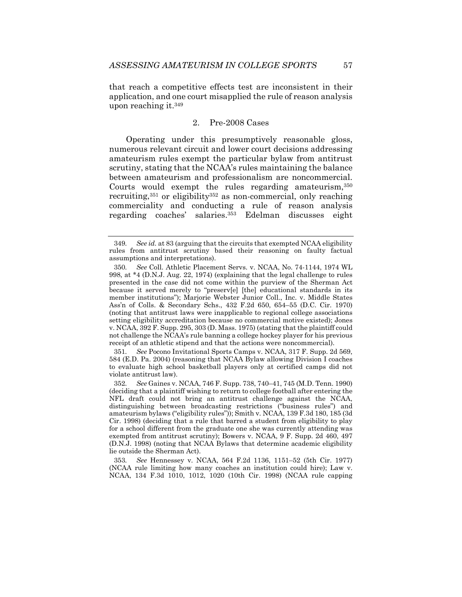that reach a competitive effects test are inconsistent in their application, and one court misapplied the rule of reason analysis upon reaching it.349

## 2. Pre-2008 Cases

Operating under this presumptively reasonable gloss, numerous relevant circuit and lower court decisions addressing amateurism rules exempt the particular bylaw from antitrust scrutiny, stating that the NCAA's rules maintaining the balance between amateurism and professionalism are noncommercial. Courts would exempt the rules regarding amateurism,350 recruiting,351 or eligibility352 as non-commercial, only reaching commerciality and conducting a rule of reason analysis regarding coaches' salaries.353 Edelman discusses eight

351*. See* Pocono Invitational Sports Camps v. NCAA, 317 F. Supp. 2d 569, 584 (E.D. Pa. 2004) (reasoning that NCAA Bylaw allowing Division I coaches to evaluate high school basketball players only at certified camps did not violate antitrust law).

<sup>349</sup>*. See id.* at 83 (arguing that the circuits that exempted NCAA eligibility rules from antitrust scrutiny based their reasoning on faulty factual assumptions and interpretations).

<sup>350</sup>*. See* Coll. Athletic Placement Servs. v. NCAA, No. 74-1144, 1974 WL 998, at \*4 (D.N.J. Aug. 22, 1974) (explaining that the legal challenge to rules presented in the case did not come within the purview of the Sherman Act because it served merely to "preserv[e] [the] educational standards in its member institutions"); Marjorie Webster Junior Coll., Inc. v. Middle States Ass'n of Colls. & Secondary Schs., 432 F.2d 650, 654–55 (D.C. Cir. 1970) (noting that antitrust laws were inapplicable to regional college associations setting eligibility accreditation because no commercial motive existed); Jones v. NCAA, 392 F. Supp. 295, 303 (D. Mass. 1975) (stating that the plaintiff could not challenge the NCAA's rule banning a college hockey player for his previous receipt of an athletic stipend and that the actions were noncommercial).

<sup>352</sup>*. See* Gaines v. NCAA, 746 F. Supp. 738, 740–41, 745 (M.D. Tenn. 1990) (deciding that a plaintiff wishing to return to college football after entering the NFL draft could not bring an antitrust challenge against the NCAA, distinguishing between broadcasting restrictions ("business rules") and amateurism bylaws ("eligibility rules")); Smith v. NCAA, 139 F.3d 180, 185 (3d Cir. 1998) (deciding that a rule that barred a student from eligibility to play for a school different from the graduate one she was currently attending was exempted from antitrust scrutiny); Bowers v. NCAA, 9 F. Supp. 2d 460, 497 (D.N.J. 1998) (noting that NCAA Bylaws that determine academic eligibility lie outside the Sherman Act).

<sup>353</sup>*. See* Hennessey v. NCAA, 564 F.2d 1136, 1151–52 (5th Cir. 1977) (NCAA rule limiting how many coaches an institution could hire); Law v. NCAA, 134 F.3d 1010, 1012, 1020 (10th Cir. 1998) (NCAA rule capping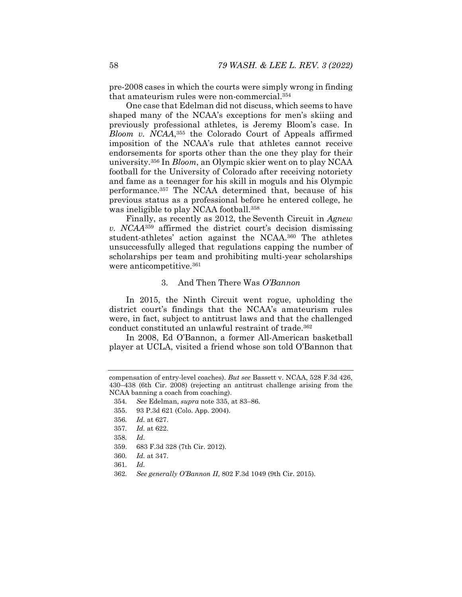pre-2008 cases in which the courts were simply wrong in finding that amateurism rules were non-commercial.354

One case that Edelman did not discuss, which seems to have shaped many of the NCAA's exceptions for men's skiing and previously professional athletes, is Jeremy Bloom's case. In *Bloom v. NCAA*,355 the Colorado Court of Appeals affirmed imposition of the NCAA's rule that athletes cannot receive endorsements for sports other than the one they play for their university.356 In *Bloom*, an Olympic skier went on to play NCAA football for the University of Colorado after receiving notoriety and fame as a teenager for his skill in moguls and his Olympic performance.357 The NCAA determined that, because of his previous status as a professional before he entered college, he was ineligible to play NCAA football.358

Finally, as recently as 2012, the Seventh Circuit in *Agnew v. NCAA*<sup>359</sup> affirmed the district court's decision dismissing student-athletes' action against the NCAA.360 The athletes unsuccessfully alleged that regulations capping the number of scholarships per team and prohibiting multi-year scholarships were anticompetitive.<sup>361</sup>

#### 3. And Then There Was *O'Bannon*

In 2015, the Ninth Circuit went rogue, upholding the district court's findings that the NCAA's amateurism rules were, in fact, subject to antitrust laws and that the challenged conduct constituted an unlawful restraint of trade.362

In 2008, Ed O'Bannon, a former All-American basketball player at UCLA, visited a friend whose son told O'Bannon that

355. 93 P.3d 621 (Colo. App. 2004).

360*. Id.* at 347.

362*. See generally O'Bannon II*, 802 F.3d 1049 (9th Cir. 2015).

compensation of entry-level coaches). *But see* Bassett v. NCAA, 528 F.3d 426, 430–438 (6th Cir. 2008) (rejecting an antitrust challenge arising from the NCAA banning a coach from coaching).

<sup>354</sup>*. See* Edelman, *supra* note 335, at 83–86.

<sup>356</sup>*. Id.* at 627.

<sup>357</sup>*. Id.* at 622.

<sup>358</sup>*. Id.*

 <sup>359. 683</sup> F.3d 328 (7th Cir. 2012).

<sup>361</sup>*. Id.*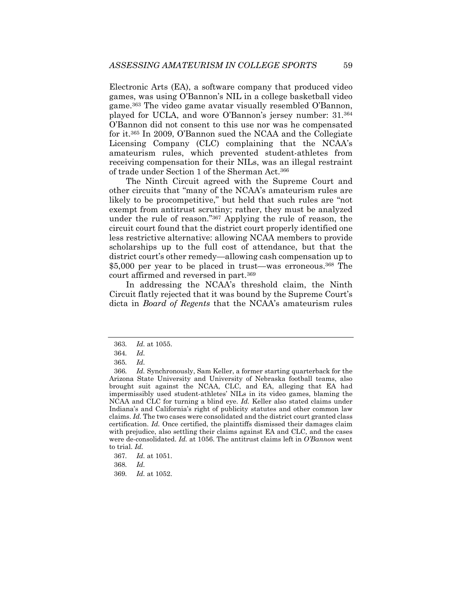Electronic Arts (EA), a software company that produced video games, was using O'Bannon's NIL in a college basketball video game.363 The video game avatar visually resembled O'Bannon, played for UCLA, and wore O'Bannon's jersey number: 31.364 O'Bannon did not consent to this use nor was he compensated for it.365 In 2009, O'Bannon sued the NCAA and the Collegiate Licensing Company (CLC) complaining that the NCAA's amateurism rules, which prevented student-athletes from receiving compensation for their NILs, was an illegal restraint of trade under Section 1 of the Sherman Act.366

The Ninth Circuit agreed with the Supreme Court and other circuits that "many of the NCAA's amateurism rules are likely to be procompetitive," but held that such rules are "not exempt from antitrust scrutiny; rather, they must be analyzed under the rule of reason."367 Applying the rule of reason, the circuit court found that the district court properly identified one less restrictive alternative: allowing NCAA members to provide scholarships up to the full cost of attendance, but that the district court's other remedy—allowing cash compensation up to \$5,000 per year to be placed in trust—was erroneous.368 The court affirmed and reversed in part.369

In addressing the NCAA's threshold claim, the Ninth Circuit flatly rejected that it was bound by the Supreme Court's dicta in *Board of Regents* that the NCAA's amateurism rules

<sup>363</sup>*. Id.* at 1055.

<sup>364</sup>*. Id.* 

<sup>365</sup>*. Id.* 

<sup>366</sup>*. Id.* Synchronously, Sam Keller, a former starting quarterback for the Arizona State University and University of Nebraska football teams, also brought suit against the NCAA, CLC, and EA, alleging that EA had impermissibly used student-athletes' NILs in its video games, blaming the NCAA and CLC for turning a blind eye. *Id.* Keller also stated claims under Indiana's and California's right of publicity statutes and other common law claims. *Id.* The two cases were consolidated and the district court granted class certification. *Id.* Once certified, the plaintiffs dismissed their damages claim with prejudice, also settling their claims against EA and CLC, and the cases were de-consolidated. *Id.* at 1056. The antitrust claims left in *O'Bannon* went to trial. *Id.* 

<sup>367</sup>*. Id.* at 1051.

<sup>368</sup>*. Id.* 

<sup>369</sup>*. Id.* at 1052.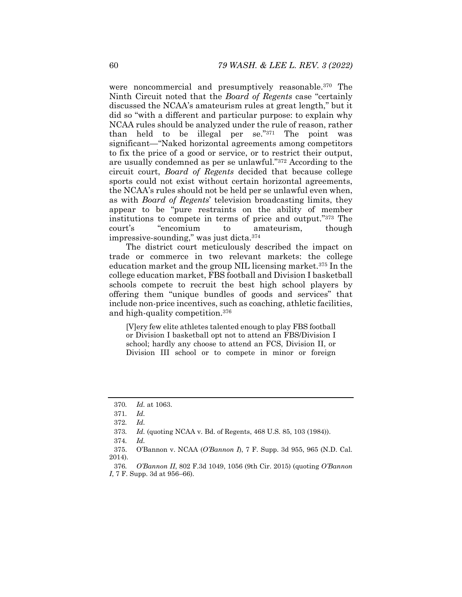were noncommercial and presumptively reasonable.370 The Ninth Circuit noted that the *Board of Regents* case "certainly discussed the NCAA's amateurism rules at great length," but it did so "with a different and particular purpose: to explain why NCAA rules should be analyzed under the rule of reason, rather than held to be illegal per se."371 The point was significant—"Naked horizontal agreements among competitors to fix the price of a good or service, or to restrict their output, are usually condemned as per se unlawful."372 According to the circuit court, *Board of Regents* decided that because college sports could not exist without certain horizontal agreements, the NCAA's rules should not be held per se unlawful even when, as with *Board of Regents*' television broadcasting limits, they appear to be "pure restraints on the ability of member institutions to compete in terms of price and output."373 The court's "encomium to amateurism, though impressive-sounding," was just dicta.374

The district court meticulously described the impact on trade or commerce in two relevant markets: the college education market and the group NIL licensing market.375 In the college education market, FBS football and Division I basketball schools compete to recruit the best high school players by offering them "unique bundles of goods and services" that include non-price incentives, such as coaching, athletic facilities, and high-quality competition.376

[V]ery few elite athletes talented enough to play FBS football or Division I basketball opt not to attend an FBS/Division I school; hardly any choose to attend an FCS, Division II, or Division III school or to compete in minor or foreign

<sup>370</sup>*. Id.* at 1063.

<sup>371</sup>*. Id.*

<sup>372</sup>*. Id.*

<sup>373</sup>*. Id.* (quoting NCAA v. Bd. of Regents, 468 U.S. 85, 103 (1984)).

<sup>374</sup>*. Id.*

 <sup>375.</sup> O'Bannon v. NCAA (*O'Bannon I*), 7 F. Supp. 3d 955, 965 (N.D. Cal. 2014).

<sup>376</sup>*. O'Bannon II*, 802 F.3d 1049, 1056 (9th Cir. 2015) (quoting *O'Bannon I*, 7 F. Supp. 3d at 956–66).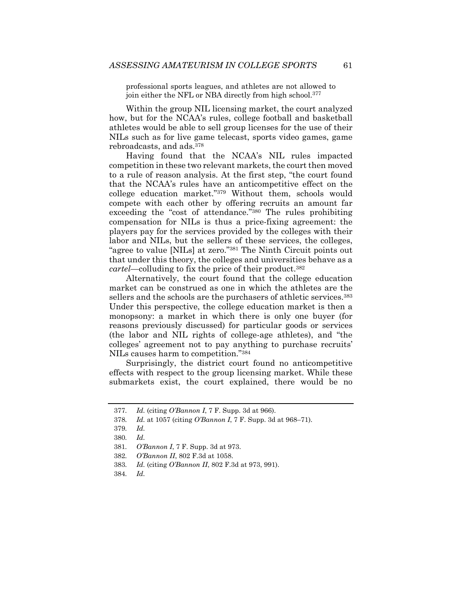professional sports leagues, and athletes are not allowed to join either the NFL or NBA directly from high school.<sup>377</sup>

Within the group NIL licensing market, the court analyzed how, but for the NCAA's rules, college football and basketball athletes would be able to sell group licenses for the use of their NILs such as for live game telecast, sports video games, game rebroadcasts, and ads.378

Having found that the NCAA's NIL rules impacted competition in these two relevant markets, the court then moved to a rule of reason analysis. At the first step, "the court found that the NCAA's rules have an anticompetitive effect on the college education market."379 Without them, schools would compete with each other by offering recruits an amount far exceeding the "cost of attendance."380 The rules prohibiting compensation for NILs is thus a price-fixing agreement: the players pay for the services provided by the colleges with their labor and NILs, but the sellers of these services, the colleges, "agree to value [NILs] at zero."381 The Ninth Circuit points out that under this theory, the colleges and universities behave as a *cartel*—colluding to fix the price of their product.382

Alternatively, the court found that the college education market can be construed as one in which the athletes are the sellers and the schools are the purchasers of athletic services.<sup>383</sup> Under this perspective, the college education market is then a monopsony: a market in which there is only one buyer (for reasons previously discussed) for particular goods or services (the labor and NIL rights of college-age athletes), and "the colleges' agreement not to pay anything to purchase recruits' NILs causes harm to competition."384

Surprisingly, the district court found no anticompetitive effects with respect to the group licensing market. While these submarkets exist, the court explained, there would be no

<sup>377</sup>*. Id.* (citing *O'Bannon I*, 7 F. Supp. 3d at 966).

<sup>378</sup>*. Id.* at 1057 (citing *O'Bannon I*, 7 F. Supp. 3d at 968–71).

<sup>379</sup>*. Id.* 

<sup>380</sup>*. Id.*

<sup>381</sup>*. O'Bannon I*, 7 F. Supp. 3d at 973.

<sup>382</sup>*. O'Bannon II*, 802 F.3d at 1058.

<sup>383</sup>*. Id.* (citing *O'Bannon II*, 802 F.3d at 973, 991).

<sup>384</sup>*. Id.*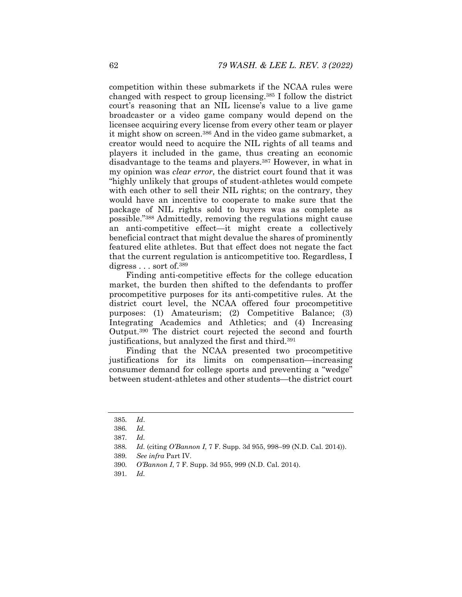competition within these submarkets if the NCAA rules were changed with respect to group licensing.385 I follow the district court's reasoning that an NIL license's value to a live game broadcaster or a video game company would depend on the licensee acquiring every license from every other team or player it might show on screen.386 And in the video game submarket, a creator would need to acquire the NIL rights of all teams and players it included in the game, thus creating an economic disadvantage to the teams and players.387 However, in what in my opinion was *clear error*, the district court found that it was "highly unlikely that groups of student-athletes would compete with each other to sell their NIL rights; on the contrary, they would have an incentive to cooperate to make sure that the package of NIL rights sold to buyers was as complete as possible."388 Admittedly, removing the regulations might cause an anti-competitive effect—it might create a collectively beneficial contract that might devalue the shares of prominently featured elite athletes. But that effect does not negate the fact that the current regulation is anticompetitive too. Regardless, I digress . . . sort of.<sup>389</sup>

Finding anti-competitive effects for the college education market, the burden then shifted to the defendants to proffer procompetitive purposes for its anti-competitive rules. At the district court level, the NCAA offered four procompetitive purposes: (1) Amateurism; (2) Competitive Balance; (3) Integrating Academics and Athletics; and (4) Increasing Output.390 The district court rejected the second and fourth justifications, but analyzed the first and third.<sup>391</sup>

Finding that the NCAA presented two procompetitive justifications for its limits on compensation—increasing consumer demand for college sports and preventing a "wedge" between student-athletes and other students—the district court

<sup>385</sup>*. Id*.

<sup>386</sup>*. Id.* 

<sup>387</sup>*. Id.* 

<sup>388</sup>*. Id.* (citing *O'Bannon I*, 7 F. Supp. 3d 955, 998–99 (N.D. Cal. 2014)).

<sup>389</sup>*. See infra* Part IV.

<sup>390</sup>*. O'Bannon I*, 7 F. Supp. 3d 955, 999 (N.D. Cal. 2014).

<sup>391</sup>*. Id.*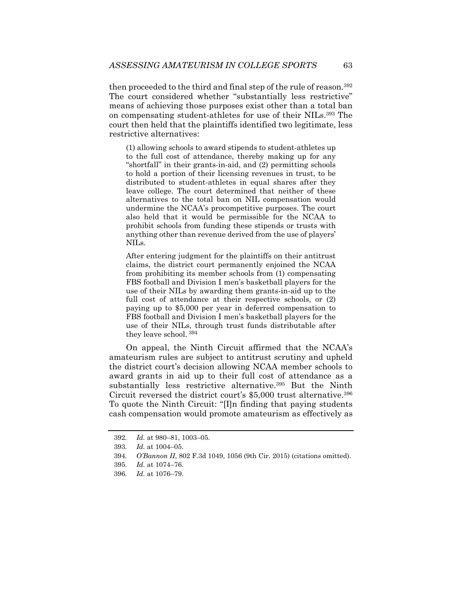then proceeded to the third and final step of the rule of reason.392 The court considered whether "substantially less restrictive" means of achieving those purposes exist other than a total ban on compensating student-athletes for use of their NILs.393 The court then held that the plaintiffs identified two legitimate, less restrictive alternatives:

(1) allowing schools to award stipends to student-athletes up to the full cost of attendance, thereby making up for any "shortfall" in their grants-in-aid, and (2) permitting schools to hold a portion of their licensing revenues in trust, to be distributed to student-athletes in equal shares after they leave college. The court determined that neither of these alternatives to the total ban on NIL compensation would undermine the NCAA's procompetitive purposes. The court also held that it would be permissible for the NCAA to prohibit schools from funding these stipends or trusts with anything other than revenue derived from the use of players' NILs.

After entering judgment for the plaintiffs on their antitrust claims, the district court permanently enjoined the NCAA from prohibiting its member schools from (1) compensating FBS football and Division I men's basketball players for the use of their NILs by awarding them grants-in-aid up to the full cost of attendance at their respective schools, or  $(2)$ paying up to \$5,000 per year in deferred compensation to FBS football and Division I men's basketball players for the use of their NILs, through trust funds distributable after they leave school. 394

On appeal, the Ninth Circuit affirmed that the NCAA's amateurism rules are subject to antitrust scrutiny and upheld the district court's decision allowing NCAA member schools to award grants in aid up to their full cost of attendance as a substantially less restrictive alternative.<sup>395</sup> But the Ninth Circuit reversed the district court's \$5,000 trust alternative.396 To quote the Ninth Circuit: "[I]n finding that paying students cash compensation would promote amateurism as effectively as

<sup>392</sup>*. Id.* at 980–81, 1003–05.

<sup>393</sup>*. Id.* at 1004–05.

<sup>394</sup>*. O'Bannon II*, 802 F.3d 1049, 1056 (9th Cir. 2015) (citations omitted).

<sup>395</sup>*. Id.* at 1074–76.

<sup>396</sup>*. Id.* at 1076–79.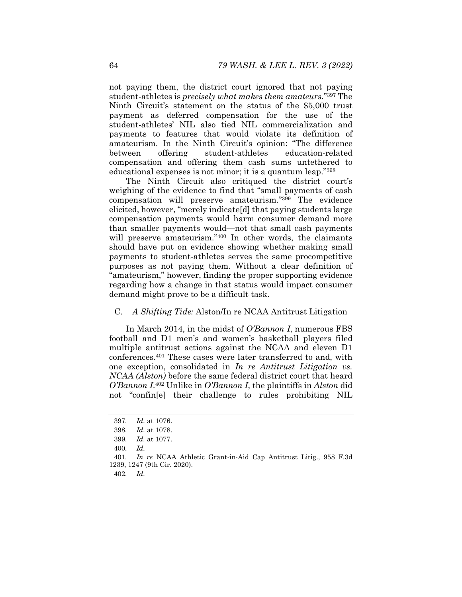not paying them, the district court ignored that not paying student-athletes is *precisely what makes them amateurs*."397 The Ninth Circuit's statement on the status of the \$5,000 trust payment as deferred compensation for the use of the student-athletes' NIL also tied NIL commercialization and payments to features that would violate its definition of amateurism. In the Ninth Circuit's opinion: "The difference between offering student-athletes education-related compensation and offering them cash sums untethered to educational expenses is not minor; it is a quantum leap."398

The Ninth Circuit also critiqued the district court's weighing of the evidence to find that "small payments of cash compensation will preserve amateurism."399 The evidence elicited, however, "merely indicate[d] that paying students large compensation payments would harm consumer demand more than smaller payments would—not that small cash payments will preserve amateurism."<sup>400</sup> In other words, the claimants should have put on evidence showing whether making small payments to student-athletes serves the same procompetitive purposes as not paying them. Without a clear definition of "amateurism," however, finding the proper supporting evidence regarding how a change in that status would impact consumer demand might prove to be a difficult task.

## C. *A Shifting Tide:* Alston/In re NCAA Antitrust Litigation

In March 2014, in the midst of *O'Bannon I*, numerous FBS football and D1 men's and women's basketball players filed multiple antitrust actions against the NCAA and eleven D1 conferences.401 These cases were later transferred to and, with one exception, consolidated in *In re Antitrust Litigation vs. NCAA (Alston)* before the same federal district court that heard *O'Bannon I*.402 Unlike in *O'Bannon I*, the plaintiffs in *Alston* did not "confin[e] their challenge to rules prohibiting NIL

402*. Id.* 

<sup>397</sup>*. Id.* at 1076.

<sup>398</sup>*. Id.* at 1078.

<sup>399</sup>*. Id.* at 1077.

<sup>400</sup>*. Id.*

<sup>401</sup>*. In re* NCAA Athletic Grant-in-Aid Cap Antitrust Litig., 958 F.3d 1239, 1247 (9th Cir. 2020).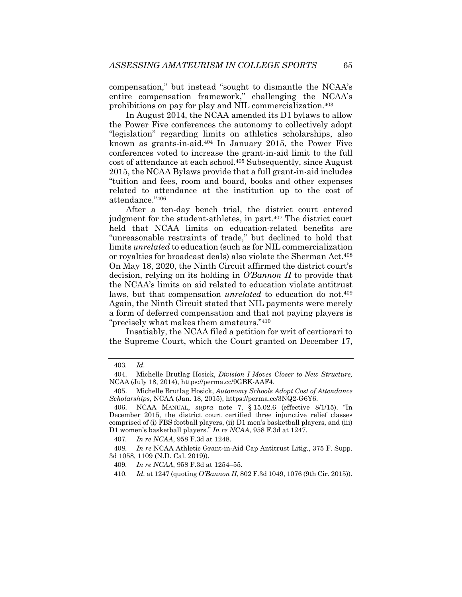compensation," but instead "sought to dismantle the NCAA's entire compensation framework," challenging the NCAA's prohibitions on pay for play and NIL commercialization.403

In August 2014, the NCAA amended its D1 bylaws to allow the Power Five conferences the autonomy to collectively adopt "legislation" regarding limits on athletics scholarships, also known as grants-in-aid.404 In January 2015, the Power Five conferences voted to increase the grant-in-aid limit to the full cost of attendance at each school.405 Subsequently, since August 2015, the NCAA Bylaws provide that a full grant-in-aid includes "tuition and fees, room and board, books and other expenses related to attendance at the institution up to the cost of attendance."406

After a ten-day bench trial, the district court entered judgment for the student-athletes, in part.407 The district court held that NCAA limits on education-related benefits are "unreasonable restraints of trade," but declined to hold that limits *unrelated* to education (such as for NIL commercialization or royalties for broadcast deals) also violate the Sherman Act.408 On May 18, 2020, the Ninth Circuit affirmed the district court's decision, relying on its holding in *O'Bannon II* to provide that the NCAA's limits on aid related to education violate antitrust laws, but that compensation *unrelated* to education do not.<sup>409</sup> Again, the Ninth Circuit stated that NIL payments were merely a form of deferred compensation and that not paying players is "precisely what makes them amateurs."410

Insatiably, the NCAA filed a petition for writ of certiorari to the Supreme Court, which the Court granted on December 17,

<sup>403</sup>*. Id.*

 <sup>404.</sup> Michelle Brutlag Hosick, *Division I Moves Closer to New Structure,*  NCAA (July 18, 2014), https://perma.cc/9GBK-AAF4.

 <sup>405.</sup> Michelle Brutlag Hosick, *Autonomy Schools Adopt Cost of Attendance Scholarships*, NCAA (Jan. 18, 2015), https://perma.cc/3NQ2-G6Y6.

 <sup>406.</sup> NCAA MANUAL, *supra* note 7, § 15.02.6 (effective 8/1/15). "In December 2015, the district court certified three injunctive relief classes comprised of (i) FBS football players, (ii) D1 men's basketball players, and (iii) D1 women's basketball players." *In re NCAA*, 958 F.3d at 1247.

<sup>407</sup>*. In re NCAA*, 958 F.3d at 1248.

<sup>408</sup>*. In re* NCAA Athletic Grant-in-Aid Cap Antitrust Litig., 375 F. Supp. 3d 1058, 1109 (N.D. Cal. 2019)).

<sup>409</sup>*. In re NCAA*, 958 F.3d at 1254–55.

<sup>410</sup>*. Id.* at 1247 (quoting *O'Bannon II*, 802 F.3d 1049, 1076 (9th Cir. 2015)).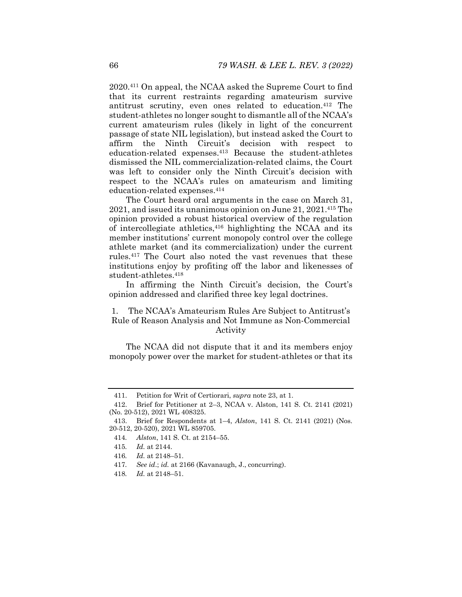2020.411 On appeal, the NCAA asked the Supreme Court to find that its current restraints regarding amateurism survive antitrust scrutiny, even ones related to education.412 The student-athletes no longer sought to dismantle all of the NCAA's current amateurism rules (likely in light of the concurrent passage of state NIL legislation), but instead asked the Court to affirm the Ninth Circuit's decision with respect to education-related expenses.413 Because the student-athletes dismissed the NIL commercialization-related claims, the Court was left to consider only the Ninth Circuit's decision with respect to the NCAA's rules on amateurism and limiting education-related expenses.414

The Court heard oral arguments in the case on March 31, 2021, and issued its unanimous opinion on June 21, 2021.415 The opinion provided a robust historical overview of the regulation of intercollegiate athletics,  $416$  highlighting the NCAA and its member institutions' current monopoly control over the college athlete market (and its commercialization) under the current rules.417 The Court also noted the vast revenues that these institutions enjoy by profiting off the labor and likenesses of student-athletes.418

In affirming the Ninth Circuit's decision, the Court's opinion addressed and clarified three key legal doctrines.

# 1. The NCAA's Amateurism Rules Are Subject to Antitrust's Rule of Reason Analysis and Not Immune as Non-Commercial Activity

The NCAA did not dispute that it and its members enjoy monopoly power over the market for student-athletes or that its

- 417*. See id*.; *id.* at 2166 (Kavanaugh, J., concurring).
- 418*. Id.* at 2148–51.

 <sup>411.</sup> Petition for Writ of Certiorari, *supra* note 23, at 1.

 <sup>412.</sup> Brief for Petitioner at 2–3, NCAA v. Alston, 141 S. Ct. 2141 (2021) (No. 20-512), 2021 WL 408325.

 <sup>413.</sup> Brief for Respondents at 1–4, *Alston*, 141 S. Ct. 2141 (2021) (Nos. 20-512, 20-520), 2021 WL 859705.

<sup>414</sup>*. Alston*, 141 S. Ct. at 2154–55.

<sup>415</sup>*. Id.* at 2144.

<sup>416</sup>*. Id.* at 2148–51.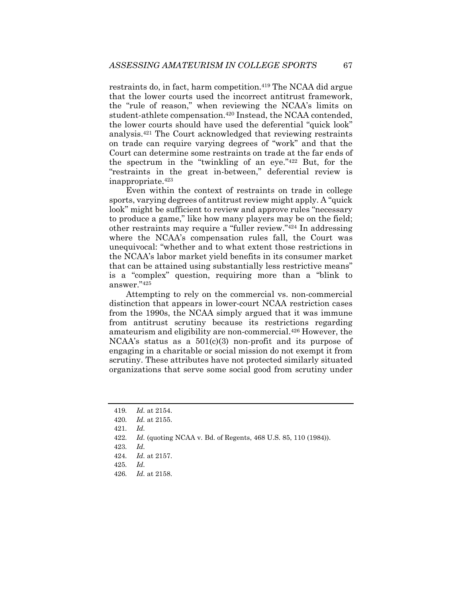restraints do, in fact, harm competition.<sup>419</sup> The NCAA did argue that the lower courts used the incorrect antitrust framework, the "rule of reason," when reviewing the NCAA's limits on student-athlete compensation.<sup>420</sup> Instead, the NCAA contended, the lower courts should have used the deferential "quick look" analysis.421 The Court acknowledged that reviewing restraints on trade can require varying degrees of "work" and that the Court can determine some restraints on trade at the far ends of the spectrum in the "twinkling of an eye."422 But, for the "restraints in the great in-between," deferential review is inappropriate.423

Even within the context of restraints on trade in college sports, varying degrees of antitrust review might apply. A "quick look" might be sufficient to review and approve rules "necessary to produce a game," like how many players may be on the field; other restraints may require a "fuller review."424 In addressing where the NCAA's compensation rules fall, the Court was unequivocal: "whether and to what extent those restrictions in the NCAA's labor market yield benefits in its consumer market that can be attained using substantially less restrictive means" is a "complex" question, requiring more than a "blink to answer."425

Attempting to rely on the commercial vs. non-commercial distinction that appears in lower-court NCAA restriction cases from the 1990s, the NCAA simply argued that it was immune from antitrust scrutiny because its restrictions regarding amateurism and eligibility are non-commercial.426 However, the NCAA's status as a  $501(c)(3)$  non-profit and its purpose of engaging in a charitable or social mission do not exempt it from scrutiny. These attributes have not protected similarly situated organizations that serve some social good from scrutiny under

426*. Id.* at 2158.

<sup>419</sup>*. Id.* at 2154.

<sup>420</sup>*. Id.* at 2155.

<sup>421</sup>*. Id.*

<sup>422</sup>*. Id.* (quoting NCAA v. Bd. of Regents, 468 U.S. 85, 110 (1984)).

<sup>423</sup>*. Id.* 

<sup>424</sup>*. Id.* at 2157.

<sup>425</sup>*. Id.*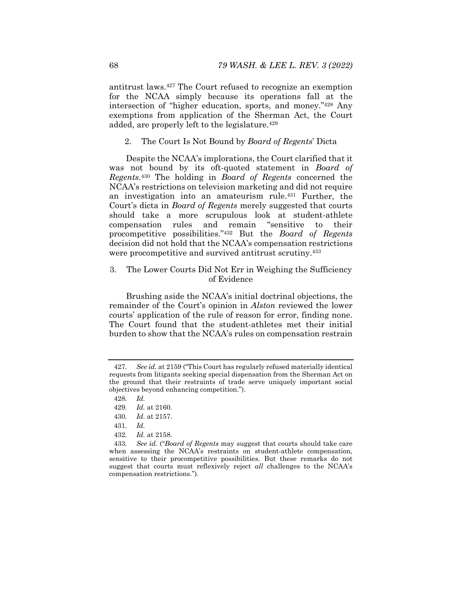antitrust laws.427 The Court refused to recognize an exemption for the NCAA simply because its operations fall at the intersection of "higher education, sports, and money."428 Any exemptions from application of the Sherman Act, the Court added, are properly left to the legislature.<sup>429</sup>

2. The Court Is Not Bound by *Board of Regents*' Dicta

Despite the NCAA's implorations, the Court clarified that it was not bound by its oft-quoted statement in *Board of Regents*.430 The holding in *Board of Regents* concerned the NCAA's restrictions on television marketing and did not require an investigation into an amateurism rule.431 Further, the Court's dicta in *Board of Regents* merely suggested that courts should take a more scrupulous look at student-athlete compensation rules and remain "sensitive to their procompetitive possibilities."432 But the *Board of Regents*  decision did not hold that the NCAA's compensation restrictions were procompetitive and survived antitrust scrutiny.<sup>433</sup>

# 3. The Lower Courts Did Not Err in Weighing the Sufficiency of Evidence

Brushing aside the NCAA's initial doctrinal objections, the remainder of the Court's opinion in *Alston* reviewed the lower courts' application of the rule of reason for error, finding none. The Court found that the student-athletes met their initial burden to show that the NCAA's rules on compensation restrain

432*. Id.* at 2158.

<sup>427</sup>*. See id.* at 2159 ("This Court has regularly refused materially identical requests from litigants seeking special dispensation from the Sherman Act on the ground that their restraints of trade serve uniquely important social objectives beyond enhancing competition.").

<sup>428</sup>*. Id.*

<sup>429</sup>*. Id.* at 2160.

<sup>430</sup>*. Id.* at 2157.

<sup>431</sup>*. Id.*

<sup>433</sup>*. See id.* ("*Board of Regents* may suggest that courts should take care when assessing the NCAA's restraints on student-athlete compensation, sensitive to their procompetitive possibilities. But these remarks do not suggest that courts must reflexively reject *all* challenges to the NCAA's compensation restrictions.").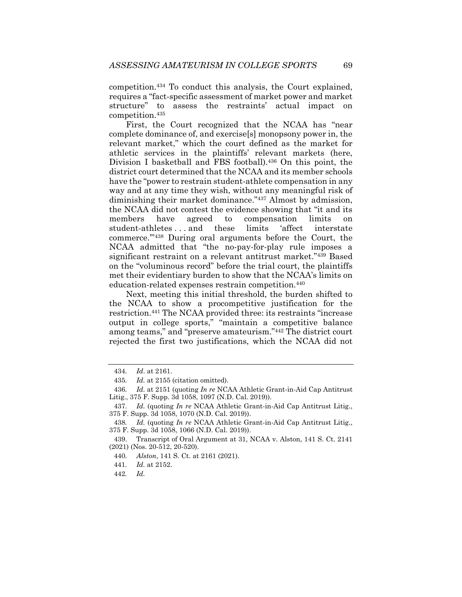competition.434 To conduct this analysis, the Court explained, requires a "fact-specific assessment of market power and market structure" to assess the restraints' actual impact on competition.435

First, the Court recognized that the NCAA has "near complete dominance of, and exercise[s] monopsony power in, the relevant market," which the court defined as the market for athletic services in the plaintiffs' relevant markets (here, Division I basketball and FBS football).<sup>436</sup> On this point, the district court determined that the NCAA and its member schools have the "power to restrain student-athlete compensation in any way and at any time they wish, without any meaningful risk of diminishing their market dominance."437 Almost by admission, the NCAA did not contest the evidence showing that "it and its members have agreed to compensation limits on student-athletes . . . and these limits 'affect interstate commerce.'"438 During oral arguments before the Court, the NCAA admitted that "the no-pay-for-play rule imposes a significant restraint on a relevant antitrust market."439 Based on the "voluminous record" before the trial court, the plaintiffs met their evidentiary burden to show that the NCAA's limits on education-related expenses restrain competition.440

Next, meeting this initial threshold, the burden shifted to the NCAA to show a procompetitive justification for the restriction.441 The NCAA provided three: its restraints "increase output in college sports," "maintain a competitive balance among teams," and "preserve amateurism."442 The district court rejected the first two justifications, which the NCAA did not

442*. Id.* 

<sup>434</sup>*. Id*. at 2161.

<sup>435</sup>*. Id.* at 2155 (citation omitted).

<sup>436</sup>*. Id.* at 2151 (quoting *In re* NCAA Athletic Grant-in-Aid Cap Antitrust Litig., 375 F. Supp. 3d 1058, 1097 (N.D. Cal. 2019)).

<sup>437</sup>*. Id.* (quoting *In re* NCAA Athletic Grant-in-Aid Cap Antitrust Litig., 375 F. Supp. 3d 1058, 1070 (N.D. Cal. 2019)).

<sup>438</sup>*. Id.* (quoting *In re* NCAA Athletic Grant-in-Aid Cap Antitrust Litig., 375 F. Supp. 3d 1058, 1066 (N.D. Cal. 2019)).

 <sup>439.</sup> Transcript of Oral Argument at 31, NCAA v. Alston, 141 S. Ct. 2141 (2021) (Nos. 20-512, 20-520).

<sup>440</sup>*. Alston*, 141 S. Ct. at 2161 (2021).

<sup>441</sup>*. Id.* at 2152.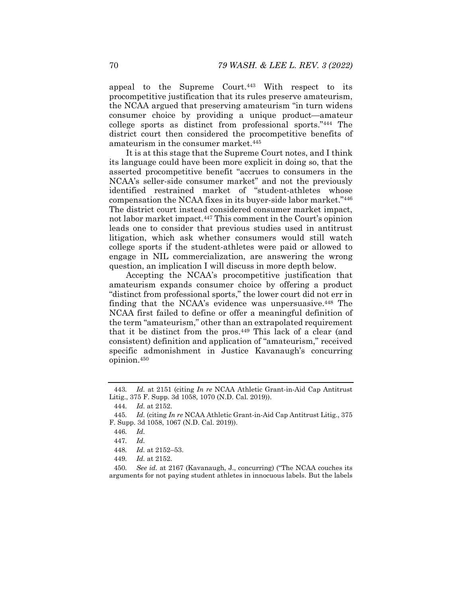appeal to the Supreme Court.443 With respect to its procompetitive justification that its rules preserve amateurism, the NCAA argued that preserving amateurism "in turn widens consumer choice by providing a unique product—amateur college sports as distinct from professional sports."444 The district court then considered the procompetitive benefits of amateurism in the consumer market.445

It is at this stage that the Supreme Court notes, and I think its language could have been more explicit in doing so, that the asserted procompetitive benefit "accrues to consumers in the NCAA's seller-side consumer market" and not the previously identified restrained market of "student-athletes whose compensation the NCAA fixes in its buyer-side labor market."446 The district court instead considered consumer market impact, not labor market impact.447 This comment in the Court's opinion leads one to consider that previous studies used in antitrust litigation, which ask whether consumers would still watch college sports if the student-athletes were paid or allowed to engage in NIL commercialization, are answering the wrong question, an implication I will discuss in more depth below.

Accepting the NCAA's procompetitive justification that amateurism expands consumer choice by offering a product "distinct from professional sports," the lower court did not err in finding that the NCAA's evidence was unpersuasive.448 The NCAA first failed to define or offer a meaningful definition of the term "amateurism," other than an extrapolated requirement that it be distinct from the pros.449 This lack of a clear (and consistent) definition and application of "amateurism," received specific admonishment in Justice Kavanaugh's concurring opinion.450

449*. Id.* at 2152.

<sup>443</sup>*. Id.* at 2151 (citing *In re* NCAA Athletic Grant-in-Aid Cap Antitrust Litig., 375 F. Supp. 3d 1058, 1070 (N.D. Cal. 2019)).

<sup>444</sup>*. Id.* at 2152.

<sup>445</sup>*. Id.* (citing *In re* NCAA Athletic Grant-in-Aid Cap Antitrust Litig., 375 F. Supp. 3d 1058, 1067 (N.D. Cal. 2019)).

<sup>446</sup>*. Id.* 

<sup>447</sup>*. Id.*

<sup>448</sup>*. Id.* at 2152–53.

<sup>450</sup>*. See id.* at 2167 (Kavanaugh, J., concurring) ("The NCAA couches its arguments for not paying student athletes in innocuous labels. But the labels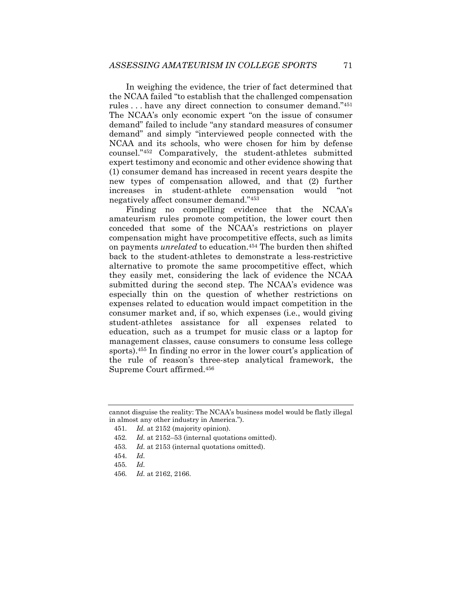In weighing the evidence, the trier of fact determined that the NCAA failed "to establish that the challenged compensation rules . . . have any direct connection to consumer demand."451 The NCAA's only economic expert "on the issue of consumer demand" failed to include "any standard measures of consumer demand" and simply "interviewed people connected with the NCAA and its schools, who were chosen for him by defense counsel."452 Comparatively, the student-athletes submitted expert testimony and economic and other evidence showing that (1) consumer demand has increased in recent years despite the new types of compensation allowed, and that (2) further increases in student-athlete compensation would "not negatively affect consumer demand."453

Finding no compelling evidence that the NCAA's amateurism rules promote competition, the lower court then conceded that some of the NCAA's restrictions on player compensation might have procompetitive effects, such as limits on payments *unrelated* to education.454 The burden then shifted back to the student-athletes to demonstrate a less-restrictive alternative to promote the same procompetitive effect, which they easily met, considering the lack of evidence the NCAA submitted during the second step. The NCAA's evidence was especially thin on the question of whether restrictions on expenses related to education would impact competition in the consumer market and, if so, which expenses (i.e., would giving student-athletes assistance for all expenses related to education, such as a trumpet for music class or a laptop for management classes, cause consumers to consume less college sports).<sup>455</sup> In finding no error in the lower court's application of the rule of reason's three-step analytical framework, the Supreme Court affirmed.456

453*. Id.* at 2153 (internal quotations omitted).

456*. Id.* at 2162, 2166.

cannot disguise the reality: The NCAA's business model would be flatly illegal in almost any other industry in America.").

<sup>451</sup>*. Id.* at 2152 (majority opinion).

<sup>452</sup>*. Id.* at 2152–53 (internal quotations omitted).

<sup>454</sup>*. Id.* 

<sup>455</sup>*. Id.*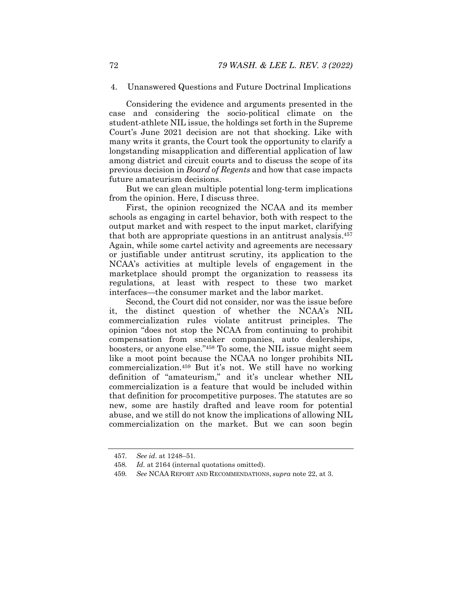# 4. Unanswered Questions and Future Doctrinal Implications

Considering the evidence and arguments presented in the case and considering the socio-political climate on the student-athlete NIL issue, the holdings set forth in the Supreme Court's June 2021 decision are not that shocking. Like with many writs it grants, the Court took the opportunity to clarify a longstanding misapplication and differential application of law among district and circuit courts and to discuss the scope of its previous decision in *Board of Regents* and how that case impacts future amateurism decisions.

But we can glean multiple potential long-term implications from the opinion. Here, I discuss three.

First, the opinion recognized the NCAA and its member schools as engaging in cartel behavior, both with respect to the output market and with respect to the input market, clarifying that both are appropriate questions in an antitrust analysis.457 Again, while some cartel activity and agreements are necessary or justifiable under antitrust scrutiny, its application to the NCAA's activities at multiple levels of engagement in the marketplace should prompt the organization to reassess its regulations, at least with respect to these two market interfaces—the consumer market and the labor market.

Second, the Court did not consider, nor was the issue before it, the distinct question of whether the NCAA's NIL commercialization rules violate antitrust principles. The opinion "does not stop the NCAA from continuing to prohibit compensation from sneaker companies, auto dealerships, boosters, or anyone else."458 To some, the NIL issue might seem like a moot point because the NCAA no longer prohibits NIL commercialization.459 But it's not. We still have no working definition of "amateurism," and it's unclear whether NIL commercialization is a feature that would be included within that definition for procompetitive purposes. The statutes are so new, some are hastily drafted and leave room for potential abuse, and we still do not know the implications of allowing NIL commercialization on the market. But we can soon begin

<sup>457</sup>*. See id*. at 1248–51.

<sup>458</sup>*. Id.* at 2164 (internal quotations omitted).

<sup>459</sup>*. See* NCAA REPORT AND RECOMMENDATIONS, *supra* note 22, at 3.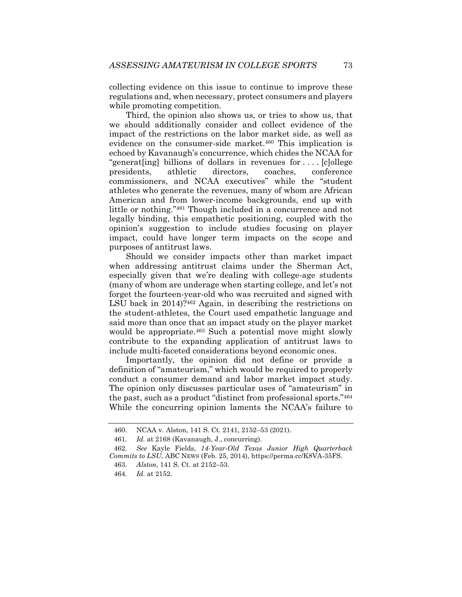collecting evidence on this issue to continue to improve these regulations and, when necessary, protect consumers and players while promoting competition.

Third, the opinion also shows us, or tries to show us, that we should additionally consider and collect evidence of the impact of the restrictions on the labor market side, as well as evidence on the consumer-side market.<sup>460</sup> This implication is echoed by Kavanaugh's concurrence, which chides the NCAA for "generat[ing] billions of dollars in revenues for . . . . [c]ollege presidents, athletic directors, coaches, conference commissioners, and NCAA executives" while the "student athletes who generate the revenues, many of whom are African American and from lower-income backgrounds, end up with little or nothing."461 Though included in a concurrence and not legally binding, this empathetic positioning, coupled with the opinion's suggestion to include studies focusing on player impact, could have longer term impacts on the scope and purposes of antitrust laws.

Should we consider impacts other than market impact when addressing antitrust claims under the Sherman Act, especially given that we're dealing with college-age students (many of whom are underage when starting college, and let's not forget the fourteen-year-old who was recruited and signed with LSU back in 2014)?<sup>462</sup> Again, in describing the restrictions on the student-athletes, the Court used empathetic language and said more than once that an impact study on the player market would be appropriate.<sup>463</sup> Such a potential move might slowly contribute to the expanding application of antitrust laws to include multi-faceted considerations beyond economic ones.

Importantly, the opinion did not define or provide a definition of "amateurism," which would be required to properly conduct a consumer demand and labor market impact study. The opinion only discusses particular uses of "amateurism" in the past, such as a product "distinct from professional sports."464 While the concurring opinion laments the NCAA's failure to

 <sup>460.</sup> NCAA v. Alston, 141 S. Ct. 2141, 2152–53 (2021).

<sup>461</sup>*. Id.* at 2168 (Kavanaugh, J., concurring).

<sup>462</sup>*. See* Kayle Fields, *14-Year-Old Texas Junior High Quarterback Commits to LSU*, ABC NEWS (Feb. 25, 2014), https://perma.cc/K8VA-35FS.

<sup>463</sup>*. Alston*, 141 S. Ct. at 2152–53.

<sup>464</sup>*. Id.* at 2152.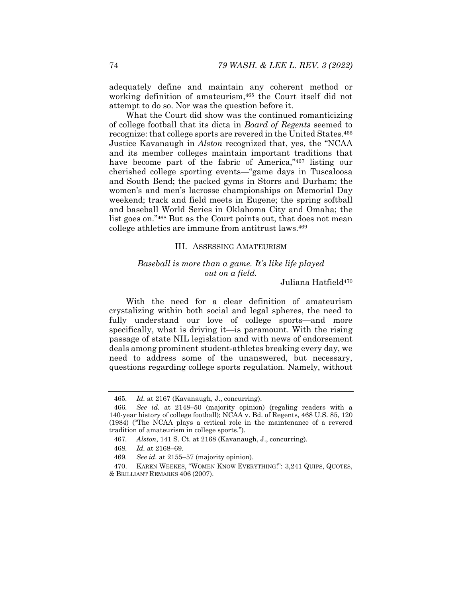adequately define and maintain any coherent method or working definition of amateurism, <sup>465</sup> the Court itself did not attempt to do so. Nor was the question before it.

What the Court did show was the continued romanticizing of college football that its dicta in *Board of Regents* seemed to recognize: that college sports are revered in the United States.466 Justice Kavanaugh in *Alston* recognized that, yes, the "NCAA and its member colleges maintain important traditions that have become part of the fabric of America,"<sup>467</sup> listing our cherished college sporting events—"game days in Tuscaloosa and South Bend; the packed gyms in Storrs and Durham; the women's and men's lacrosse championships on Memorial Day weekend; track and field meets in Eugene; the spring softball and baseball World Series in Oklahoma City and Omaha; the list goes on."468 But as the Court points out, that does not mean college athletics are immune from antitrust laws.469

#### III. ASSESSING AMATEURISM

# *Baseball is more than a game. It's like life played out on a field.*

### Juliana Hatfield<sup>470</sup>

With the need for a clear definition of amateurism crystalizing within both social and legal spheres, the need to fully understand our love of college sports—and more specifically, what is driving it—is paramount. With the rising passage of state NIL legislation and with news of endorsement deals among prominent student-athletes breaking every day, we need to address some of the unanswered, but necessary, questions regarding college sports regulation. Namely, without

<sup>465</sup>*. Id.* at 2167 (Kavanaugh, J., concurring).

<sup>466</sup>*. See id.* at 2148–50 (majority opinion) (regaling readers with a 140-year history of college football); NCAA v. Bd. of Regents, 468 U.S. 85, 120 (1984) ("The NCAA plays a critical role in the maintenance of a revered tradition of amateurism in college sports.").

<sup>467</sup>*. Alston*, 141 S. Ct. at 2168 (Kavanaugh, J., concurring).

<sup>468</sup>*. Id.* at 2168–69.

<sup>469</sup>*. See id.* at 2155–57 (majority opinion).

 <sup>470.</sup> KAREN WEEKES, "WOMEN KNOW EVERYTHING!": 3,241 QUIPS, QUOTES, & BRILLIANT REMARKS 406 (2007).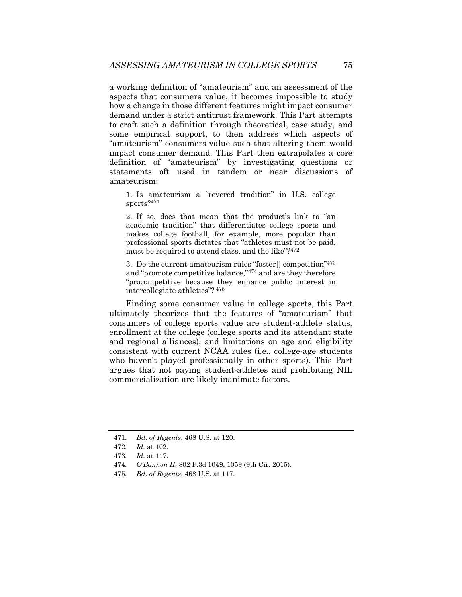a working definition of "amateurism" and an assessment of the aspects that consumers value, it becomes impossible to study how a change in those different features might impact consumer demand under a strict antitrust framework. This Part attempts to craft such a definition through theoretical, case study, and some empirical support, to then address which aspects of "amateurism" consumers value such that altering them would impact consumer demand. This Part then extrapolates a core definition of "amateurism" by investigating questions or statements oft used in tandem or near discussions of amateurism:

1. Is amateurism a "revered tradition" in U.S. college sports?<sup>471</sup>

2. If so, does that mean that the product's link to "an academic tradition" that differentiates college sports and makes college football, for example, more popular than professional sports dictates that "athletes must not be paid, must be required to attend class, and the like"?<sup>472</sup>

3. Do the current amateurism rules "foster[] competition"473 and "promote competitive balance,"474 and are they therefore "procompetitive because they enhance public interest in intercollegiate athletics"? 475

Finding some consumer value in college sports, this Part ultimately theorizes that the features of "amateurism" that consumers of college sports value are student-athlete status, enrollment at the college (college sports and its attendant state and regional alliances), and limitations on age and eligibility consistent with current NCAA rules (i.e., college-age students who haven't played professionally in other sports). This Part argues that not paying student-athletes and prohibiting NIL commercialization are likely inanimate factors.

<sup>471</sup>*. Bd. of Regents*, 468 U.S. at 120.

<sup>472</sup>*. Id.* at 102.

<sup>473</sup>*. Id.* at 117.

<sup>474</sup>*. O'Bannon II*, 802 F.3d 1049, 1059 (9th Cir. 2015).

<sup>475</sup>*. Bd. of Regents*, 468 U.S. at 117.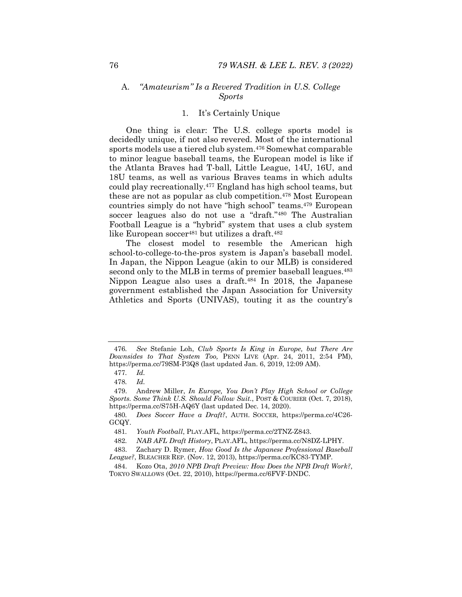# A. *"Amateurism" Is a Revered Tradition in U.S. College Sports*

#### 1. It's Certainly Unique

One thing is clear: The U.S. college sports model is decidedly unique, if not also revered. Most of the international sports models use a tiered club system.476 Somewhat comparable to minor league baseball teams, the European model is like if the Atlanta Braves had T-ball, Little League, 14U, 16U, and 18U teams, as well as various Braves teams in which adults could play recreationally.477 England has high school teams, but these are not as popular as club competition.<sup>478</sup> Most European countries simply do not have "high school" teams.479 European soccer leagues also do not use a "draft."480 The Australian Football League is a "hybrid" system that uses a club system like European soccer<sup>481</sup> but utilizes a draft.<sup>482</sup>

The closest model to resemble the American high school-to-college-to-the-pros system is Japan's baseball model. In Japan, the Nippon League (akin to our MLB) is considered second only to the MLB in terms of premier baseball leagues.<sup>483</sup> Nippon League also uses a draft.484 In 2018, the Japanese government established the Japan Association for University Athletics and Sports (UNIVAS), touting it as the country's

<sup>476</sup>*. See* Stefanie Loh, *Club Sports Is King in Europe, but There Are Downsides to That System Too,* PENN LIVE (Apr. 24, 2011, 2:54 PM), https://perma.cc/79SM-P3Q8 (last updated Jan. 6, 2019, 12:09 AM).

<sup>477</sup>*. Id.*

<sup>478</sup>*. Id.*

 <sup>479.</sup> Andrew Miller, *In Europe, You Don't Play High School or College Sports. Some Think U.S. Should Follow Suit.*, POST & COURIER (Oct. 7, 2018), https://perma.cc/S75H-AQ6Y (last updated Dec. 14, 2020).

<sup>480</sup>*. Does Soccer Have a Draft?*, AUTH. SOCCER, https://perma.cc/4C26- GCQY.

<sup>481</sup>*. Youth Football*, PLAY.AFL, https://perma.cc/2TNZ-Z843.

<sup>482</sup>*. NAB AFL Draft History*, PLAY.AFL, https://perma.cc/N8DZ-LPHY.

 <sup>483.</sup> Zachary D. Rymer, *How Good Is the Japanese Professional Baseball League?*, BLEACHER REP. (Nov. 12, 2013), https://perma.cc/KC83-TYMP.

 <sup>484.</sup> Kozo Ota, *2010 NPB Draft Preview: How Does the NPB Draft Work?*, TOKYO SWALLOWS (Oct. 22, 2010), https://perma.cc/6FVF-DNDC.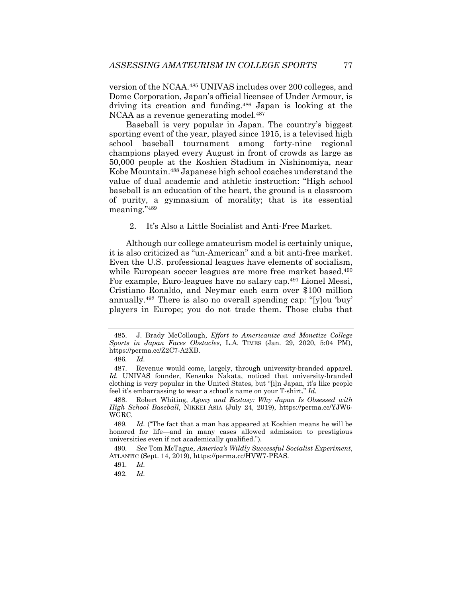version of the NCAA.485 UNIVAS includes over 200 colleges, and Dome Corporation, Japan's official licensee of Under Armour, is driving its creation and funding.486 Japan is looking at the NCAA as a revenue generating model.<sup>487</sup>

Baseball is very popular in Japan. The country's biggest sporting event of the year, played since 1915, is a televised high school baseball tournament among forty-nine regional champions played every August in front of crowds as large as 50,000 people at the Koshien Stadium in Nishinomiya, near Kobe Mountain.488 Japanese high school coaches understand the value of dual academic and athletic instruction: "High school baseball is an education of the heart, the ground is a classroom of purity, a gymnasium of morality; that is its essential meaning."489

2. It's Also a Little Socialist and Anti-Free Market.

Although our college amateurism model is certainly unique, it is also criticized as "un-American" and a bit anti-free market. Even the U.S. professional leagues have elements of socialism, while European soccer leagues are more free market based.<sup>490</sup> For example, Euro-leagues have no salary cap.491 Lionel Messi, Cristiano Ronaldo, and Neymar each earn over \$100 million annually.492 There is also no overall spending cap: "[y]ou 'buy' players in Europe; you do not trade them. Those clubs that

 <sup>485.</sup> J. Brady McCollough, *Effort to Americanize and Monetize College Sports in Japan Faces Obstacles*, L.A. TIMES (Jan. 29, 2020, 5:04 PM), https://perma.cc/Z2C7-A2XB.

<sup>486</sup>*. Id.*

 <sup>487.</sup> Revenue would come, largely, through university-branded apparel. *Id.* UNIVAS founder, Kensuke Nakata, noticed that university-branded clothing is very popular in the United States, but "[i]n Japan, it's like people feel it's embarrassing to wear a school's name on your T-shirt." *Id.*

 <sup>488.</sup> Robert Whiting, *Agony and Ecstasy: Why Japan Is Obsessed with High School Baseball*, NIKKEI ASIA (July 24, 2019), https://perma.cc/YJW6- WGRC.

<sup>489</sup>*. Id.* ("The fact that a man has appeared at Koshien means he will be honored for life—and in many cases allowed admission to prestigious universities even if not academically qualified.").

<sup>490</sup>*. See* Tom McTague, *America's Wildly Successful Socialist Experiment*, ATLANTIC (Sept. 14, 2019), https://perma.cc/HVW7-PEAS.

<sup>491</sup>*. Id.*

<sup>492</sup>*. Id.*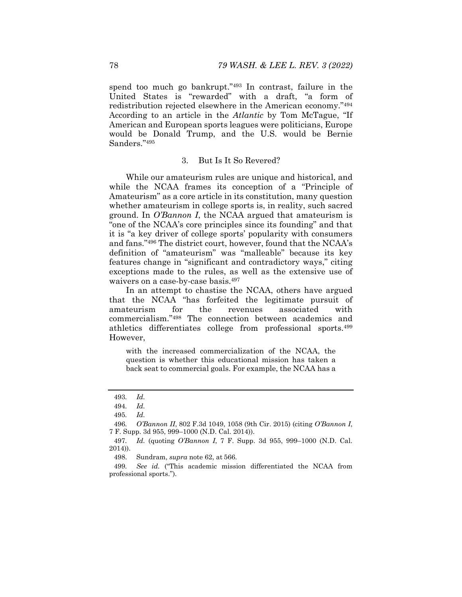spend too much go bankrupt."493 In contrast, failure in the United States is "rewarded" with a draft, "a form of redistribution rejected elsewhere in the American economy."494 According to an article in the *Atlantic* by Tom McTague, "If American and European sports leagues were politicians, Europe would be Donald Trump, and the U.S. would be Bernie Sanders."495

#### 3. But Is It So Revered?

While our amateurism rules are unique and historical, and while the NCAA frames its conception of a "Principle of Amateurism" as a core article in its constitution, many question whether amateurism in college sports is, in reality, such sacred ground. In *O'Bannon I*, the NCAA argued that amateurism is "one of the NCAA's core principles since its founding" and that it is "a key driver of college sports' popularity with consumers and fans."496 The district court, however, found that the NCAA's definition of "amateurism" was "malleable" because its key features change in "significant and contradictory ways," citing exceptions made to the rules, as well as the extensive use of waivers on a case-by-case basis.497

In an attempt to chastise the NCAA, others have argued that the NCAA "has forfeited the legitimate pursuit of amateurism for the revenues associated with commercialism."498 The connection between academics and athletics differentiates college from professional sports.499 However,

with the increased commercialization of the NCAA, the question is whether this educational mission has taken a back seat to commercial goals. For example, the NCAA has a

<sup>493</sup>*. Id.* 

<sup>494</sup>*. Id.* 

<sup>495</sup>*. Id.* 

<sup>496</sup>*. O'Bannon II*, 802 F.3d 1049, 1058 (9th Cir. 2015) (citing *O'Bannon I*, 7 F. Supp. 3d 955, 999–1000 (N.D. Cal. 2014)).

<sup>497</sup>*. Id.* (quoting *O'Bannon I*, 7 F. Supp. 3d 955, 999–1000 (N.D. Cal. 2014)).

 <sup>498.</sup> Sundram, *supra* note 62, at 566.

<sup>499</sup>*. See id.* ("This academic mission differentiated the NCAA from professional sports.").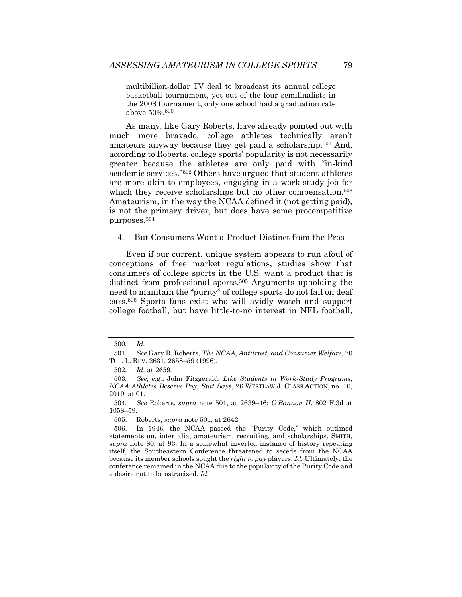multibillion-dollar TV deal to broadcast its annual college basketball tournament, yet out of the four semifinalists in the 2008 tournament, only one school had a graduation rate above 50%.500

As many, like Gary Roberts, have already pointed out with much more bravado, college athletes technically aren't amateurs anyway because they get paid a scholarship.501 And, according to Roberts, college sports' popularity is not necessarily greater because the athletes are only paid with "in-kind academic services."502 Others have argued that student-athletes are more akin to employees, engaging in a work-study job for which they receive scholarships but no other compensation.<sup>503</sup> Amateurism, in the way the NCAA defined it (not getting paid), is not the primary driver, but does have some procompetitive purposes.504

4. But Consumers Want a Product Distinct from the Pros

Even if our current, unique system appears to run afoul of conceptions of free market regulations, studies show that consumers of college sports in the U.S. want a product that is distinct from professional sports.<sup>505</sup> Arguments upholding the need to maintain the "purity" of college sports do not fall on deaf ears.506 Sports fans exist who will avidly watch and support college football, but have little-to-no interest in NFL football,

<sup>500</sup>*. Id.*

<sup>501</sup>*. See* Gary R. Roberts, *The NCAA, Antitrust, and Consumer Welfare*, 70 TUL. L. REV. 2631, 2658–59 (1996).

<sup>502</sup>*. Id.* at 2659*.*

<sup>503</sup>*. See, e.g.*, John Fitzgerald, *Like Students in Work-Study Programs, NCAA Athletes Deserve Pay, Suit Says*, 26 WESTLAW J. CLASS ACTION, no. 10, 2019, at 01.

<sup>504</sup>*. See* Roberts, *supra* note 501, at 2639–46; *O'Bannon II*, 802 F.3d at 1058–59.

 <sup>505.</sup> Roberts, *supra* note 501, at 2642.

 <sup>506.</sup> In 1946, the NCAA passed the "Purity Code," which outlined statements on, inter alia, amateurism, recruiting, and scholarships. SMITH, *supra* note 80, at 93. In a somewhat inverted instance of history repeating itself, the Southeastern Conference threatened to secede from the NCAA because its member schools sought the *right to pay* players. *Id.* Ultimately, the conference remained in the NCAA due to the popularity of the Purity Code and a desire not to be ostracized. *Id.*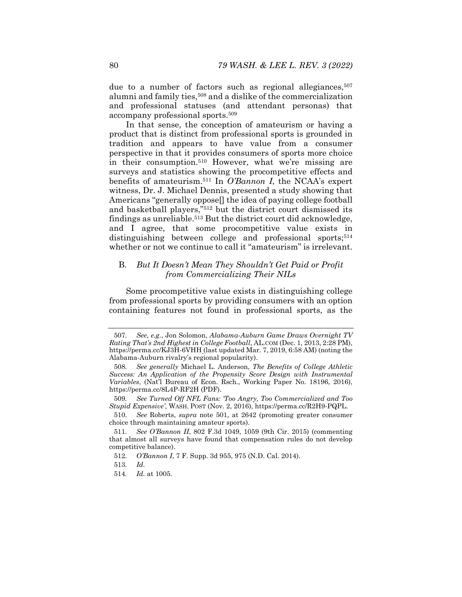due to a number of factors such as regional allegiances,<sup>507</sup> alumni and family ties,508 and a dislike of the commercialization and professional statuses (and attendant personas) that accompany professional sports.509

In that sense, the conception of amateurism or having a product that is distinct from professional sports is grounded in tradition and appears to have value from a consumer perspective in that it provides consumers of sports more choice in their consumption.510 However, what we're missing are surveys and statistics showing the procompetitive effects and benefits of amateurism.511 In *O'Bannon I*, the NCAA's expert witness, Dr. J. Michael Dennis, presented a study showing that Americans "generally oppose[] the idea of paying college football and basketball players,"512 but the district court dismissed its findings as unreliable.513 But the district court did acknowledge, and I agree, that some procompetitive value exists in distinguishing between college and professional sports;<sup>514</sup> whether or not we continue to call it "amateurism" is irrelevant.

# B. *But It Doesn't Mean They Shouldn't Get Paid or Profit from Commercializing Their NILs*

Some procompetitive value exists in distinguishing college from professional sports by providing consumers with an option containing features not found in professional sports, as the

<sup>507</sup>*. See, e.g.*, Jon Solomon, *Alabama-Auburn Game Draws Overnight TV Rating That's 2nd Highest in College Football*, AL.COM (Dec. 1, 2013, 2:28 PM), https://perma.cc/KJ3H-6VHH (last updated Mar. 7, 2019, 6:58 AM) (noting the Alabama-Auburn rivalry's regional popularity).

<sup>508</sup>*. See generally* Michael L. Anderson, *The Benefits of College Athletic Success: An Application of the Propensity Score Design with Instrumental Variables*, (Nat'l Bureau of Econ. Rsch., Working Paper No. 18196, 2016), https://perma.cc/8L4P-RF2H (PDF).

<sup>509</sup>*. See Turned Off NFL Fans: 'Too Angry, Too Commercialized and Too Stupid Expensive'*, WASH. POST (Nov. 2, 2016), https://perma.cc/R2H9-PQPL.

<sup>510</sup>*. See* Roberts, *supra* note 501, at 2642 (promoting greater consumer choice through maintaining amateur sports).

<sup>511</sup>*. See O'Bannon II*, 802 F.3d 1049, 1059 (9th Cir. 2015) (commenting that almost all surveys have found that compensation rules do not develop competitive balance).

<sup>512</sup>*. O'Bannon I*, 7 F. Supp. 3d 955, 975 (N.D. Cal. 2014).

<sup>513</sup>*. Id.*

<sup>514</sup>*. Id.* at 1005.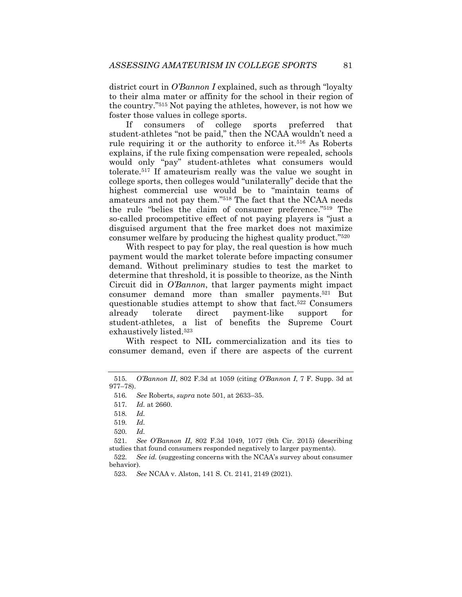district court in *O'Bannon I* explained, such as through "loyalty to their alma mater or affinity for the school in their region of the country."515 Not paying the athletes, however, is not how we foster those values in college sports.

If consumers of college sports preferred that student-athletes "not be paid," then the NCAA wouldn't need a rule requiring it or the authority to enforce it.<sup>516</sup> As Roberts explains, if the rule fixing compensation were repealed, schools would only "pay" student-athletes what consumers would tolerate.517 If amateurism really was the value we sought in college sports, then colleges would "unilaterally" decide that the highest commercial use would be to "maintain teams of amateurs and not pay them."518 The fact that the NCAA needs the rule "belies the claim of consumer preference."519 The so-called procompetitive effect of not paying players is "just a disguised argument that the free market does not maximize consumer welfare by producing the highest quality product."520

With respect to pay for play, the real question is how much payment would the market tolerate before impacting consumer demand. Without preliminary studies to test the market to determine that threshold, it is possible to theorize, as the Ninth Circuit did in *O'Bannon*, that larger payments might impact consumer demand more than smaller payments.521 But questionable studies attempt to show that fact.<sup>522</sup> Consumers already tolerate direct payment-like support for student-athletes, a list of benefits the Supreme Court exhaustively listed.523

With respect to NIL commercialization and its ties to consumer demand, even if there are aspects of the current

<sup>515</sup>*. O'Bannon II*, 802 F.3d at 1059 (citing *O'Bannon I*, 7 F. Supp. 3d at 977–78).

<sup>516</sup>*. See* Roberts, *supra* note 501, at 2633–35.

<sup>517</sup>*. Id.* at 2660.

<sup>518</sup>*. Id.* 

<sup>519</sup>*. Id.* 

<sup>520</sup>*. Id.*

<sup>521</sup>*. See O'Bannon II*, 802 F.3d 1049, 1077 (9th Cir. 2015) (describing studies that found consumers responded negatively to larger payments).

<sup>522</sup>*. See id.* (suggesting concerns with the NCAA's survey about consumer behavior).

<sup>523</sup>*. See* NCAA v. Alston, 141 S. Ct. 2141, 2149 (2021).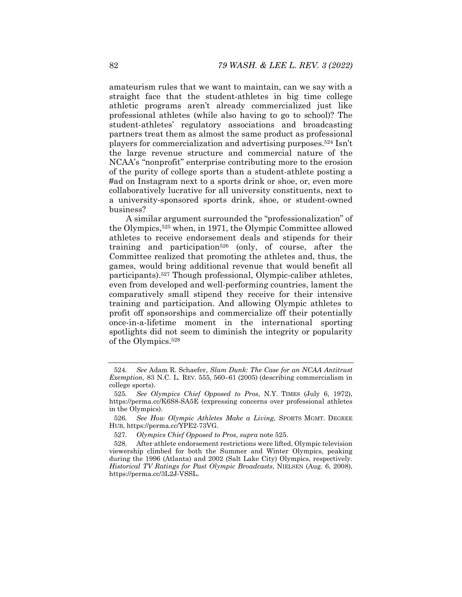amateurism rules that we want to maintain, can we say with a straight face that the student-athletes in big time college athletic programs aren't already commercialized just like professional athletes (while also having to go to school)? The student-athletes' regulatory associations and broadcasting partners treat them as almost the same product as professional players for commercialization and advertising purposes.524 Isn't the large revenue structure and commercial nature of the NCAA's "nonprofit" enterprise contributing more to the erosion of the purity of college sports than a student-athlete posting a #ad on Instagram next to a sports drink or shoe, or, even more collaboratively lucrative for all university constituents, next to a university-sponsored sports drink, shoe, or student-owned business?

A similar argument surrounded the "professionalization" of the Olympics,525 when, in 1971, the Olympic Committee allowed athletes to receive endorsement deals and stipends for their training and participation526 (only, of course, after the Committee realized that promoting the athletes and, thus, the games, would bring additional revenue that would benefit all participants).527 Though professional, Olympic-caliber athletes, even from developed and well-performing countries, lament the comparatively small stipend they receive for their intensive training and participation. And allowing Olympic athletes to profit off sponsorships and commercialize off their potentially once-in-a-lifetime moment in the international sporting spotlights did not seem to diminish the integrity or popularity of the Olympics.528

<sup>524</sup>*. See* Adam R. Schaefer, *Slam Dunk: The Case for an NCAA Antitrust Exemption*, 83 N.C. L. REV. 555, 560–61 (2005) (describing commercialism in college sports).

<sup>525</sup>*. See Olympics Chief Opposed to Pros*, N.Y. TIMES (July 6, 1972), https://perma.cc/K6S8-SA5E (expressing concerns over professional athletes in the Olympics).

<sup>526</sup>*. See How Olympic Athletes Make a Living*, SPORTS MGMT. DEGREE HUB, https://perma.cc/YPE2-73VG.

<sup>527</sup>*. Olympics Chief Opposed to Pros*, *supra* note 525.

 <sup>528.</sup> After athlete endorsement restrictions were lifted, Olympic television viewership climbed for both the Summer and Winter Olympics, peaking during the 1996 (Atlanta) and 2002 (Salt Lake City) Olympics, respectively. *Historical TV Ratings for Past Olympic Broadcasts*, NIELSEN (Aug. 6, 2008), https://perma.cc/3L2J-VSSL.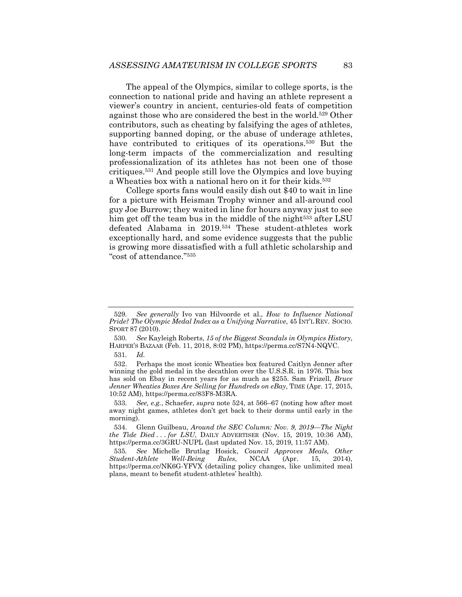The appeal of the Olympics, similar to college sports, is the connection to national pride and having an athlete represent a viewer's country in ancient, centuries-old feats of competition against those who are considered the best in the world.529 Other contributors, such as cheating by falsifying the ages of athletes, supporting banned doping, or the abuse of underage athletes, have contributed to critiques of its operations.<sup>530</sup> But the long-term impacts of the commercialization and resulting professionalization of its athletes has not been one of those critiques.531 And people still love the Olympics and love buying a Wheaties box with a national hero on it for their kids.532

College sports fans would easily dish out \$40 to wait in line for a picture with Heisman Trophy winner and all-around cool guy Joe Burrow; they waited in line for hours anyway just to see him get off the team bus in the middle of the night<sup>533</sup> after LSU defeated Alabama in 2019.534 These student-athletes work exceptionally hard, and some evidence suggests that the public is growing more dissatisfied with a full athletic scholarship and "cost of attendance."535

<sup>529</sup>*. See generally* Ivo van Hilvoorde et al., *How to Influence National Pride? The Olympic Medal Index as a Unifying Narrative*, 45 INT'L REV. SOCIO. SPORT 87 (2010).

<sup>530</sup>*. See* Kayleigh Roberts, *15 of the Biggest Scandals in Olympics History*, HARPER'S BAZAAR (Feb. 11, 2018, 8:02 PM), https://perma.cc/S7N4-NQVC.

<sup>531</sup>*. Id.*

 <sup>532.</sup> Perhaps the most iconic Wheaties box featured Caitlyn Jenner after winning the gold medal in the decathlon over the U.S.S.R. in 1976. This box has sold on Ebay in recent years for as much as \$255. Sam Frizell, *Bruce Jenner Wheaties Boxes Are Selling for Hundreds on eBay*, TIME (Apr. 17, 2015, 10:52 AM), https://perma.cc/83F8-M3RA.

<sup>533</sup>*. See, e.g.*, Schaefer, *supra* note 524, at 566–67 (noting how after most away night games, athletes don't get back to their dorms until early in the morning).

 <sup>534.</sup> Glenn Guilbeau, *Around the SEC Column: Nov. 9, 2019—The Night the Tide Died . . . for LSU*, DAILY ADVERTISER (Nov. 15, 2019, 10:36 AM), https://perma.cc/3GRU-NUPL (last updated Nov. 15, 2019, 11:57 AM).

<sup>535</sup>*. See* Michelle Brutlag Hosick, *Council Approves Meals, Other Student-Athlete Well-Being Rules*, NCAA (Apr. 15, 2014), https://perma.cc/NK6G-YFVX (detailing policy changes, like unlimited meal plans, meant to benefit student-athletes' health).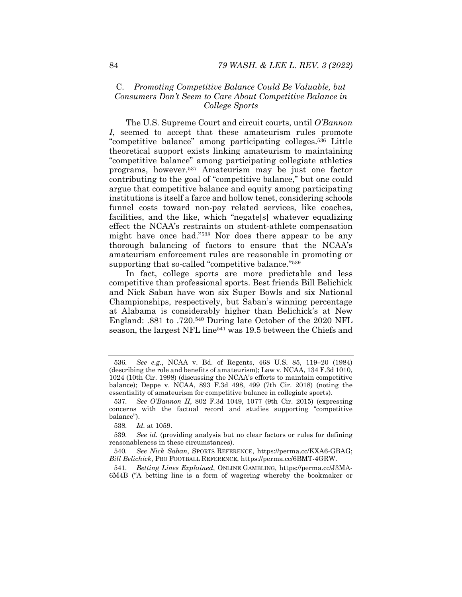### C. *Promoting Competitive Balance Could Be Valuable, but Consumers Don't Seem to Care About Competitive Balance in College Sports*

The U.S. Supreme Court and circuit courts, until *O'Bannon I*, seemed to accept that these amateurism rules promote "competitive balance" among participating colleges.536 Little theoretical support exists linking amateurism to maintaining "competitive balance" among participating collegiate athletics programs, however.537 Amateurism may be just one factor contributing to the goal of "competitive balance," but one could argue that competitive balance and equity among participating institutions is itself a farce and hollow tenet, considering schools funnel costs toward non-pay related services, like coaches, facilities, and the like, which "negate[s] whatever equalizing effect the NCAA's restraints on student-athlete compensation might have once had."538 Nor does there appear to be any thorough balancing of factors to ensure that the NCAA's amateurism enforcement rules are reasonable in promoting or supporting that so-called "competitive balance."<sup>539</sup>

In fact, college sports are more predictable and less competitive than professional sports. Best friends Bill Belichick and Nick Saban have won six Super Bowls and six National Championships, respectively, but Saban's winning percentage at Alabama is considerably higher than Belichick's at New England: .881 to .720.540 During late October of the 2020 NFL season, the largest NFL line<sup>541</sup> was 19.5 between the Chiefs and

541*. Betting Lines Explained*, ONLINE GAMBLING, https://perma.cc/J3MA-6M4B ("A betting line is a form of wagering whereby the bookmaker or

<sup>536</sup>*. See e.g.*, NCAA v. Bd. of Regents, 468 U.S. 85, 119–20 (1984) (describing the role and benefits of amateurism); Law v. NCAA, 134 F.3d 1010, 1024 (10th Cir. 1998) (discussing the NCAA's efforts to maintain competitive balance); Deppe v. NCAA, 893 F.3d 498, 499 (7th Cir. 2018) (noting the essentiality of amateurism for competitive balance in collegiate sports).

<sup>537</sup>*. See O'Bannon II*, 802 F.3d 1049, 1077 (9th Cir. 2015) (expressing concerns with the factual record and studies supporting "competitive balance").

<sup>538</sup>*. Id.* at 1059.

<sup>539</sup>*. See id.* (providing analysis but no clear factors or rules for defining reasonableness in these circumstances).

<sup>540</sup>*. See Nick Saban*, SPORTS REFERENCE, https://perma.cc/KXA6-GBAG; *Bill Belichick*, PRO FOOTBALL REFERENCE, https://perma.cc/6BMT-4GRW.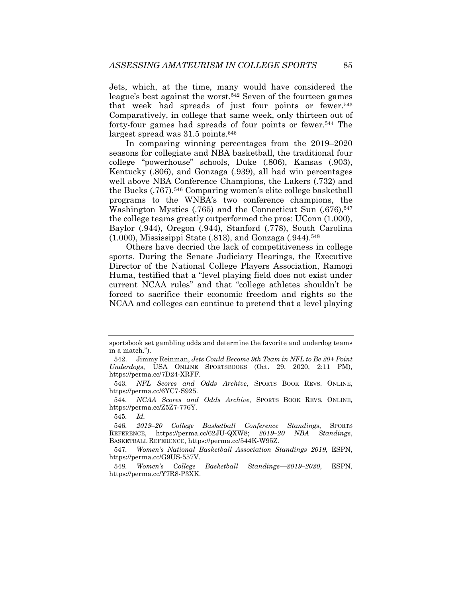Jets, which, at the time, many would have considered the league's best against the worst.<sup>542</sup> Seven of the fourteen games that week had spreads of just four points or fewer.543 Comparatively, in college that same week, only thirteen out of forty-four games had spreads of four points or fewer.544 The largest spread was 31.5 points.545

In comparing winning percentages from the 2019–2020 seasons for collegiate and NBA basketball, the traditional four college "powerhouse" schools, Duke (.806), Kansas (.903), Kentucky (.806), and Gonzaga (.939), all had win percentages well above NBA Conference Champions, the Lakers (.732) and the Bucks (.767).546 Comparing women's elite college basketball programs to the WNBA's two conference champions, the Washington Mystics  $(.765)$  and the Connecticut Sun  $(.676),^{547}$ the college teams greatly outperformed the pros: UConn (1.000), Baylor (.944), Oregon (.944), Stanford (.778), South Carolina  $(1.000)$ , Mississippi State  $(.813)$ , and Gonzaga  $(.944).<sup>548</sup>$ 

Others have decried the lack of competitiveness in college sports. During the Senate Judiciary Hearings, the Executive Director of the National College Players Association, Ramogi Huma, testified that a "level playing field does not exist under current NCAA rules" and that "college athletes shouldn't be forced to sacrifice their economic freedom and rights so the NCAA and colleges can continue to pretend that a level playing

sportsbook set gambling odds and determine the favorite and underdog teams in a match.").

 <sup>542.</sup> Jimmy Reinman, *Jets Could Become 9th Team in NFL to Be 20+ Point Underdogs*, USA ONLINE SPORTSBOOKS (Oct. 29, 2020, 2:11 PM), https://perma.cc/7D24-XRFF.

<sup>543</sup>*. NFL Scores and Odds Archive*, SPORTS BOOK REVS. ONLINE, https://perma.cc/6YC7-S925.

<sup>544</sup>*. NCAA Scores and Odds Archive*, SPORTS BOOK REVS. ONLINE, https://perma.cc/Z5Z7-776Y.

<sup>545</sup>*. Id.* 

<sup>546</sup>*. 2019–20 College Basketball Conference Standings*, SPORTS REFERENCE, https://perma.cc/62JU-QXW8; 2019-20 NBA Standings, BASKETBALL REFERENCE, https://perma.cc/544K-W95Z.

<sup>547</sup>*. Women's National Basketball Association Standings 2019*, ESPN, https://perma.cc/G9US-557V.

<sup>548</sup>*. Women's College Basketball Standings2019–2020*, ESPN, https://perma.cc/Y7R8-P3XK.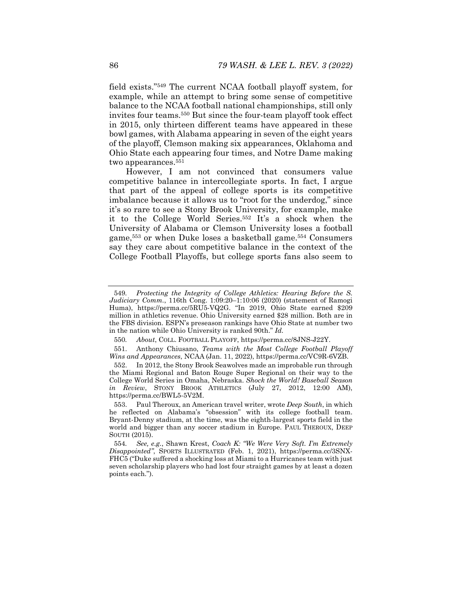field exists."549 The current NCAA football playoff system, for example, while an attempt to bring some sense of competitive balance to the NCAA football national championships, still only invites four teams.550 But since the four-team playoff took effect in 2015, only thirteen different teams have appeared in these bowl games, with Alabama appearing in seven of the eight years of the playoff, Clemson making six appearances, Oklahoma and Ohio State each appearing four times, and Notre Dame making two appearances.551

However, I am not convinced that consumers value competitive balance in intercollegiate sports. In fact, I argue that part of the appeal of college sports is its competitive imbalance because it allows us to "root for the underdog," since it's so rare to see a Stony Brook University, for example, make it to the College World Series.552 It's a shock when the University of Alabama or Clemson University loses a football game,553 or when Duke loses a basketball game.554 Consumers say they care about competitive balance in the context of the College Football Playoffs, but college sports fans also seem to

<sup>549</sup>*. Protecting the Integrity of College Athletics: Hearing Before the S. Judiciary Comm.*, 116th Cong. 1:09:20–1:10:06 (2020) (statement of Ramogi Huma), https://perma.cc/5RU5-VQ2G. "In 2019, Ohio State earned \$209 million in athletics revenue. Ohio University earned \$28 million. Both are in the FBS division. ESPN's preseason rankings have Ohio State at number two in the nation while Ohio University is ranked 90th." *Id.* 

<sup>550</sup>*. About*, COLL. FOOTBALL PLAYOFF, https://perma.cc/8JNS-J22Y.

 <sup>551.</sup> Anthony Chiusano, *Teams with the Most College Football Playoff Wins and Appearances*, NCAA (Jan. 11, 2022), https://perma.cc/VC9R-6VZB.

 <sup>552.</sup> In 2012, the Stony Brook Seawolves made an improbable run through the Miami Regional and Baton Rouge Super Regional on their way to the College World Series in Omaha, Nebraska. *Shock the World! Baseball Season in Review*, STONY BROOK ATHLETICS (July 27, 2012, 12:00 AM), https://perma.cc/BWL5-5V2M.

 <sup>553.</sup> Paul Theroux, an American travel writer, wrote *Deep South*, in which he reflected on Alabama's "obsession" with its college football team. Bryant-Denny stadium, at the time, was the eighth-largest sports field in the world and bigger than any soccer stadium in Europe. PAUL THEROUX, DEEP SOUTH (2015).

<sup>554</sup>*. See, e.g.*, Shawn Krest, *Coach K: "We Were Very Soft. I'm Extremely Disappointed"*, SPORTS ILLUSTRATED (Feb. 1, 2021), https://perma.cc/3SNX-FHC5 ("Duke suffered a shocking loss at Miami to a Hurricanes team with just seven scholarship players who had lost four straight games by at least a dozen points each.").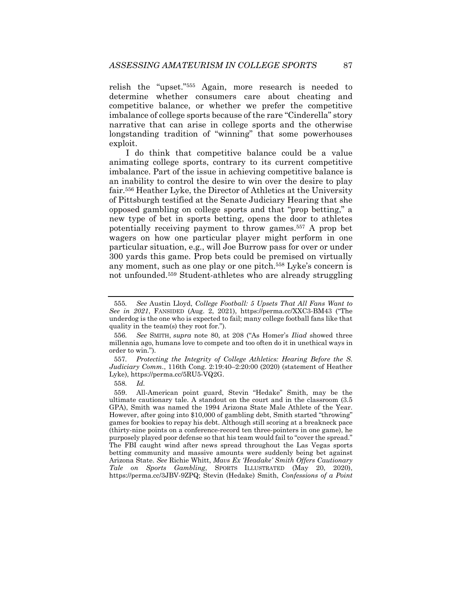relish the "upset."555 Again, more research is needed to determine whether consumers care about cheating and competitive balance, or whether we prefer the competitive imbalance of college sports because of the rare "Cinderella" story narrative that can arise in college sports and the otherwise longstanding tradition of "winning" that some powerhouses exploit.

I do think that competitive balance could be a value animating college sports, contrary to its current competitive imbalance. Part of the issue in achieving competitive balance is an inability to control the desire to win over the desire to play fair.556 Heather Lyke, the Director of Athletics at the University of Pittsburgh testified at the Senate Judiciary Hearing that she opposed gambling on college sports and that "prop betting," a new type of bet in sports betting, opens the door to athletes potentially receiving payment to throw games.557 A prop bet wagers on how one particular player might perform in one particular situation, e.g., will Joe Burrow pass for over or under 300 yards this game. Prop bets could be premised on virtually any moment, such as one play or one pitch.558 Lyke's concern is not unfounded.559 Student-athletes who are already struggling

558*. Id.*

<sup>555</sup>*. See* Austin Lloyd, *College Football: 5 Upsets That All Fans Want to See in 2021*, FANSIDED (Aug. 2, 2021), https://perma.cc/XXC3-BM43 ("The underdog is the one who is expected to fail; many college football fans like that quality in the team(s) they root for.").

<sup>556</sup>*. See* SMITH, *supra* note 80, at 208 ("As Homer's *Iliad* showed three millennia ago, humans love to compete and too often do it in unethical ways in order to win.").

<sup>557</sup>*. Protecting the Integrity of College Athletics: Hearing Before the S. Judiciary Comm.*, 116th Cong. 2:19:40–2:20:00 (2020) (statement of Heather Lyke), https://perma.cc/5RU5-VQ2G.

 <sup>559.</sup> All-American point guard, Stevin "Hedake" Smith, may be the ultimate cautionary tale. A standout on the court and in the classroom (3.5 GPA), Smith was named the 1994 Arizona State Male Athlete of the Year. However, after going into \$10,000 of gambling debt, Smith started "throwing" games for bookies to repay his debt. Although still scoring at a breakneck pace (thirty-nine points on a conference-record ten three-pointers in one game), he purposely played poor defense so that his team would fail to "cover the spread." The FBI caught wind after news spread throughout the Las Vegas sports betting community and massive amounts were suddenly being bet against Arizona State. *See* Richie Whitt, *Mavs Ex 'Headake' Smith Offers Cautionary Tale on Sports Gambling*, SPORTS ILLUSTRATED (May 20, 2020), https://perma.cc/3JBV-9ZPQ; Stevin (Hedake) Smith, *Confessions of a Point*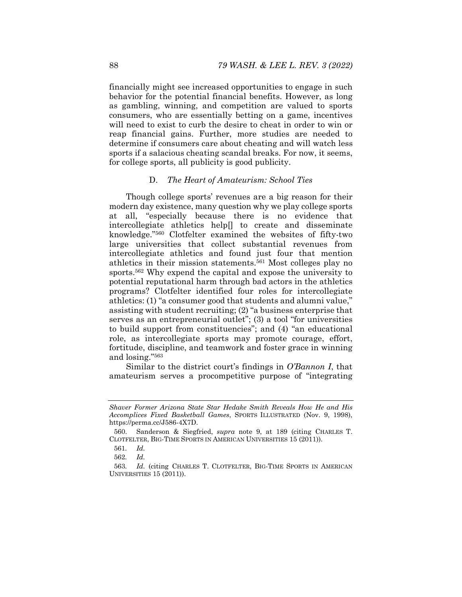financially might see increased opportunities to engage in such behavior for the potential financial benefits. However, as long as gambling, winning, and competition are valued to sports consumers, who are essentially betting on a game, incentives will need to exist to curb the desire to cheat in order to win or reap financial gains. Further, more studies are needed to determine if consumers care about cheating and will watch less sports if a salacious cheating scandal breaks. For now, it seems, for college sports, all publicity is good publicity.

# D. *The Heart of Amateurism: School Ties*

Though college sports' revenues are a big reason for their modern day existence, many question why we play college sports at all, "especially because there is no evidence that intercollegiate athletics help[] to create and disseminate knowledge."560 Clotfelter examined the websites of fifty-two large universities that collect substantial revenues from intercollegiate athletics and found just four that mention athletics in their mission statements.561 Most colleges play no sports.562 Why expend the capital and expose the university to potential reputational harm through bad actors in the athletics programs? Clotfelter identified four roles for intercollegiate athletics: (1) "a consumer good that students and alumni value," assisting with student recruiting; (2) "a business enterprise that serves as an entrepreneurial outlet"; (3) a tool "for universities" to build support from constituencies"; and (4) "an educational role, as intercollegiate sports may promote courage, effort, fortitude, discipline, and teamwork and foster grace in winning and losing."563

Similar to the district court's findings in *O'Bannon I*, that amateurism serves a procompetitive purpose of "integrating

*Shaver Former Arizona State Star Hedake Smith Reveals How He and His Accomplices Fixed Basketball Games*, SPORTS ILLUSTRATED (Nov. 9, 1998), https://perma.cc/J586-4X7D.

 <sup>560.</sup> Sanderson & Siegfried, *supra* note 9, at 189 (citing CHARLES T. CLOTFELTER, BIG-TIME SPORTS IN AMERICAN UNIVERSITIES 15 (2011)).

<sup>561</sup>*. Id.* 

<sup>562</sup>*. Id.*

<sup>563</sup>*. Id.* (citing CHARLES T. CLOTFELTER, BIG-TIME SPORTS IN AMERICAN UNIVERSITIES 15 (2011)).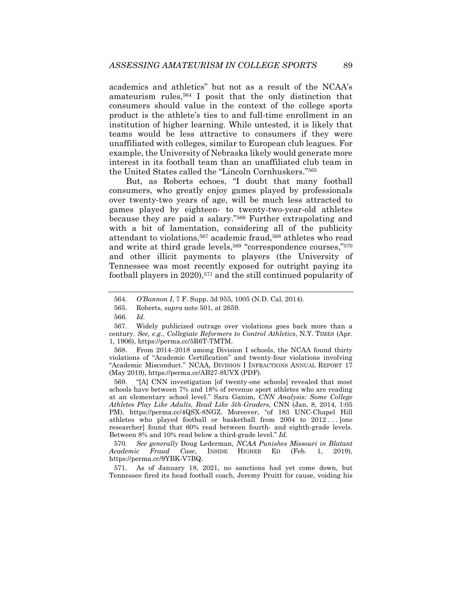academics and athletics" but not as a result of the NCAA's amateurism rules,564 I posit that the only distinction that consumers should value in the context of the college sports product is the athlete's ties to and full-time enrollment in an institution of higher learning. While untested, it is likely that teams would be less attractive to consumers if they were unaffiliated with colleges, similar to European club leagues. For example, the University of Nebraska likely would generate more interest in its football team than an unaffiliated club team in the United States called the "Lincoln Cornhuskers."565

But, as Roberts echoes, "I doubt that many football consumers, who greatly enjoy games played by professionals over twenty-two years of age, will be much less attracted to games played by eighteen- to twenty-two-year-old athletes because they are paid a salary."566 Further extrapolating and with a bit of lamentation, considering all of the publicity attendant to violations,567 academic fraud,568 athletes who read and write at third grade levels,<sup>569</sup> "correspondence courses,"<sup>570</sup> and other illicit payments to players (the University of Tennessee was most recently exposed for outright paying its football players in 2020),571 and the still continued popularity of

 568. From 2014–2018 among Division I schools, the NCAA found thirty violations of "Academic Certification" and twenty-four violations involving "Academic Misconduct." NCAA, DIVISION I INFRACTIONS ANNUAL REPORT 17 (May 2019), https://perma.cc/AB27-8UVX (PDF).

 569. "[A] CNN investigation [of twenty-one schools] revealed that most schools have between 7% and 18% of revenue sport athletes who are reading at an elementary school level." Sara Ganim, *CNN Analysis: Some College Athletes Play Like Adults, Read Like 5th-Graders*, CNN (Jan. 8, 2014, 1:05 PM), https://perma.cc/4QSX-8NGZ. Moreover, "of 183 UNC-Chapel Hill athletes who played football or basketball from 2004 to 2012 . . . [one researcher] found that 60% read between fourth- and eighth-grade levels. Between 8% and 10% read below a third-grade level." *Id.*

570*. See generally* Doug Lederman, *NCAA Punishes Missouri in Blatant Academic Fraud Case*, INSIDE HIGHER ED (Feb. 1, 2019), https://perma.cc/9YBK-V7BQ.

 571. As of January 18, 2021, no sanctions had yet come down, but Tennessee fired its head football coach, Jeremy Pruitt for cause, voiding his

<sup>564</sup>*. O'Bannon I*, 7 F. Supp. 3d 955, 1005 (N.D. Cal. 2014).

 <sup>565.</sup> Roberts, *supra* note 501, at 2659.

<sup>566</sup>*. Id.*

 <sup>567.</sup> Widely publicized outrage over violations goes back more than a century. *See, e.g.*, *Collegiate Reformers to Control Athletics*, N.Y. TIMES (Apr. 1, 1906), https://perma.cc/5R6T-TMTM.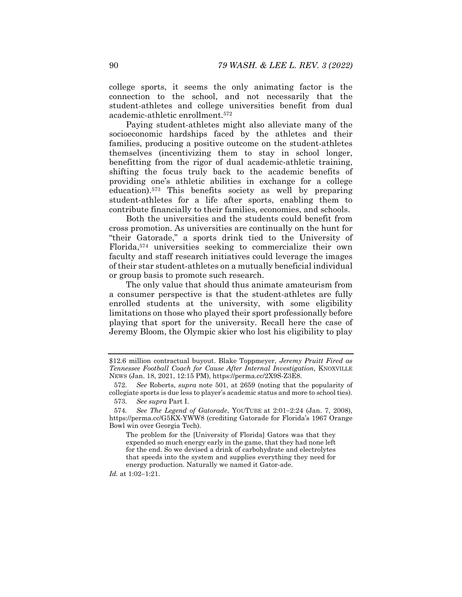college sports, it seems the only animating factor is the connection to the school, and not necessarily that the student-athletes and college universities benefit from dual academic-athletic enrollment.572

Paying student-athletes might also alleviate many of the socioeconomic hardships faced by the athletes and their families, producing a positive outcome on the student-athletes themselves (incentivizing them to stay in school longer, benefitting from the rigor of dual academic-athletic training, shifting the focus truly back to the academic benefits of providing one's athletic abilities in exchange for a college education).573 This benefits society as well by preparing student-athletes for a life after sports, enabling them to contribute financially to their families, economies, and schools.

Both the universities and the students could benefit from cross promotion. As universities are continually on the hunt for "their Gatorade," a sports drink tied to the University of Florida,574 universities seeking to commercialize their own faculty and staff research initiatives could leverage the images of their star student-athletes on a mutually beneficial individual or group basis to promote such research.

The only value that should thus animate amateurism from a consumer perspective is that the student-athletes are fully enrolled students at the university, with some eligibility limitations on those who played their sport professionally before playing that sport for the university. Recall here the case of Jeremy Bloom, the Olympic skier who lost his eligibility to play

*Id.* at 1:02-1:21.

<sup>\$12.6</sup> million contractual buyout. Blake Toppmeyer, *Jeremy Pruitt Fired as Tennessee Football Coach for Cause After Internal Investigation*, KNOXVILLE NEWS (Jan. 18, 2021, 12:15 PM), https://perma.cc/2X9S-Z3E8.

<sup>572</sup>*. See* Roberts, *supra* note 501, at 2659 (noting that the popularity of collegiate sports is due less to player's academic status and more to school ties).

<sup>573</sup>*. See supra* Part I.

<sup>574.</sup> See The Legend of Gatorade, YOUTUBE at 2:01-2:24 (Jan. 7, 2008), https://perma.cc/G5KX-YWW8 (crediting Gatorade for Florida's 1967 Orange Bowl win over Georgia Tech).

The problem for the [University of Florida] Gators was that they expended so much energy early in the game, that they had none left for the end. So we devised a drink of carbohydrate and electrolytes that speeds into the system and supplies everything they need for energy production. Naturally we named it Gator-ade.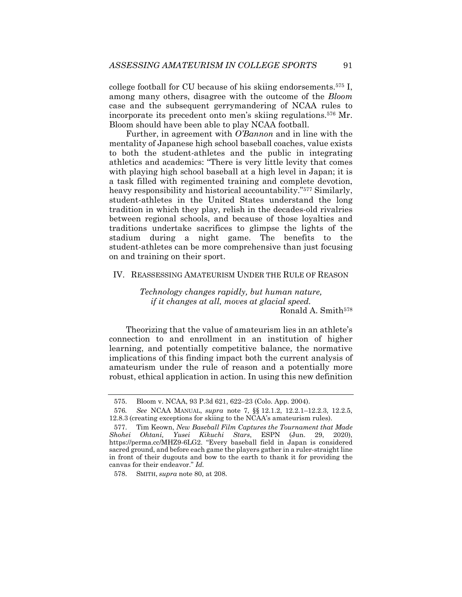college football for CU because of his skiing endorsements.575 I, among many others, disagree with the outcome of the *Bloom*  case and the subsequent gerrymandering of NCAA rules to incorporate its precedent onto men's skiing regulations.576 Mr. Bloom should have been able to play NCAA football.

Further, in agreement with *O'Bannon* and in line with the mentality of Japanese high school baseball coaches, value exists to both the student-athletes and the public in integrating athletics and academics: "There is very little levity that comes with playing high school baseball at a high level in Japan; it is a task filled with regimented training and complete devotion, heavy responsibility and historical accountability."577 Similarly, student-athletes in the United States understand the long tradition in which they play, relish in the decades-old rivalries between regional schools, and because of those loyalties and traditions undertake sacrifices to glimpse the lights of the stadium during a night game. The benefits to the student-athletes can be more comprehensive than just focusing on and training on their sport.

# IV. REASSESSING AMATEURISM UNDER THE RULE OF REASON

*Technology changes rapidly, but human nature, if it changes at all, moves at glacial speed.*  Ronald A. Smith<sup>578</sup>

Theorizing that the value of amateurism lies in an athlete's connection to and enrollment in an institution of higher learning, and potentially competitive balance, the normative implications of this finding impact both the current analysis of amateurism under the rule of reason and a potentially more robust, ethical application in action. In using this new definition

 <sup>575.</sup> Bloom v. NCAA, 93 P.3d 621, 622–23 (Colo. App. 2004).

<sup>576</sup>*. See* NCAA MANUAL, *supra* note 7, §§ 12.1.2, 12.2.1–12.2.3, 12.2.5, 12.8.3 (creating exceptions for skiing to the NCAA's amateurism rules).

 <sup>577.</sup> Tim Keown, *New Baseball Film Captures the Tournament that Made Shohei Ohtani, Yusei Kikuchi Stars*, ESPN (Jun. 29, 2020), https://perma.cc/MHZ9-6LG2. "Every baseball field in Japan is considered sacred ground, and before each game the players gather in a ruler-straight line in front of their dugouts and bow to the earth to thank it for providing the canvas for their endeavor." *Id.* 

 <sup>578.</sup> SMITH, *supra* note 80, at 208.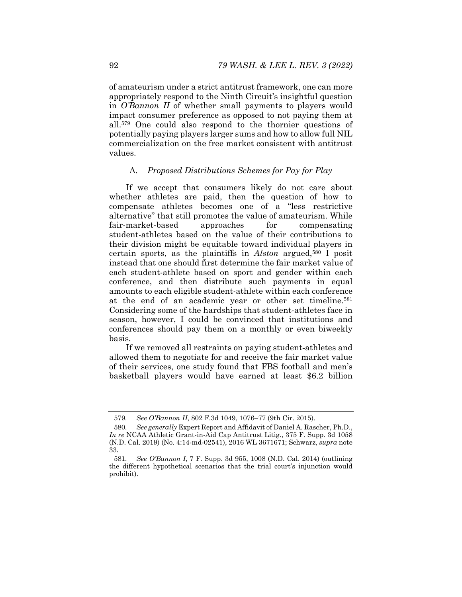of amateurism under a strict antitrust framework, one can more appropriately respond to the Ninth Circuit's insightful question in *O'Bannon II* of whether small payments to players would impact consumer preference as opposed to not paying them at all.579 One could also respond to the thornier questions of potentially paying players larger sums and how to allow full NIL commercialization on the free market consistent with antitrust values.

#### A. *Proposed Distributions Schemes for Pay for Play*

If we accept that consumers likely do not care about whether athletes are paid, then the question of how to compensate athletes becomes one of a "less restrictive alternative" that still promotes the value of amateurism. While fair-market-based approaches for compensating student-athletes based on the value of their contributions to their division might be equitable toward individual players in certain sports, as the plaintiffs in *Alston* argued,580 I posit instead that one should first determine the fair market value of each student-athlete based on sport and gender within each conference, and then distribute such payments in equal amounts to each eligible student-athlete within each conference at the end of an academic year or other set timeline.581 Considering some of the hardships that student-athletes face in season, however, I could be convinced that institutions and conferences should pay them on a monthly or even biweekly basis.

If we removed all restraints on paying student‑athletes and allowed them to negotiate for and receive the fair market value of their services, one study found that FBS football and men's basketball players would have earned at least \$6.2 billion

<sup>579</sup>*. See O'Bannon II*, 802 F.3d 1049, 1076–77 (9th Cir. 2015).

<sup>580</sup>*. See generally* Expert Report and Affidavit of Daniel A. Rascher, Ph.D., *In re* NCAA Athletic Grant-in-Aid Cap Antitrust Litig., 375 F. Supp. 3d 1058 (N.D. Cal. 2019) (No. 4:14-md-02541), 2016 WL 3671671; Schwarz, *supra* note 33.

<sup>581</sup>*. See O'Bannon I*, 7 F. Supp. 3d 955, 1008 (N.D. Cal. 2014) (outlining the different hypothetical scenarios that the trial court's injunction would prohibit).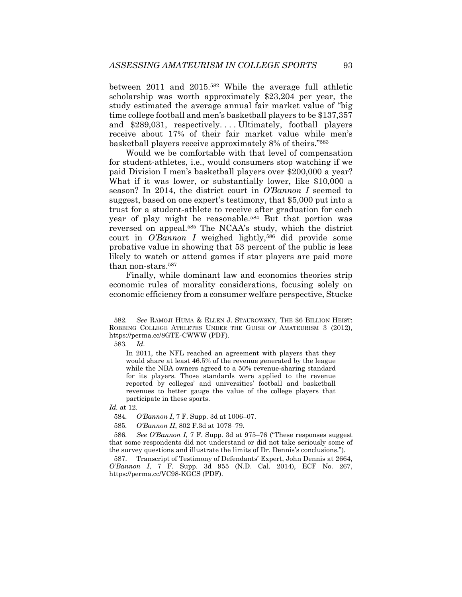between 2011 and 2015.582 While the average full athletic scholarship was worth approximately \$23,204 per year, the study estimated the average annual fair market value of "big time college football and men's basketball players to be \$137,357 and \$289,031, respectively.... Ultimately, football players receive about 17% of their fair market value while men's basketball players receive approximately 8% of theirs."583

Would we be comfortable with that level of compensation for student-athletes, i.e., would consumers stop watching if we paid Division I men's basketball players over \$200,000 a year? What if it was lower, or substantially lower, like \$10,000 a season? In 2014, the district court in *O'Bannon I* seemed to suggest, based on one expert's testimony, that \$5,000 put into a trust for a student-athlete to receive after graduation for each year of play might be reasonable.584 But that portion was reversed on appeal.585 The NCAA's study, which the district court in *O'Bannon I* weighed lightly,586 did provide some probative value in showing that 53 percent of the public is less likely to watch or attend games if star players are paid more than non-stars.587

Finally, while dominant law and economics theories strip economic rules of morality considerations, focusing solely on economic efficiency from a consumer welfare perspective, Stucke

*Id.* at 12.

<sup>582</sup>*. See* RAMOJI HUMA & ELLEN J. STAUROWSKY, THE \$6 BILLION HEIST: ROBBING COLLEGE ATHLETES UNDER THE GUISE OF AMATEURISM 3 (2012), https://perma.cc/8GTE-CWWW (PDF).

<sup>583</sup>*. Id.* 

In 2011, the NFL reached an agreement with players that they would share at least 46.5% of the revenue generated by the league while the NBA owners agreed to a 50% revenue-sharing standard for its players. Those standards were applied to the revenue reported by colleges' and universities' football and basketball revenues to better gauge the value of the college players that participate in these sports.

<sup>584</sup>*. O'Bannon I*, 7 F. Supp. 3d at 1006–07.

<sup>585.</sup> *O'Bannon II*, 802 F.3d at 1078-79.

<sup>586</sup>*. See O'Bannon I*, 7 F. Supp. 3d at 975–76 ("These responses suggest that some respondents did not understand or did not take seriously some of the survey questions and illustrate the limits of Dr. Dennis's conclusions.").

 <sup>587.</sup> Transcript of Testimony of Defendants' Expert, John Dennis at 2664, *O'Bannon I*, 7 F. Supp. 3d 955 (N.D. Cal. 2014), ECF No. 267, https://perma.cc/VC98-KGCS (PDF).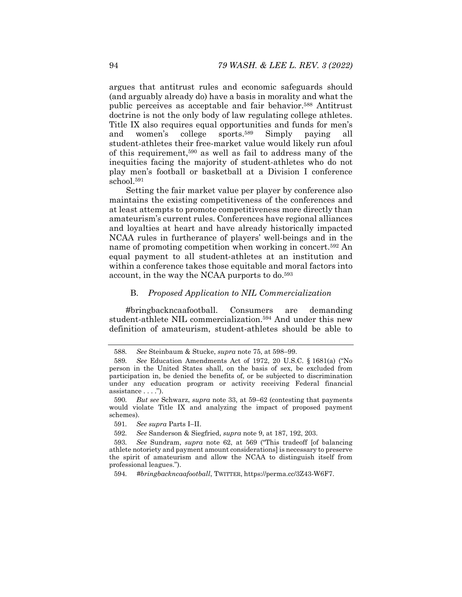argues that antitrust rules and economic safeguards should (and arguably already do) have a basis in morality and what the public perceives as acceptable and fair behavior.588 Antitrust doctrine is not the only body of law regulating college athletes. Title IX also requires equal opportunities and funds for men's and women's college sports.589 Simply paying all student-athletes their free-market value would likely run afoul of this requirement,590 as well as fail to address many of the inequities facing the majority of student-athletes who do not play men's football or basketball at a Division I conference school.591

Setting the fair market value per player by conference also maintains the existing competitiveness of the conferences and at least attempts to promote competitiveness more directly than amateurism's current rules. Conferences have regional alliances and loyalties at heart and have already historically impacted NCAA rules in furtherance of players' well-beings and in the name of promoting competition when working in concert.592 An equal payment to all student-athletes at an institution and within a conference takes those equitable and moral factors into account, in the way the NCAA purports to do.<sup>593</sup>

#### B. *Proposed Application to NIL Commercialization*

#bringbackncaafootball. Consumers are demanding student-athlete NIL commercialization.594 And under this new definition of amateurism, student-athletes should be able to

<sup>588</sup>*. See* Steinbaum & Stucke, *supra* note 75, at 598–99.

<sup>589</sup>*. See* Education Amendments Act of 1972, 20 U.S.C. § 1681(a) ("No person in the United States shall, on the basis of sex, be excluded from participation in, be denied the benefits of, or be subjected to discrimination under any education program or activity receiving Federal financial assistance . . . .").

<sup>590</sup>*. But see* Schwarz, *supra* note 33, at 59–62 (contesting that payments would violate Title IX and analyzing the impact of proposed payment schemes).

<sup>591.</sup> See supra Parts I-II.

<sup>592</sup>*. See* Sanderson & Siegfried, *supra* note 9, at 187, 192, 203.

<sup>593</sup>*. See* Sundram, *supra* note 62, at 569 ("This tradeoff [of balancing athlete notoriety and payment amount considerations] is necessary to preserve the spirit of amateurism and allow the NCAA to distinguish itself from professional leagues.").

<sup>594</sup>*. #bringbackncaafootball*, TWITTER, https://perma.cc/3Z43-W6F7.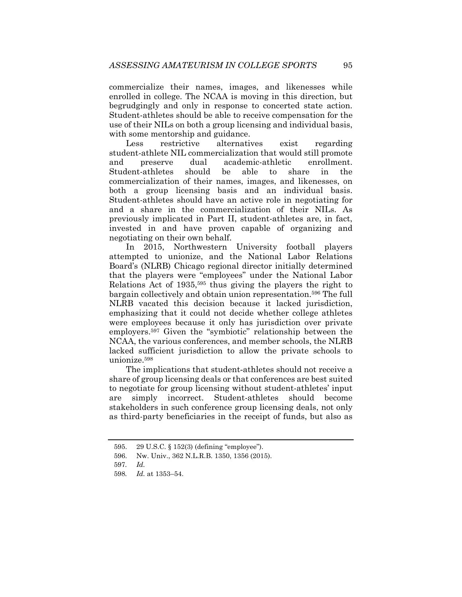commercialize their names, images, and likenesses while enrolled in college. The NCAA is moving in this direction, but begrudgingly and only in response to concerted state action. Student-athletes should be able to receive compensation for the use of their NILs on both a group licensing and individual basis, with some mentorship and guidance.

Less restrictive alternatives exist regarding student-athlete NIL commercialization that would still promote and preserve dual academic-athletic enrollment. Student-athletes should be able to share in the commercialization of their names, images, and likenesses, on both a group licensing basis and an individual basis. Student-athletes should have an active role in negotiating for and a share in the commercialization of their NILs. As previously implicated in Part II, student-athletes are, in fact, invested in and have proven capable of organizing and negotiating on their own behalf.

In 2015, Northwestern University football players attempted to unionize, and the National Labor Relations Board's (NLRB) Chicago regional director initially determined that the players were "employees" under the National Labor Relations Act of 1935,595 thus giving the players the right to bargain collectively and obtain union representation.596 The full NLRB vacated this decision because it lacked jurisdiction, emphasizing that it could not decide whether college athletes were employees because it only has jurisdiction over private employers.597 Given the "symbiotic" relationship between the NCAA, the various conferences, and member schools, the NLRB lacked sufficient jurisdiction to allow the private schools to unionize.598

The implications that student-athletes should not receive a share of group licensing deals or that conferences are best suited to negotiate for group licensing without student-athletes' input are simply incorrect. Student-athletes should become stakeholders in such conference group licensing deals, not only as third-party beneficiaries in the receipt of funds, but also as

 <sup>595. 29</sup> U.S.C. § 152(3) (defining "employee").

 <sup>596.</sup> Nw. Univ., 362 N.L.R.B. 1350, 1356 (2015).

<sup>597</sup>*. Id.*

<sup>598</sup>*. Id.* at 1353–54.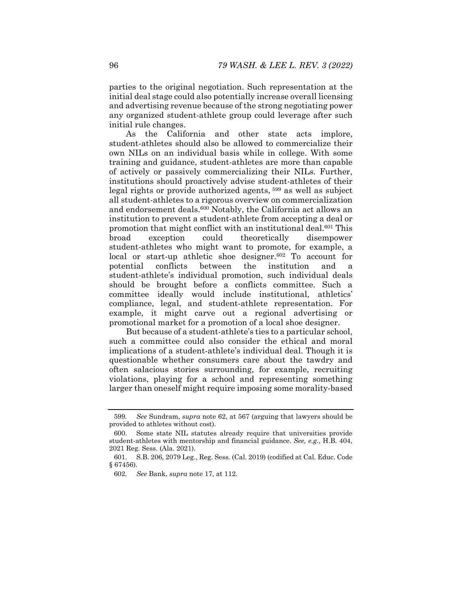parties to the original negotiation. Such representation at the initial deal stage could also potentially increase overall licensing and advertising revenue because of the strong negotiating power any organized student-athlete group could leverage after such initial rule changes.

As the California and other state acts implore, student-athletes should also be allowed to commercialize their own NILs on an individual basis while in college. With some training and guidance, student-athletes are more than capable of actively or passively commercializing their NILs. Further, institutions should proactively advise student-athletes of their legal rights or provide authorized agents, 599 as well as subject all student-athletes to a rigorous overview on commercialization and endorsement deals.600 Notably, the California act allows an institution to prevent a student-athlete from accepting a deal or promotion that might conflict with an institutional deal.601 This broad exception could theoretically disempower student-athletes who might want to promote, for example, a local or start-up athletic shoe designer.<sup>602</sup> To account for potential conflicts between the institution and a student-athlete's individual promotion, such individual deals should be brought before a conflicts committee. Such a committee ideally would include institutional, athletics' compliance, legal, and student-athlete representation. For example, it might carve out a regional advertising or promotional market for a promotion of a local shoe designer.

But because of a student-athlete's ties to a particular school, such a committee could also consider the ethical and moral implications of a student-athlete's individual deal. Though it is questionable whether consumers care about the tawdry and often salacious stories surrounding, for example, recruiting violations, playing for a school and representing something larger than oneself might require imposing some morality-based

<sup>599</sup>*. See* Sundram, *supra* note 62, at 567 (arguing that lawyers should be provided to athletes without cost).

 <sup>600.</sup> Some state NIL statutes already require that universities provide student-athletes with mentorship and financial guidance. *See, e.g.*, H.B. 404, 2021 Reg. Sess. (Ala. 2021).

 <sup>601.</sup> S.B. 206, 2079 Leg., Reg. Sess. (Cal. 2019) (codified at Cal. Educ. Code § 67456).

<sup>602</sup>*. See* Bank, *supra* note 17, at 112.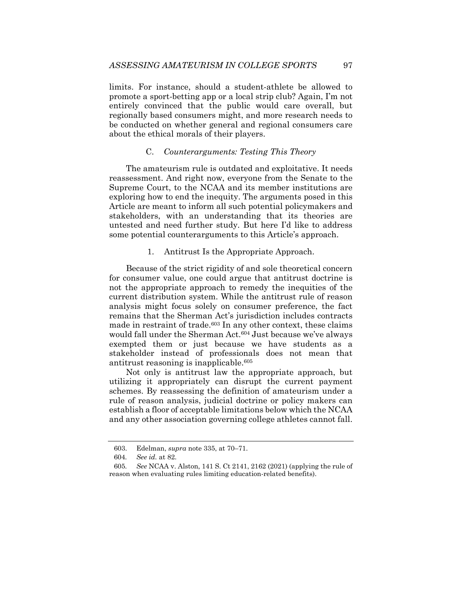limits. For instance, should a student-athlete be allowed to promote a sport-betting app or a local strip club? Again, I'm not entirely convinced that the public would care overall, but regionally based consumers might, and more research needs to be conducted on whether general and regional consumers care about the ethical morals of their players.

### C. *Counterarguments: Testing This Theory*

The amateurism rule is outdated and exploitative. It needs reassessment. And right now, everyone from the Senate to the Supreme Court, to the NCAA and its member institutions are exploring how to end the inequity. The arguments posed in this Article are meant to inform all such potential policymakers and stakeholders, with an understanding that its theories are untested and need further study. But here I'd like to address some potential counterarguments to this Article's approach.

1. Antitrust Is the Appropriate Approach.

Because of the strict rigidity of and sole theoretical concern for consumer value, one could argue that antitrust doctrine is not the appropriate approach to remedy the inequities of the current distribution system. While the antitrust rule of reason analysis might focus solely on consumer preference, the fact remains that the Sherman Act's jurisdiction includes contracts made in restraint of trade.603 In any other context, these claims would fall under the Sherman Act.<sup>604</sup> Just because we've always exempted them or just because we have students as a stakeholder instead of professionals does not mean that antitrust reasoning is inapplicable.605

Not only is antitrust law the appropriate approach, but utilizing it appropriately can disrupt the current payment schemes. By reassessing the definition of amateurism under a rule of reason analysis, judicial doctrine or policy makers can establish a floor of acceptable limitations below which the NCAA and any other association governing college athletes cannot fall.

 <sup>603.</sup> Edelman, *supra* note 335, at 70–71.

<sup>604</sup>*. See id.* at 82.

<sup>605</sup>*. See* NCAA v. Alston, 141 S. Ct 2141, 2162 (2021) (applying the rule of reason when evaluating rules limiting education-related benefits).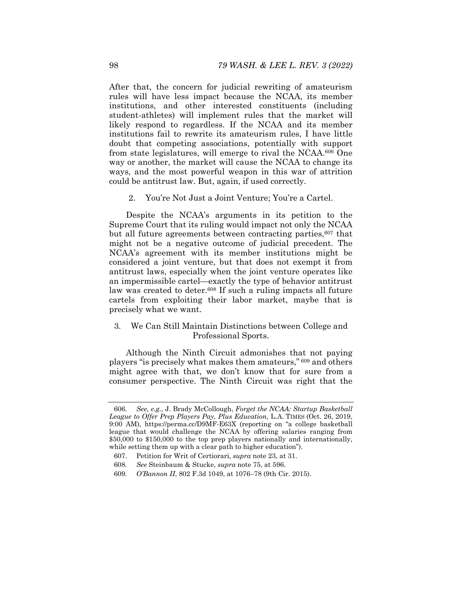After that, the concern for judicial rewriting of amateurism rules will have less impact because the NCAA, its member institutions, and other interested constituents (including student-athletes) will implement rules that the market will likely respond to regardless. If the NCAA and its member institutions fail to rewrite its amateurism rules, I have little doubt that competing associations, potentially with support from state legislatures, will emerge to rival the NCAA.606 One way or another, the market will cause the NCAA to change its ways, and the most powerful weapon in this war of attrition could be antitrust law. But, again, if used correctly.

2. You're Not Just a Joint Venture; You're a Cartel.

Despite the NCAA's arguments in its petition to the Supreme Court that its ruling would impact not only the NCAA but all future agreements between contracting parties, <sup>607</sup> that might not be a negative outcome of judicial precedent. The NCAA's agreement with its member institutions might be considered a joint venture, but that does not exempt it from antitrust laws, especially when the joint venture operates like an impermissible cartel—exactly the type of behavior antitrust law was created to deter.608 If such a ruling impacts all future cartels from exploiting their labor market, maybe that is precisely what we want.

# 3. We Can Still Maintain Distinctions between College and Professional Sports.

Although the Ninth Circuit admonishes that not paying players "is precisely what makes them amateurs," 609 and others might agree with that, we don't know that for sure from a consumer perspective. The Ninth Circuit was right that the

<sup>606</sup>*. See, e.g.*, J. Brady McCollough, *Forget the NCAA: Startup Basketball League to Offer Prep Players Pay, Plus Education*, L.A. TIMES (Oct. 26, 2019, 9:00 AM), https://perma.cc/D9MF-E63X (reporting on "a college basketball league that would challenge the NCAA by offering salaries ranging from \$50,000 to \$150,000 to the top prep players nationally and internationally, while setting them up with a clear path to higher education").

 <sup>607.</sup> Petition for Writ of Certiorari, *supra* note 23, at 31.

<sup>608</sup>*. See* Steinbaum & Stucke, *supra* note 75, at 596.

<sup>609</sup>*. O'Bannon II*, 802 F.3d 1049, at 1076–78 (9th Cir. 2015).